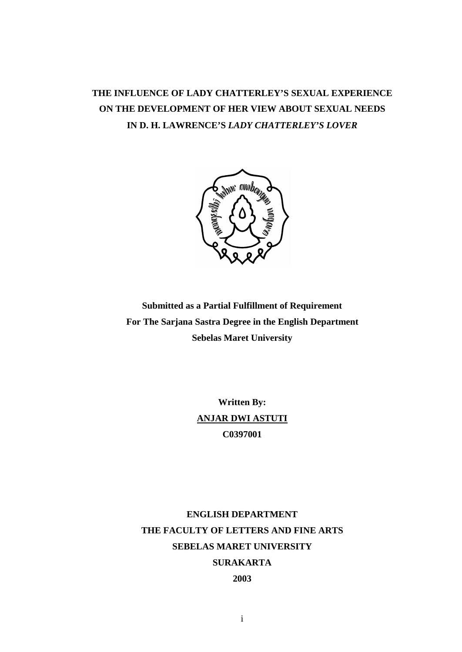# **THE INFLUENCE OF LADY CHATTERLEY'S SEXUAL EXPERIENCE ON THE DEVELOPMENT OF HER VIEW ABOUT SEXUAL NEEDS IN D. H. LAWRENCE'S** *LADY CHATTERLEY'S LOVER*



**Submitted as a Partial Fulfillment of Requirement For The Sarjana Sastra Degree in the English Department Sebelas Maret University** 

> **Written By: ANJAR DWI ASTUTI C0397001**

**ENGLISH DEPARTMENT THE FACULTY OF LETTERS AND FINE ARTS SEBELAS MARET UNIVERSITY SURAKARTA 2003**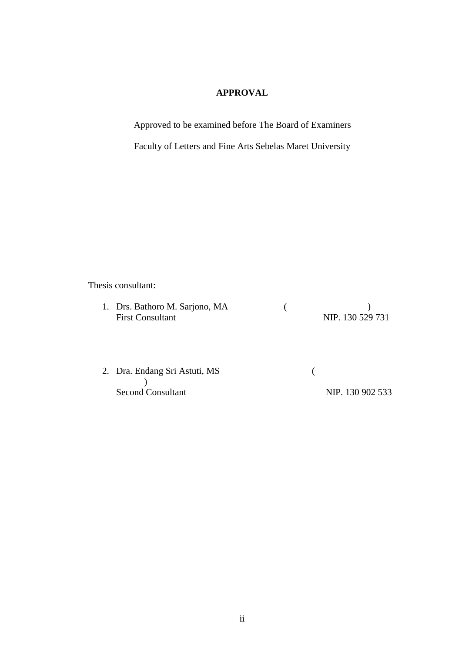# **APPROVAL**

Approved to be examined before The Board of Examiners

Faculty of Letters and Fine Arts Sebelas Maret University

Thesis consultant:

| 1. Drs. Bathoro M. Sarjono, MA |                  |
|--------------------------------|------------------|
| <b>First Consultant</b>        | NIP. 130 529 731 |

| 2. Dra. Endang Sri Astuti, MS |                  |
|-------------------------------|------------------|
|                               |                  |
| <b>Second Consultant</b>      | NIP. 130 902 533 |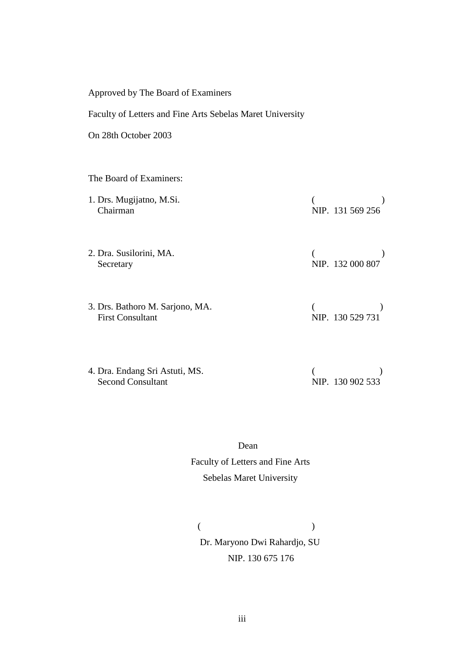| Approved by The Board of Examiners                         |                  |  |  |
|------------------------------------------------------------|------------------|--|--|
| Faculty of Letters and Fine Arts Sebelas Maret University  |                  |  |  |
| On 28th October 2003                                       |                  |  |  |
|                                                            |                  |  |  |
| The Board of Examiners:                                    |                  |  |  |
| 1. Drs. Mugijatno, M.Si.<br>Chairman                       | NIP. 131 569 256 |  |  |
| 2. Dra. Susilorini, MA.<br>Secretary                       | NIP. 132 000 807 |  |  |
| 3. Drs. Bathoro M. Sarjono, MA.<br><b>First Consultant</b> | NIP. 130 529 731 |  |  |
|                                                            |                  |  |  |

| 4. Dra. Endang Sri Astuti, MS. |                  |
|--------------------------------|------------------|
| <b>Second Consultant</b>       | NIP. 130 902 533 |

 Dean Faculty of Letters and Fine Arts

# Sebelas Maret University

 $($ Dr. Maryono Dwi Rahardjo, SU NIP. 130 675 176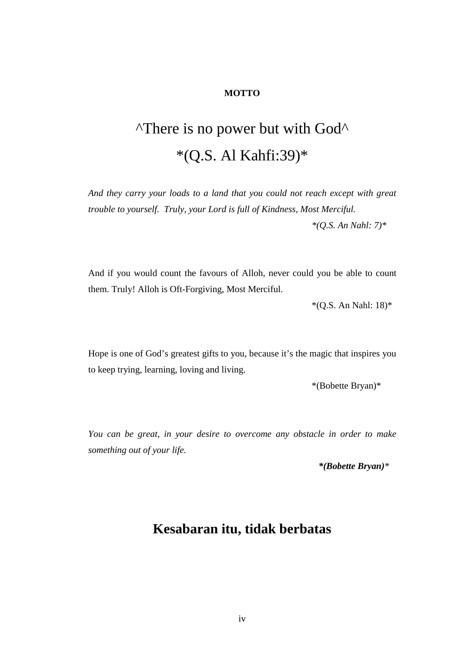# **MOTTO**

# ^There is no power but with God^ \*(Q.S. Al Kahfi:39)\*

*And they carry your loads to a land that you could not reach except with great trouble to yourself. Truly, your Lord is full of Kindness, Most Merciful.* 

*\*(Q.S. An Nahl: 7)\** 

And if you would count the favours of Alloh, never could you be able to count them. Truly! Alloh is Oft-Forgiving, Most Merciful.

\*(Q.S. An Nahl: 18)\*

Hope is one of God's greatest gifts to you, because it's the magic that inspires you to keep trying, learning, loving and living.

\*(Bobette Bryan)\*

*You can be great, in your desire to overcome any obstacle in order to make something out of your life.* 

*\*(Bobette Bryan)\** 

# **Kesabaran itu, tidak berbatas**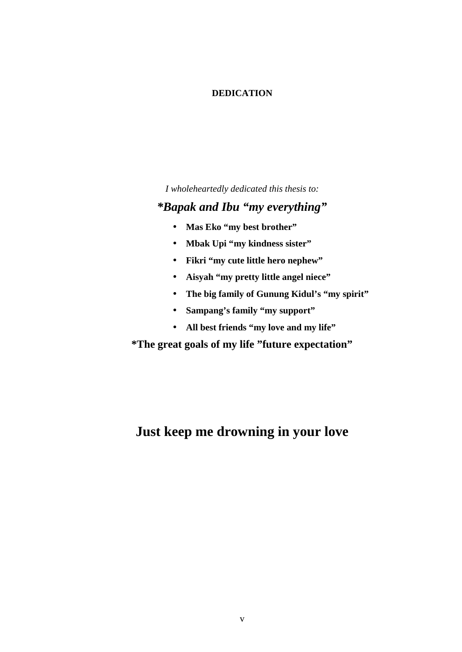# **DEDICATION**

*I wholeheartedly dedicated this thesis to:* 

# *\*Bapak and Ibu "my everything"*

- **Mas Eko "my best brother"**
- **Mbak Upi "my kindness sister"**
- **Fikri "my cute little hero nephew"**
- **Aisyah "my pretty little angel niece"**
- **The big family of Gunung Kidul's "my spirit"**
- **Sampang's family "my support"**
- **All best friends "my love and my life"**

**\*The great goals of my life "future expectation"** 

# **Just keep me drowning in your love**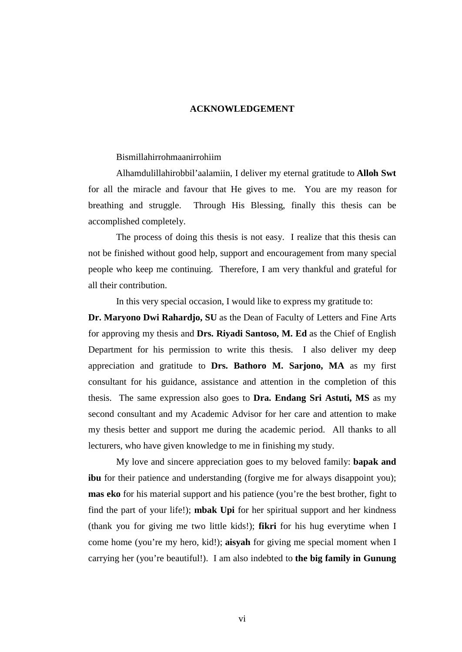#### **ACKNOWLEDGEMENT**

# Bismillahirrohmaanirrohiim

Alhamdulillahirobbil'aalamiin, I deliver my eternal gratitude to **Alloh Swt** for all the miracle and favour that He gives to me. You are my reason for breathing and struggle. Through His Blessing, finally this thesis can be accomplished completely.

The process of doing this thesis is not easy. I realize that this thesis can not be finished without good help, support and encouragement from many special people who keep me continuing. Therefore, I am very thankful and grateful for all their contribution.

In this very special occasion, I would like to express my gratitude to:

**Dr. Maryono Dwi Rahardjo, SU** as the Dean of Faculty of Letters and Fine Arts for approving my thesis and **Drs. Riyadi Santoso, M. Ed** as the Chief of English Department for his permission to write this thesis. I also deliver my deep appreciation and gratitude to **Drs. Bathoro M. Sarjono, MA** as my first consultant for his guidance, assistance and attention in the completion of this thesis. The same expression also goes to **Dra. Endang Sri Astuti, MS** as my second consultant and my Academic Advisor for her care and attention to make my thesis better and support me during the academic period. All thanks to all lecturers, who have given knowledge to me in finishing my study.

My love and sincere appreciation goes to my beloved family: **bapak and ibu** for their patience and understanding (forgive me for always disappoint you); **mas eko** for his material support and his patience (you're the best brother, fight to find the part of your life!); **mbak Upi** for her spiritual support and her kindness (thank you for giving me two little kids!); **fikri** for his hug everytime when I come home (you're my hero, kid!); **aisyah** for giving me special moment when I carrying her (you're beautiful!). I am also indebted to **the big family in Gunung**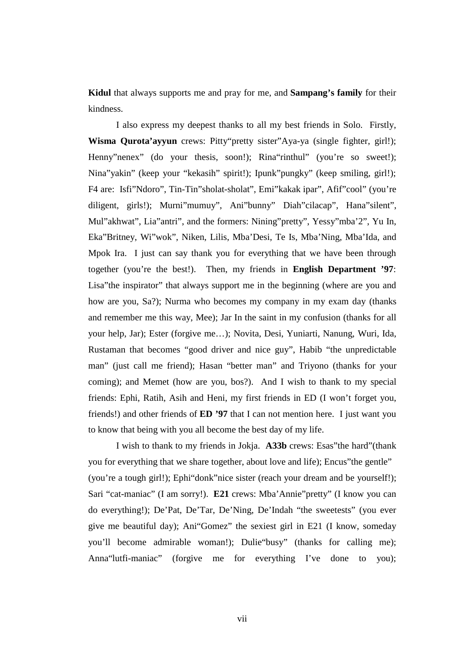**Kidul** that always supports me and pray for me, and **Sampang's family** for their kindness.

I also express my deepest thanks to all my best friends in Solo. Firstly, **Wisma Qurota'ayyun** crews: Pitty"pretty sister"Aya-ya (single fighter, girl!); Henny"nenex" (do your thesis, soon!); Rina"rinthul" (you're so sweet!); Nina"yakin" (keep your "kekasih" spirit!); Ipunk"pungky" (keep smiling, girl!); F4 are: Isfi"Ndoro", Tin-Tin"sholat-sholat", Emi"kakak ipar", Afif"cool" (you're diligent, girls!); Murni"mumuy", Ani"bunny" Diah"cilacap", Hana"silent", Mul"akhwat", Lia"antri", and the formers: Nining"pretty", Yessy"mba'2", Yu In, Eka"Britney, Wi"wok", Niken, Lilis, Mba'Desi, Te Is, Mba'Ning, Mba'Ida, and Mpok Ira. I just can say thank you for everything that we have been through together (you're the best!). Then, my friends in **English Department '97**: Lisa"the inspirator" that always support me in the beginning (where are you and how are you, Sa?); Nurma who becomes my company in my exam day (thanks and remember me this way, Mee); Jar In the saint in my confusion (thanks for all your help, Jar); Ester (forgive me…); Novita, Desi, Yuniarti, Nanung, Wuri, Ida, Rustaman that becomes "good driver and nice guy", Habib "the unpredictable man" (just call me friend); Hasan "better man" and Triyono (thanks for your coming); and Memet (how are you, bos?). And I wish to thank to my special friends: Ephi, Ratih, Asih and Heni, my first friends in ED (I won't forget you, friends!) and other friends of **ED '97** that I can not mention here. I just want you to know that being with you all become the best day of my life.

I wish to thank to my friends in Jokja. **A33b** crews: Esas"the hard"(thank you for everything that we share together, about love and life); Encus"the gentle" (you're a tough girl!); Ephi"donk"nice sister (reach your dream and be yourself!); Sari "cat-maniac" (I am sorry!). **E21** crews: Mba'Annie"pretty" (I know you can do everything!); De'Pat, De'Tar, De'Ning, De'Indah "the sweetests" (you ever give me beautiful day); Ani"Gomez" the sexiest girl in E21 (I know, someday you'll become admirable woman!); Dulie"busy" (thanks for calling me); Anna"lutfi-maniac" (forgive me for everything I've done to you);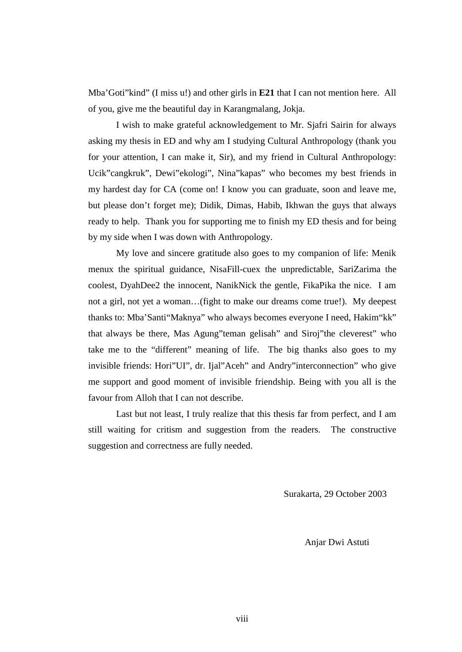Mba'Goti"kind" (I miss u!) and other girls in **E21** that I can not mention here. All of you, give me the beautiful day in Karangmalang, Jokja.

I wish to make grateful acknowledgement to Mr. Sjafri Sairin for always asking my thesis in ED and why am I studying Cultural Anthropology (thank you for your attention, I can make it, Sir), and my friend in Cultural Anthropology: Ucik"cangkruk", Dewi"ekologi", Nina"kapas" who becomes my best friends in my hardest day for CA (come on! I know you can graduate, soon and leave me, but please don't forget me); Didik, Dimas, Habib, Ikhwan the guys that always ready to help. Thank you for supporting me to finish my ED thesis and for being by my side when I was down with Anthropology.

My love and sincere gratitude also goes to my companion of life: Menik menux the spiritual guidance, NisaFill-cuex the unpredictable, SariZarima the coolest, DyahDee2 the innocent, NanikNick the gentle, FikaPika the nice. I am not a girl, not yet a woman…(fight to make our dreams come true!). My deepest thanks to: Mba'Santi"Maknya" who always becomes everyone I need, Hakim"kk" that always be there, Mas Agung"teman gelisah" and Siroj"the cleverest" who take me to the "different" meaning of life. The big thanks also goes to my invisible friends: Hori"UI", dr. Ijal"Aceh" and Andry"interconnection" who give me support and good moment of invisible friendship. Being with you all is the favour from Alloh that I can not describe.

Last but not least, I truly realize that this thesis far from perfect, and I am still waiting for critism and suggestion from the readers. The constructive suggestion and correctness are fully needed.

Surakarta, 29 October 2003

Anjar Dwi Astuti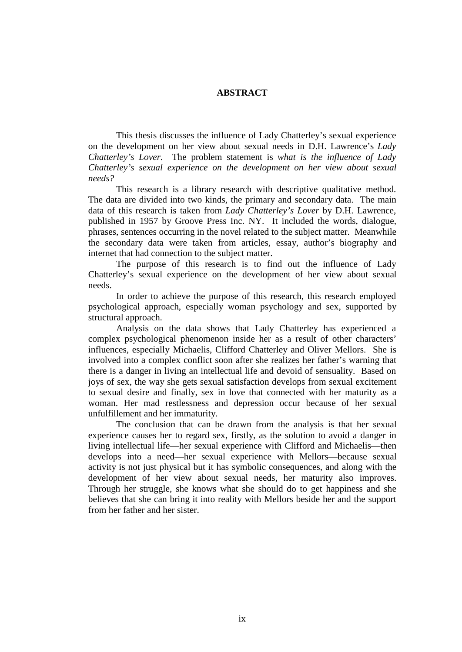### **ABSTRACT**

This thesis discusses the influence of Lady Chatterley's sexual experience on the development on her view about sexual needs in D.H. Lawrence's *Lady Chatterley's Lover*. The problem statement is *what is the influence of Lady Chatterley's sexual experience on the development on her view about sexual needs?* 

This research is a library research with descriptive qualitative method. The data are divided into two kinds, the primary and secondary data. The main data of this research is taken from *Lady Chatterley's Lover* by D.H. Lawrence, published in 1957 by Groove Press Inc. NY. It included the words, dialogue, phrases, sentences occurring in the novel related to the subject matter. Meanwhile the secondary data were taken from articles, essay, author's biography and internet that had connection to the subject matter.

The purpose of this research is to find out the influence of Lady Chatterley's sexual experience on the development of her view about sexual needs.

In order to achieve the purpose of this research, this research employed psychological approach, especially woman psychology and sex, supported by structural approach.

Analysis on the data shows that Lady Chatterley has experienced a complex psychological phenomenon inside her as a result of other characters' influences, especially Michaelis, Clifford Chatterley and Oliver Mellors. She is involved into a complex conflict soon after she realizes her father's warning that there is a danger in living an intellectual life and devoid of sensuality. Based on joys of sex, the way she gets sexual satisfaction develops from sexual excitement to sexual desire and finally, sex in love that connected with her maturity as a woman. Her mad restlessness and depression occur because of her sexual unfulfillement and her immaturity.

The conclusion that can be drawn from the analysis is that her sexual experience causes her to regard sex, firstly, as the solution to avoid a danger in living intellectual life—her sexual experience with Clifford and Michaelis—then develops into a need—her sexual experience with Mellors—because sexual activity is not just physical but it has symbolic consequences, and along with the development of her view about sexual needs, her maturity also improves. Through her struggle, she knows what she should do to get happiness and she believes that she can bring it into reality with Mellors beside her and the support from her father and her sister.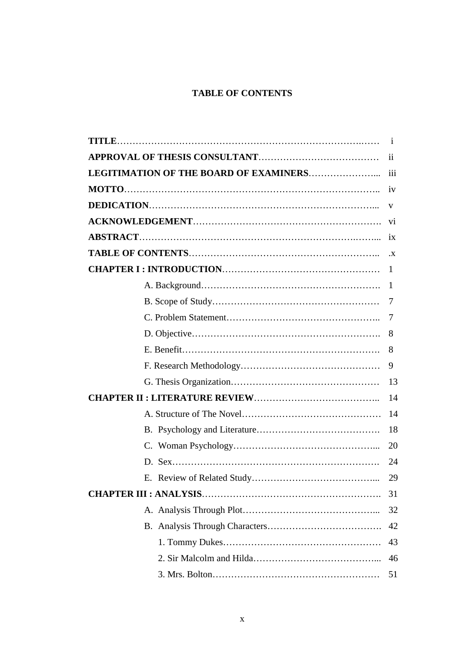# **TABLE OF CONTENTS**

|                                        | $\mathbf{1}$    |
|----------------------------------------|-----------------|
|                                        | $\overline{11}$ |
| LEGITIMATION OF THE BOARD OF EXAMINERS | 111             |
|                                        | iv              |
|                                        | V               |
|                                        | vi              |
|                                        | 1X              |
|                                        | $\cdot$ X       |
|                                        | $\mathbf{1}$    |
|                                        | $\mathbf 1$     |
|                                        | 7               |
|                                        | 7               |
|                                        | 8               |
|                                        | 8               |
|                                        | 9               |
|                                        | 13              |
|                                        | 14              |
|                                        | 14              |
|                                        | 18              |
|                                        | 20              |
|                                        | 24              |
|                                        | 29              |
|                                        | 31              |
|                                        | 32              |
|                                        | 42              |
|                                        | 43              |
|                                        | 46              |
|                                        | 51              |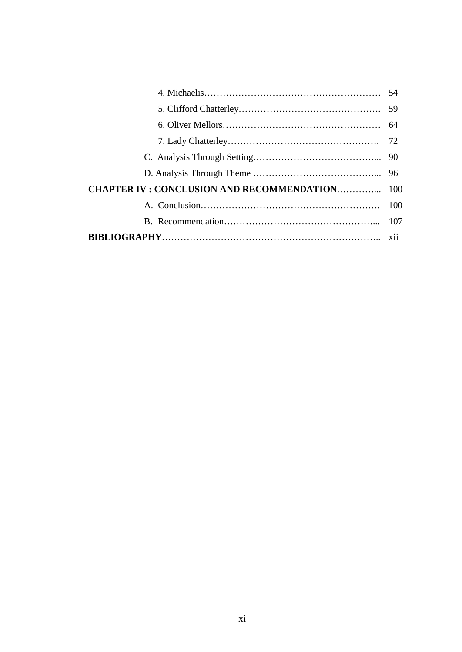| <b>CHAPTER IV: CONCLUSION AND RECOMMENDATION 100</b> |  |
|------------------------------------------------------|--|
|                                                      |  |
|                                                      |  |
|                                                      |  |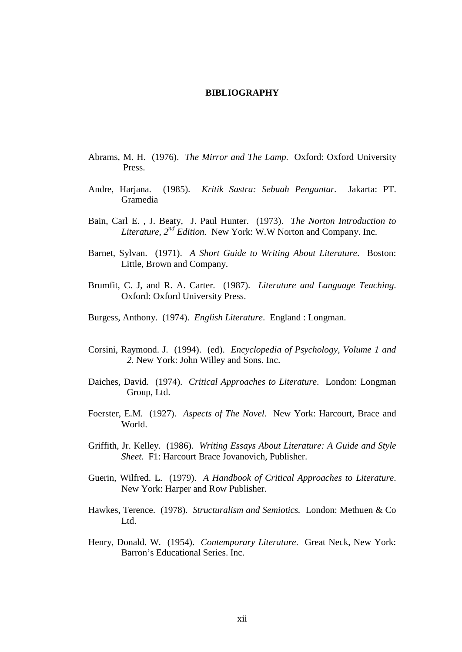#### **BIBLIOGRAPHY**

- Abrams, M. H. (1976). *The Mirror and The Lamp*. Oxford: Oxford University Press.
- Andre, Harjana. (1985). *Kritik Sastra: Sebuah Pengantar.* Jakarta: PT. Gramedia
- Bain, Carl E. , J. Beaty, J. Paul Hunter. (1973). *The Norton Introduction to Literature, 2nd Edition.* New York: W.W Norton and Company. Inc.
- Barnet, Sylvan. (1971). *A Short Guide to Writing About Literature*. Boston: Little, Brown and Company.
- Brumfit, C. J, and R. A. Carter. (1987). *Literature and Language Teaching*. Oxford: Oxford University Press.
- Burgess, Anthony. (1974). *English Literature*. England : Longman.
- Corsini, Raymond. J. (1994). (ed). *Encyclopedia of Psychology, Volume 1 and 2*. New York: John Willey and Sons. Inc.
- Daiches, David. (1974). *Critical Approaches to Literature*. London: Longman Group, Ltd.
- Foerster, E.M. (1927). *Aspects of The Novel*. New York: Harcourt, Brace and World.
- Griffith, Jr. Kelley. (1986). *Writing Essays About Literature: A Guide and Style Sheet*. F1: Harcourt Brace Jovanovich, Publisher.
- Guerin, Wilfred. L. (1979). *A Handbook of Critical Approaches to Literature*. New York: Harper and Row Publisher.
- Hawkes, Terence. (1978). *Structuralism and Semiotics.* London: Methuen & Co Ltd.
- Henry, Donald. W. (1954). *Contemporary Literature*. Great Neck, New York: Barron's Educational Series. Inc.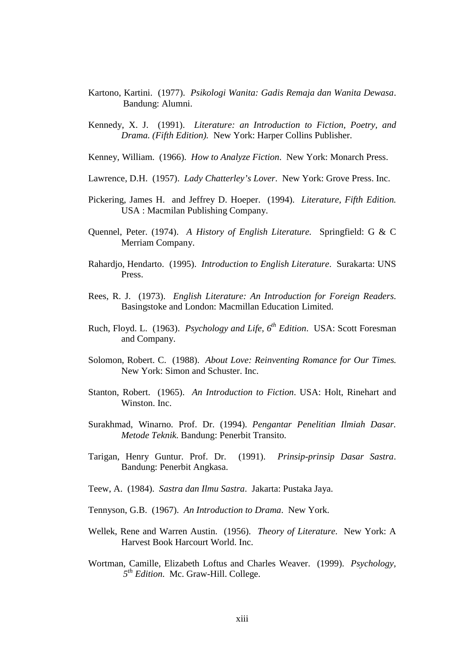- Kartono, Kartini. (1977). *Psikologi Wanita: Gadis Remaja dan Wanita Dewasa*. Bandung: Alumni.
- Kennedy, X. J. (1991). *Literature: an Introduction to Fiction, Poetry, and Drama. (Fifth Edition).* New York: Harper Collins Publisher.
- Kenney, William. (1966). *How to Analyze Fiction*. New York: Monarch Press.
- Lawrence, D.H. (1957). *Lady Chatterley's Lover*. New York: Grove Press. Inc.
- Pickering, James H. and Jeffrey D. Hoeper. (1994). *Literature, Fifth Edition.* USA : Macmilan Publishing Company.
- Quennel, Peter. (1974). *A History of English Literature.* Springfield: G & C Merriam Company.
- Rahardjo, Hendarto. (1995). *Introduction to English Literature*. Surakarta: UNS Press.
- Rees, R. J. (1973). *English Literature: An Introduction for Foreign Readers*. Basingstoke and London: Macmillan Education Limited.
- Ruch, Floyd. L. (1963). *Psychology and Life, 6th Edition*. USA: Scott Foresman and Company.
- Solomon, Robert. C. (1988). *About Love: Reinventing Romance for Our Times*. New York: Simon and Schuster. Inc.
- Stanton, Robert. (1965). *An Introduction to Fiction*. USA: Holt, Rinehart and Winston. Inc.
- Surakhmad, Winarno. Prof. Dr. (1994). *Pengantar Penelitian Ilmiah Dasar. Metode Teknik*. Bandung: Penerbit Transito.
- Tarigan, Henry Guntur. Prof. Dr. (1991). *Prinsip-prinsip Dasar Sastra*. Bandung: Penerbit Angkasa.
- Teew, A. (1984). *Sastra dan Ilmu Sastra*. Jakarta: Pustaka Jaya.
- Tennyson, G.B. (1967). *An Introduction to Drama*. New York.
- Wellek, Rene and Warren Austin. (1956). *Theory of Literature*. New York: A Harvest Book Harcourt World. Inc.
- Wortman, Camille, Elizabeth Loftus and Charles Weaver. (1999). *Psychology, 5 th Edition*. Mc. Graw-Hill. College.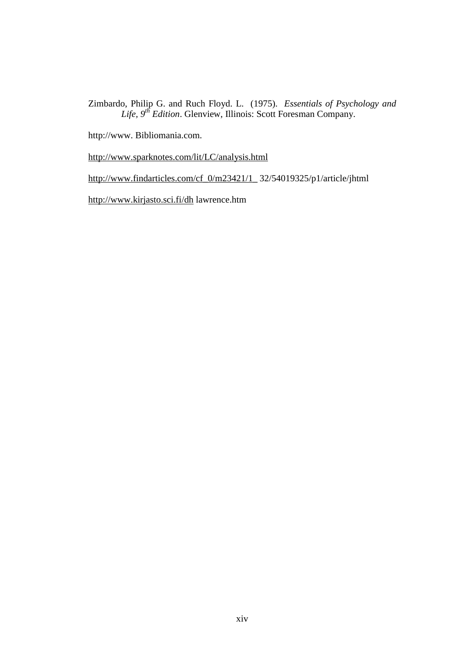Zimbardo, Philip G. and Ruch Floyd. L. (1975). *Essentials of Psychology and Life, 9th Edition*. Glenview, Illinois: Scott Foresman Company.

http://www. Bibliomania.com.

<http://www.sparknotes.com/lit/LC/analysis.html>

[http://www.findarticles.com/cf\\_0/m23421/1\\_](http://www.findarticles.com/cf_0/m23421/1_) 32/54019325/p1/article/jhtml

<http://www.kirjasto.sci.fi/dh> lawrence.htm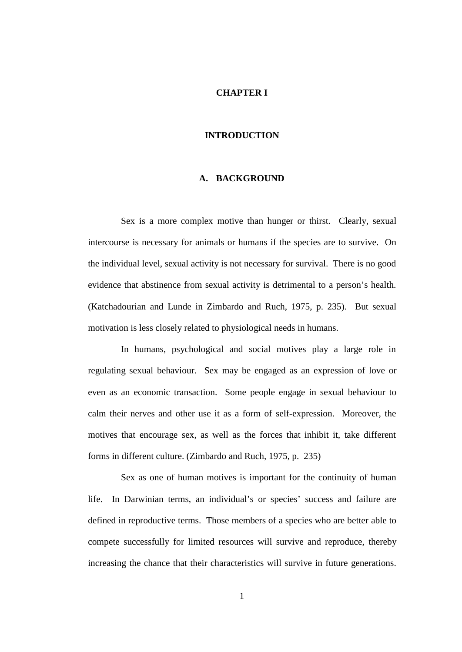#### **CHAPTER I**

#### **INTRODUCTION**

#### **A. BACKGROUND**

Sex is a more complex motive than hunger or thirst. Clearly, sexual intercourse is necessary for animals or humans if the species are to survive. On the individual level, sexual activity is not necessary for survival. There is no good evidence that abstinence from sexual activity is detrimental to a person's health. (Katchadourian and Lunde in Zimbardo and Ruch, 1975, p. 235). But sexual motivation is less closely related to physiological needs in humans.

In humans, psychological and social motives play a large role in regulating sexual behaviour. Sex may be engaged as an expression of love or even as an economic transaction. Some people engage in sexual behaviour to calm their nerves and other use it as a form of self-expression. Moreover, the motives that encourage sex, as well as the forces that inhibit it, take different forms in different culture. (Zimbardo and Ruch, 1975, p. 235)

Sex as one of human motives is important for the continuity of human life. In Darwinian terms, an individual's or species' success and failure are defined in reproductive terms. Those members of a species who are better able to compete successfully for limited resources will survive and reproduce, thereby increasing the chance that their characteristics will survive in future generations.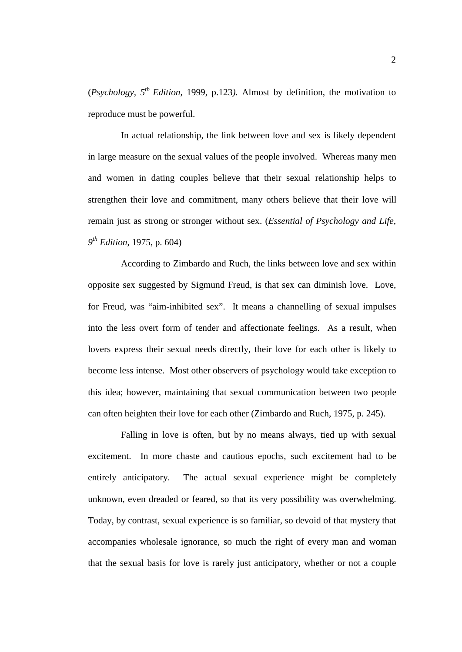(*Psychology, 5th Edition,* 1999, p.123*).* Almost by definition, the motivation to reproduce must be powerful.

In actual relationship, the link between love and sex is likely dependent in large measure on the sexual values of the people involved. Whereas many men and women in dating couples believe that their sexual relationship helps to strengthen their love and commitment, many others believe that their love will remain just as strong or stronger without sex. (*Essential of Psychology and Life, 9 th Edition*, 1975, p. 604)

According to Zimbardo and Ruch, the links between love and sex within opposite sex suggested by Sigmund Freud, is that sex can diminish love. Love, for Freud, was "aim-inhibited sex". It means a channelling of sexual impulses into the less overt form of tender and affectionate feelings. As a result, when lovers express their sexual needs directly, their love for each other is likely to become less intense. Most other observers of psychology would take exception to this idea; however, maintaining that sexual communication between two people can often heighten their love for each other (Zimbardo and Ruch, 1975, p. 245).

Falling in love is often, but by no means always, tied up with sexual excitement. In more chaste and cautious epochs, such excitement had to be entirely anticipatory. The actual sexual experience might be completely unknown, even dreaded or feared, so that its very possibility was overwhelming. Today, by contrast, sexual experience is so familiar, so devoid of that mystery that accompanies wholesale ignorance, so much the right of every man and woman that the sexual basis for love is rarely just anticipatory, whether or not a couple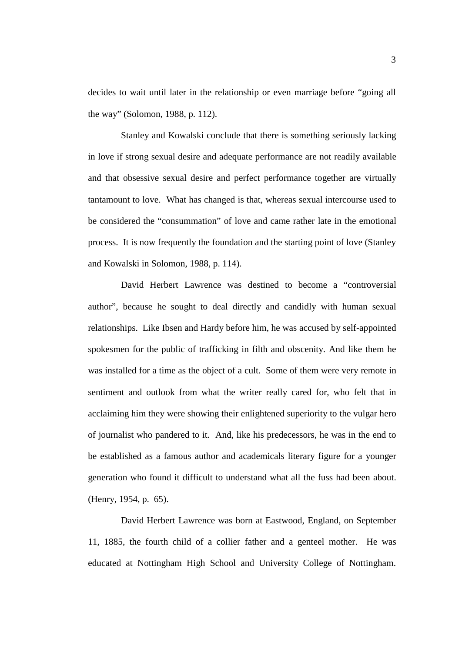decides to wait until later in the relationship or even marriage before "going all the way" (Solomon, 1988, p. 112).

Stanley and Kowalski conclude that there is something seriously lacking in love if strong sexual desire and adequate performance are not readily available and that obsessive sexual desire and perfect performance together are virtually tantamount to love. What has changed is that, whereas sexual intercourse used to be considered the "consummation" of love and came rather late in the emotional process. It is now frequently the foundation and the starting point of love (Stanley and Kowalski in Solomon, 1988, p. 114).

David Herbert Lawrence was destined to become a "controversial author", because he sought to deal directly and candidly with human sexual relationships. Like Ibsen and Hardy before him, he was accused by self-appointed spokesmen for the public of trafficking in filth and obscenity. And like them he was installed for a time as the object of a cult. Some of them were very remote in sentiment and outlook from what the writer really cared for, who felt that in acclaiming him they were showing their enlightened superiority to the vulgar hero of journalist who pandered to it. And, like his predecessors, he was in the end to be established as a famous author and academicals literary figure for a younger generation who found it difficult to understand what all the fuss had been about. (Henry, 1954, p. 65).

David Herbert Lawrence was born at Eastwood, England, on September 11, 1885, the fourth child of a collier father and a genteel mother. He was educated at Nottingham High School and University College of Nottingham.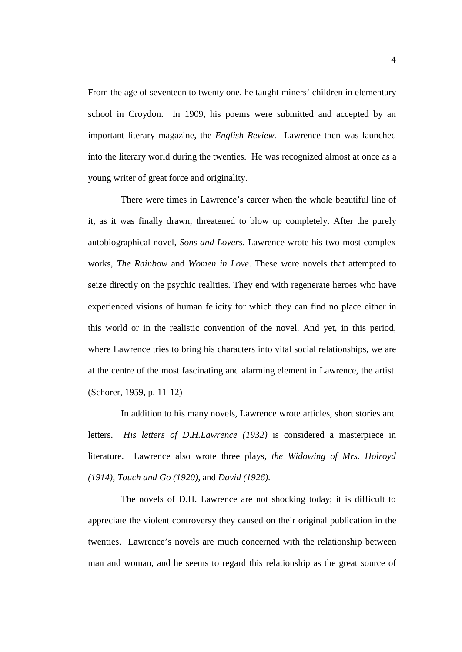From the age of seventeen to twenty one, he taught miners' children in elementary school in Croydon. In 1909, his poems were submitted and accepted by an important literary magazine, the *English Review.* Lawrence then was launched into the literary world during the twenties. He was recognized almost at once as a young writer of great force and originality.

There were times in Lawrence's career when the whole beautiful line of it, as it was finally drawn, threatened to blow up completely. After the purely autobiographical novel, *Sons and Lovers,* Lawrence wrote his two most complex works, *The Rainbow* and *Women in Love*. These were novels that attempted to seize directly on the psychic realities. They end with regenerate heroes who have experienced visions of human felicity for which they can find no place either in this world or in the realistic convention of the novel. And yet, in this period, where Lawrence tries to bring his characters into vital social relationships, we are at the centre of the most fascinating and alarming element in Lawrence, the artist. (Schorer, 1959, p. 11-12)

In addition to his many novels, Lawrence wrote articles, short stories and letters. *His letters of D.H.Lawrence (1932)* is considered a masterpiece in literature. Lawrence also wrote three plays, *the Widowing of Mrs. Holroyd (1914), Touch and Go (1920),* and *David (1926).* 

The novels of D.H. Lawrence are not shocking today; it is difficult to appreciate the violent controversy they caused on their original publication in the twenties. Lawrence's novels are much concerned with the relationship between man and woman, and he seems to regard this relationship as the great source of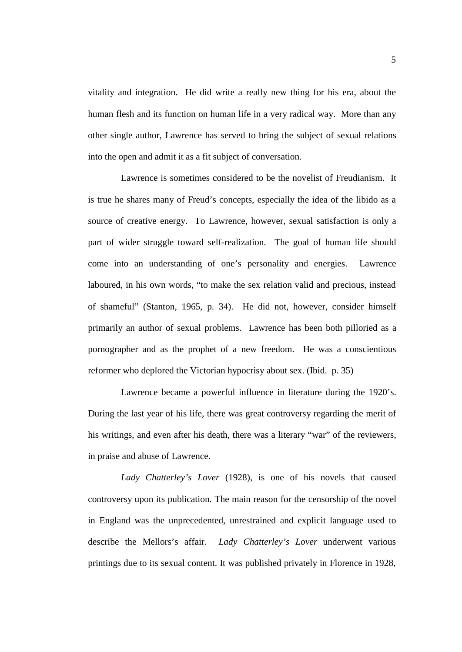vitality and integration. He did write a really new thing for his era, about the human flesh and its function on human life in a very radical way. More than any other single author, Lawrence has served to bring the subject of sexual relations into the open and admit it as a fit subject of conversation.

Lawrence is sometimes considered to be the novelist of Freudianism. It is true he shares many of Freud's concepts, especially the idea of the libido as a source of creative energy. To Lawrence, however, sexual satisfaction is only a part of wider struggle toward self-realization. The goal of human life should come into an understanding of one's personality and energies. Lawrence laboured, in his own words, "to make the sex relation valid and precious, instead of shameful" (Stanton, 1965, p. 34). He did not, however, consider himself primarily an author of sexual problems. Lawrence has been both pilloried as a pornographer and as the prophet of a new freedom. He was a conscientious reformer who deplored the Victorian hypocrisy about sex. (Ibid. p. 35)

Lawrence became a powerful influence in literature during the 1920's. During the last year of his life, there was great controversy regarding the merit of his writings, and even after his death, there was a literary "war" of the reviewers, in praise and abuse of Lawrence.

*Lady Chatterley's Lover* (1928), is one of his novels that caused controversy upon its publication. The main reason for the censorship of the novel in England was the unprecedented, unrestrained and explicit language used to describe the Mellors's affair. *Lady Chatterley's Lover* underwent various printings due to its sexual content. It was published privately in Florence in 1928,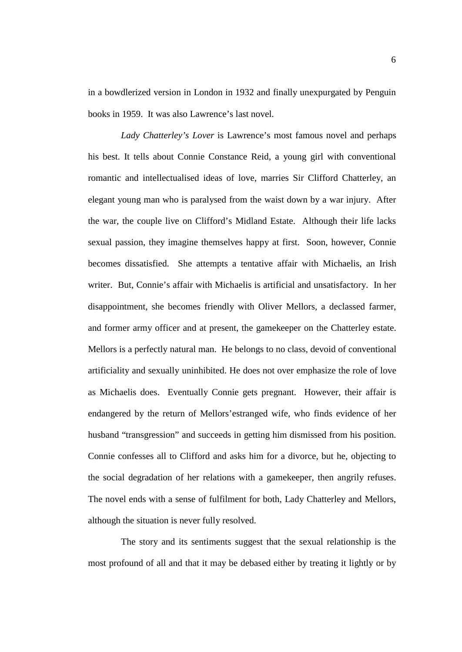in a bowdlerized version in London in 1932 and finally unexpurgated by Penguin books in 1959. It was also Lawrence's last novel.

*Lady Chatterley's Lover* is Lawrence's most famous novel and perhaps his best. It tells about Connie Constance Reid, a young girl with conventional romantic and intellectualised ideas of love, marries Sir Clifford Chatterley, an elegant young man who is paralysed from the waist down by a war injury. After the war, the couple live on Clifford's Midland Estate. Although their life lacks sexual passion, they imagine themselves happy at first. Soon, however, Connie becomes dissatisfied. She attempts a tentative affair with Michaelis, an Irish writer. But, Connie's affair with Michaelis is artificial and unsatisfactory. In her disappointment, she becomes friendly with Oliver Mellors, a declassed farmer, and former army officer and at present, the gamekeeper on the Chatterley estate. Mellors is a perfectly natural man. He belongs to no class, devoid of conventional artificiality and sexually uninhibited. He does not over emphasize the role of love as Michaelis does. Eventually Connie gets pregnant. However, their affair is endangered by the return of Mellors'estranged wife, who finds evidence of her husband "transgression" and succeeds in getting him dismissed from his position. Connie confesses all to Clifford and asks him for a divorce, but he, objecting to the social degradation of her relations with a gamekeeper, then angrily refuses. The novel ends with a sense of fulfilment for both, Lady Chatterley and Mellors, although the situation is never fully resolved.

The story and its sentiments suggest that the sexual relationship is the most profound of all and that it may be debased either by treating it lightly or by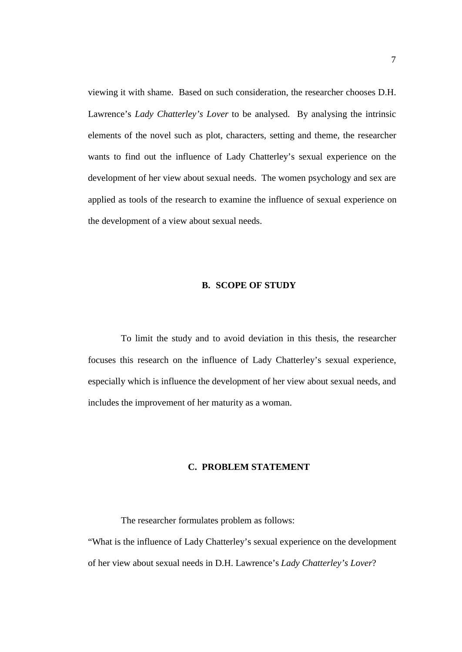viewing it with shame. Based on such consideration, the researcher chooses D.H. Lawrence's *Lady Chatterley's Lover* to be analysed. By analysing the intrinsic elements of the novel such as plot, characters, setting and theme, the researcher wants to find out the influence of Lady Chatterley's sexual experience on the development of her view about sexual needs. The women psychology and sex are applied as tools of the research to examine the influence of sexual experience on the development of a view about sexual needs.

#### **B. SCOPE OF STUDY**

To limit the study and to avoid deviation in this thesis, the researcher focuses this research on the influence of Lady Chatterley's sexual experience, especially which is influence the development of her view about sexual needs, and includes the improvement of her maturity as a woman.

# **C. PROBLEM STATEMENT**

The researcher formulates problem as follows:

"What is the influence of Lady Chatterley's sexual experience on the development of her view about sexual needs in D.H. Lawrence's *Lady Chatterley's Lover*?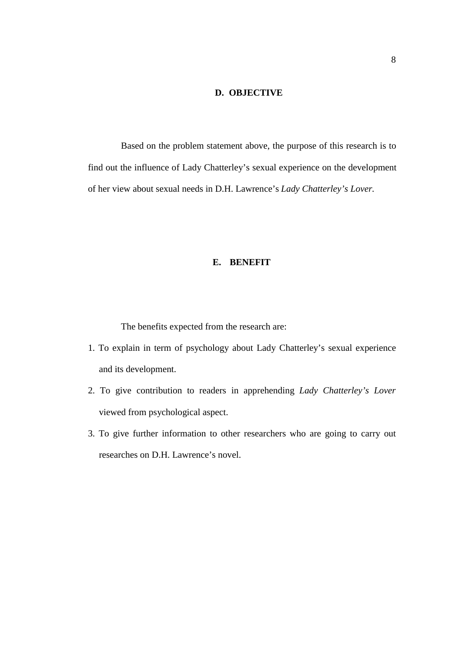# **D. OBJECTIVE**

Based on the problem statement above, the purpose of this research is to find out the influence of Lady Chatterley's sexual experience on the development of her view about sexual needs in D.H. Lawrence's *Lady Chatterley's Lover.*

# **E. BENEFIT**

The benefits expected from the research are:

- 1. To explain in term of psychology about Lady Chatterley's sexual experience and its development.
- 2. To give contribution to readers in apprehending *Lady Chatterley's Lover* viewed from psychological aspect.
- 3. To give further information to other researchers who are going to carry out researches on D.H. Lawrence's novel.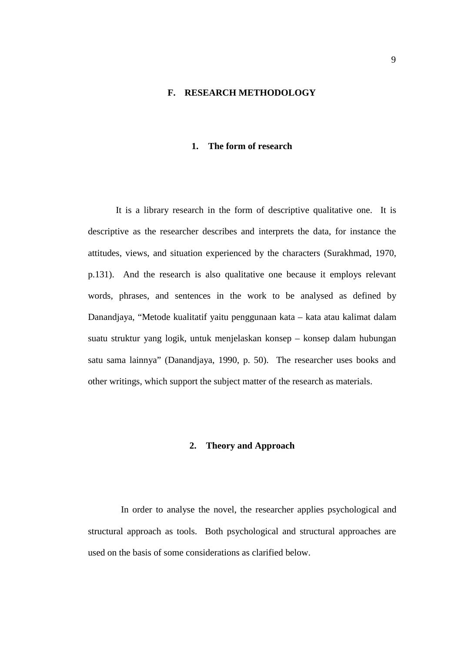### **F. RESEARCH METHODOLOGY**

#### **1. The form of research**

It is a library research in the form of descriptive qualitative one. It is descriptive as the researcher describes and interprets the data, for instance the attitudes, views, and situation experienced by the characters (Surakhmad, 1970, p.131). And the research is also qualitative one because it employs relevant words, phrases, and sentences in the work to be analysed as defined by Danandjaya, "Metode kualitatif yaitu penggunaan kata – kata atau kalimat dalam suatu struktur yang logik, untuk menjelaskan konsep – konsep dalam hubungan satu sama lainnya" (Danandjaya, 1990, p. 50). The researcher uses books and other writings, which support the subject matter of the research as materials.

#### **2. Theory and Approach**

In order to analyse the novel, the researcher applies psychological and structural approach as tools. Both psychological and structural approaches are used on the basis of some considerations as clarified below.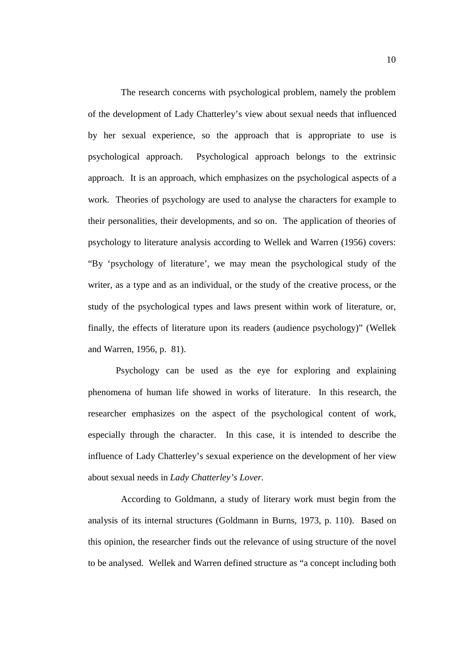The research concerns with psychological problem, namely the problem of the development of Lady Chatterley's view about sexual needs that influenced by her sexual experience, so the approach that is appropriate to use is psychological approach. Psychological approach belongs to the extrinsic approach. It is an approach, which emphasizes on the psychological aspects of a work. Theories of psychology are used to analyse the characters for example to their personalities, their developments, and so on. The application of theories of psychology to literature analysis according to Wellek and Warren (1956) covers: "By 'psychology of literature', we may mean the psychological study of the writer, as a type and as an individual, or the study of the creative process, or the study of the psychological types and laws present within work of literature, or, finally, the effects of literature upon its readers (audience psychology)" (Wellek and Warren, 1956, p. 81).

Psychology can be used as the eye for exploring and explaining phenomena of human life showed in works of literature. In this research, the researcher emphasizes on the aspect of the psychological content of work, especially through the character. In this case, it is intended to describe the influence of Lady Chatterley's sexual experience on the development of her view about sexual needs in *Lady Chatterley's Lover*.

According to Goldmann, a study of literary work must begin from the analysis of its internal structures (Goldmann in Burns, 1973, p. 110). Based on this opinion, the researcher finds out the relevance of using structure of the novel to be analysed. Wellek and Warren defined structure as "a concept including both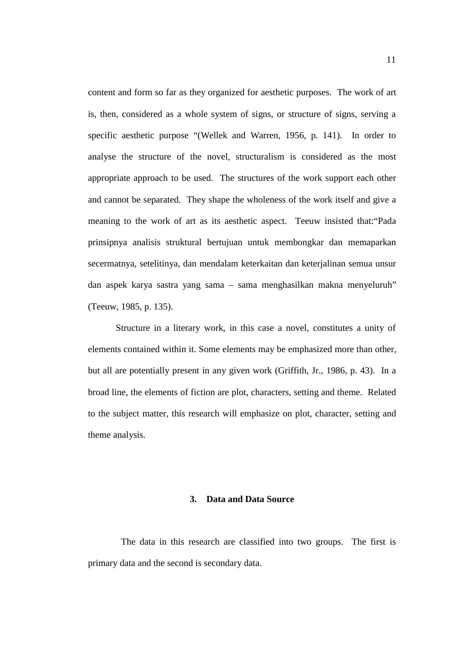content and form so far as they organized for aesthetic purposes. The work of art is, then, considered as a whole system of signs, or structure of signs, serving a specific aesthetic purpose "(Wellek and Warren, 1956, p. 141). In order to analyse the structure of the novel, structuralism is considered as the most appropriate approach to be used. The structures of the work support each other and cannot be separated. They shape the wholeness of the work itself and give a meaning to the work of art as its aesthetic aspect. Teeuw insisted that:"Pada prinsipnya analisis struktural bertujuan untuk membongkar dan memaparkan secermatnya, setelitinya, dan mendalam keterkaitan dan keterjalinan semua unsur dan aspek karya sastra yang sama – sama menghasilkan makna menyeluruh" (Teeuw, 1985, p. 135).

Structure in a literary work, in this case a novel, constitutes a unity of elements contained within it. Some elements may be emphasized more than other, but all are potentially present in any given work (Griffith, Jr., 1986, p. 43). In a broad line, the elements of fiction are plot, characters, setting and theme. Related to the subject matter, this research will emphasize on plot, character, setting and theme analysis.

# **3. Data and Data Source**

The data in this research are classified into two groups. The first is primary data and the second is secondary data.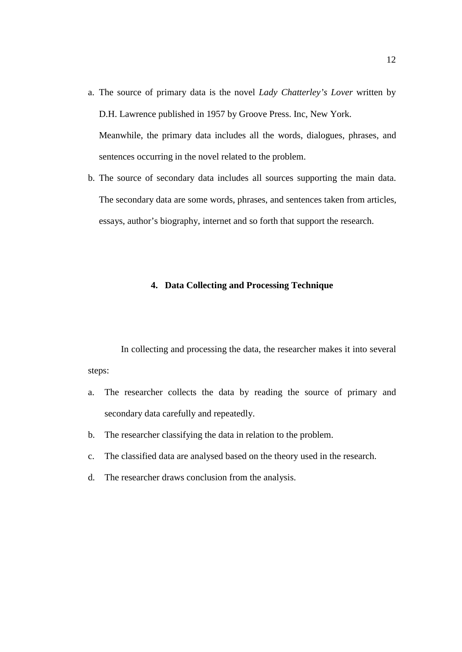- a. The source of primary data is the novel *Lady Chatterley's Lover* written by D.H. Lawrence published in 1957 by Groove Press. Inc, New York. Meanwhile, the primary data includes all the words, dialogues, phrases, and sentences occurring in the novel related to the problem.
- b. The source of secondary data includes all sources supporting the main data. The secondary data are some words, phrases, and sentences taken from articles, essays, author's biography, internet and so forth that support the research.

### **4. Data Collecting and Processing Technique**

In collecting and processing the data, the researcher makes it into several steps:

- a. The researcher collects the data by reading the source of primary and secondary data carefully and repeatedly.
- b. The researcher classifying the data in relation to the problem.
- c. The classified data are analysed based on the theory used in the research.
- d. The researcher draws conclusion from the analysis.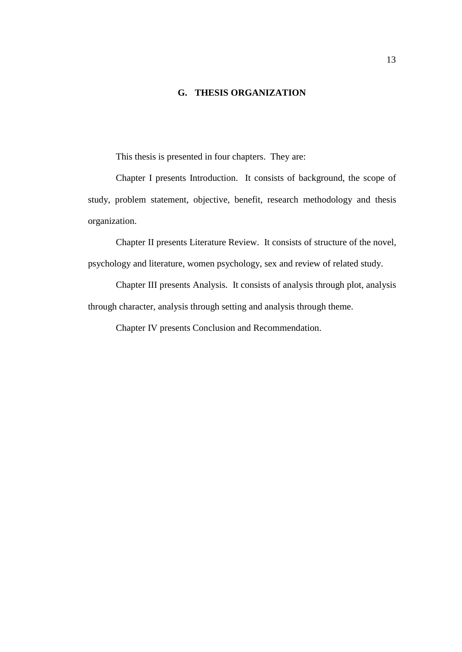# **G. THESIS ORGANIZATION**

This thesis is presented in four chapters. They are:

Chapter I presents Introduction. It consists of background, the scope of study, problem statement, objective, benefit, research methodology and thesis organization.

Chapter II presents Literature Review. It consists of structure of the novel, psychology and literature, women psychology, sex and review of related study.

Chapter III presents Analysis. It consists of analysis through plot, analysis through character, analysis through setting and analysis through theme.

Chapter IV presents Conclusion and Recommendation.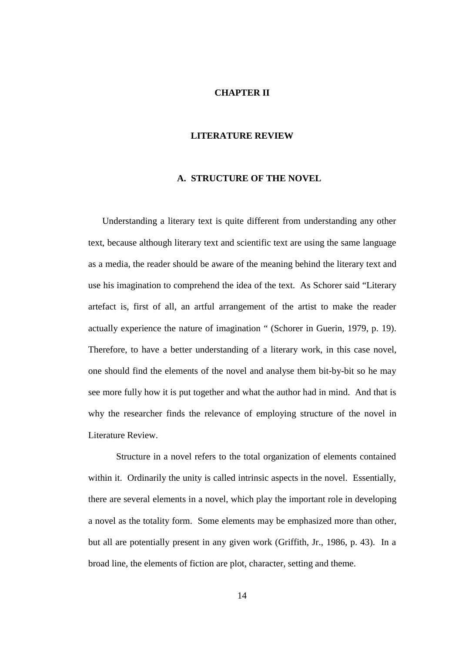### **CHAPTER II**

#### **LITERATURE REVIEW**

#### **A. STRUCTURE OF THE NOVEL**

Understanding a literary text is quite different from understanding any other text, because although literary text and scientific text are using the same language as a media, the reader should be aware of the meaning behind the literary text and use his imagination to comprehend the idea of the text. As Schorer said "Literary artefact is, first of all, an artful arrangement of the artist to make the reader actually experience the nature of imagination " (Schorer in Guerin, 1979, p. 19). Therefore, to have a better understanding of a literary work, in this case novel, one should find the elements of the novel and analyse them bit-by-bit so he may see more fully how it is put together and what the author had in mind. And that is why the researcher finds the relevance of employing structure of the novel in Literature Review.

Structure in a novel refers to the total organization of elements contained within it. Ordinarily the unity is called intrinsic aspects in the novel. Essentially, there are several elements in a novel, which play the important role in developing a novel as the totality form. Some elements may be emphasized more than other, but all are potentially present in any given work (Griffith, Jr., 1986, p. 43). In a broad line, the elements of fiction are plot, character, setting and theme.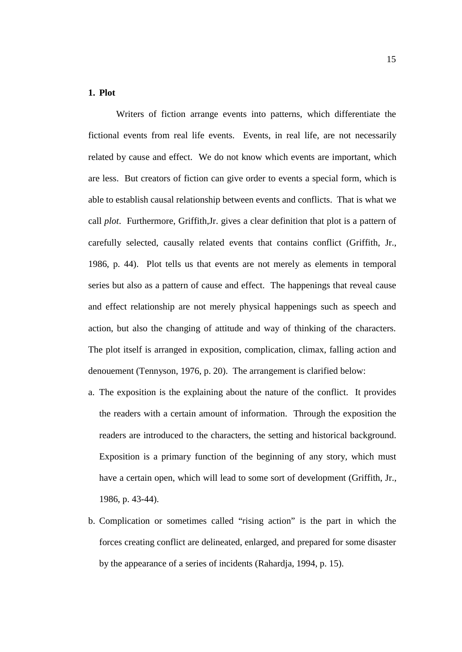# **1. Plot**

Writers of fiction arrange events into patterns, which differentiate the fictional events from real life events. Events, in real life, are not necessarily related by cause and effect. We do not know which events are important, which are less. But creators of fiction can give order to events a special form, which is able to establish causal relationship between events and conflicts. That is what we call *plot*. Furthermore, Griffith,Jr. gives a clear definition that plot is a pattern of carefully selected, causally related events that contains conflict (Griffith, Jr., 1986, p. 44). Plot tells us that events are not merely as elements in temporal series but also as a pattern of cause and effect. The happenings that reveal cause and effect relationship are not merely physical happenings such as speech and action, but also the changing of attitude and way of thinking of the characters. The plot itself is arranged in exposition, complication, climax, falling action and denouement (Tennyson, 1976, p. 20). The arrangement is clarified below:

- a. The exposition is the explaining about the nature of the conflict. It provides the readers with a certain amount of information. Through the exposition the readers are introduced to the characters, the setting and historical background. Exposition is a primary function of the beginning of any story, which must have a certain open, which will lead to some sort of development (Griffith, Jr., 1986, p. 43-44).
- b. Complication or sometimes called "rising action" is the part in which the forces creating conflict are delineated, enlarged, and prepared for some disaster by the appearance of a series of incidents (Rahardja, 1994, p. 15).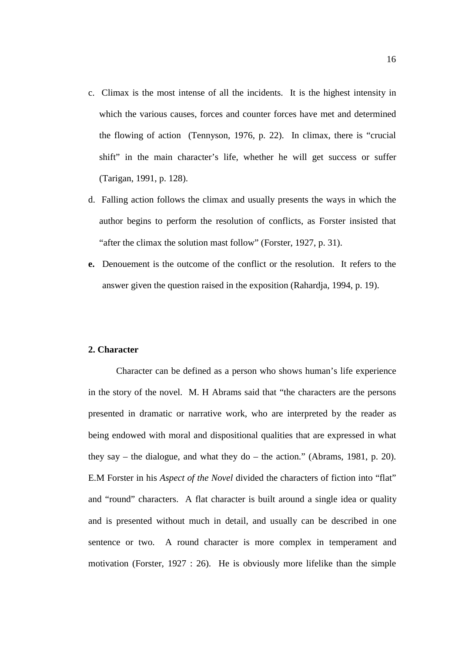- c. Climax is the most intense of all the incidents. It is the highest intensity in which the various causes, forces and counter forces have met and determined the flowing of action (Tennyson, 1976, p. 22). In climax, there is "crucial shift" in the main character's life, whether he will get success or suffer (Tarigan, 1991, p. 128).
- d. Falling action follows the climax and usually presents the ways in which the author begins to perform the resolution of conflicts, as Forster insisted that "after the climax the solution mast follow" (Forster, 1927, p. 31).
- **e.** Denouement is the outcome of the conflict or the resolution. It refers to the answer given the question raised in the exposition (Rahardja, 1994, p. 19).

# **2. Character**

Character can be defined as a person who shows human's life experience in the story of the novel. M. H Abrams said that "the characters are the persons presented in dramatic or narrative work, who are interpreted by the reader as being endowed with moral and dispositional qualities that are expressed in what they say – the dialogue, and what they do – the action." (Abrams, 1981, p. 20). E.M Forster in his *Aspect of the Novel* divided the characters of fiction into "flat" and "round" characters. A flat character is built around a single idea or quality and is presented without much in detail, and usually can be described in one sentence or two. A round character is more complex in temperament and motivation (Forster, 1927 : 26). He is obviously more lifelike than the simple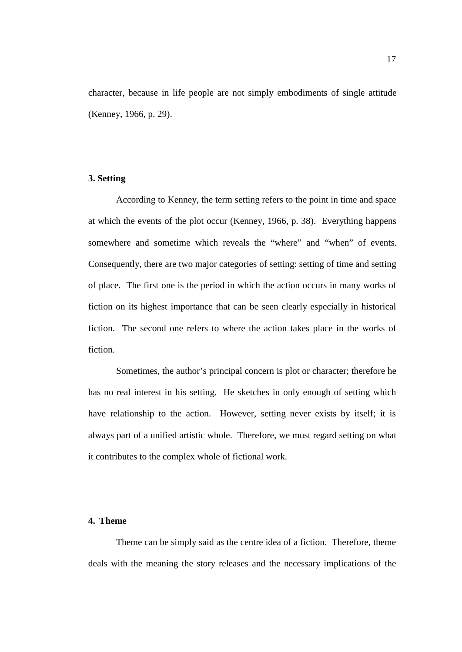character, because in life people are not simply embodiments of single attitude (Kenney, 1966, p. 29).

# **3. Setting**

According to Kenney, the term setting refers to the point in time and space at which the events of the plot occur (Kenney, 1966, p. 38). Everything happens somewhere and sometime which reveals the "where" and "when" of events. Consequently, there are two major categories of setting: setting of time and setting of place. The first one is the period in which the action occurs in many works of fiction on its highest importance that can be seen clearly especially in historical fiction. The second one refers to where the action takes place in the works of fiction.

Sometimes, the author's principal concern is plot or character; therefore he has no real interest in his setting. He sketches in only enough of setting which have relationship to the action. However, setting never exists by itself; it is always part of a unified artistic whole. Therefore, we must regard setting on what it contributes to the complex whole of fictional work.

# **4. Theme**

Theme can be simply said as the centre idea of a fiction. Therefore, theme deals with the meaning the story releases and the necessary implications of the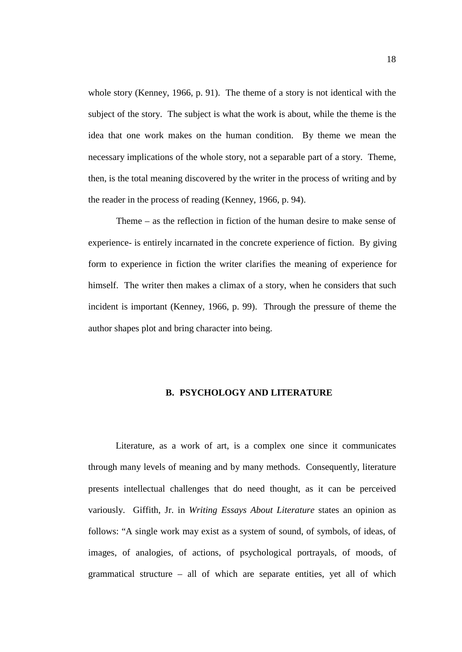whole story (Kenney, 1966, p. 91). The theme of a story is not identical with the subject of the story. The subject is what the work is about, while the theme is the idea that one work makes on the human condition. By theme we mean the necessary implications of the whole story, not a separable part of a story. Theme, then, is the total meaning discovered by the writer in the process of writing and by the reader in the process of reading (Kenney, 1966, p. 94).

Theme – as the reflection in fiction of the human desire to make sense of experience- is entirely incarnated in the concrete experience of fiction. By giving form to experience in fiction the writer clarifies the meaning of experience for himself. The writer then makes a climax of a story, when he considers that such incident is important (Kenney, 1966, p. 99). Through the pressure of theme the author shapes plot and bring character into being.

# **B. PSYCHOLOGY AND LITERATURE**

Literature, as a work of art, is a complex one since it communicates through many levels of meaning and by many methods. Consequently, literature presents intellectual challenges that do need thought, as it can be perceived variously. Giffith, Jr. in *Writing Essays About Literature* states an opinion as follows: "A single work may exist as a system of sound, of symbols, of ideas, of images, of analogies, of actions, of psychological portrayals, of moods, of grammatical structure – all of which are separate entities, yet all of which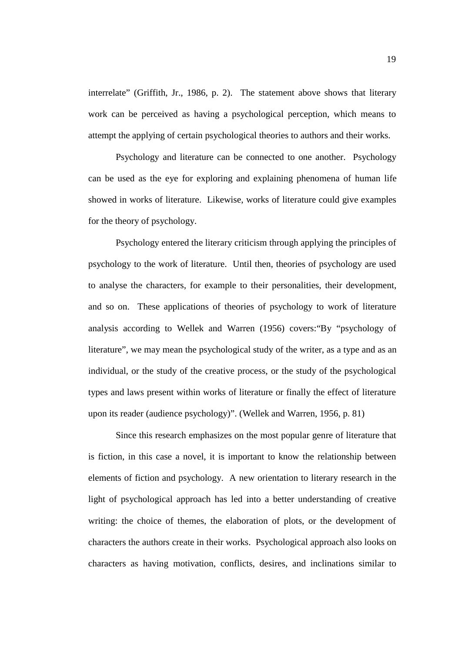interrelate" (Griffith, Jr., 1986, p. 2). The statement above shows that literary work can be perceived as having a psychological perception, which means to attempt the applying of certain psychological theories to authors and their works.

Psychology and literature can be connected to one another. Psychology can be used as the eye for exploring and explaining phenomena of human life showed in works of literature. Likewise, works of literature could give examples for the theory of psychology.

Psychology entered the literary criticism through applying the principles of psychology to the work of literature. Until then, theories of psychology are used to analyse the characters, for example to their personalities, their development, and so on. These applications of theories of psychology to work of literature analysis according to Wellek and Warren (1956) covers:"By "psychology of literature", we may mean the psychological study of the writer, as a type and as an individual, or the study of the creative process, or the study of the psychological types and laws present within works of literature or finally the effect of literature upon its reader (audience psychology)". (Wellek and Warren, 1956, p. 81)

Since this research emphasizes on the most popular genre of literature that is fiction, in this case a novel, it is important to know the relationship between elements of fiction and psychology. A new orientation to literary research in the light of psychological approach has led into a better understanding of creative writing: the choice of themes, the elaboration of plots, or the development of characters the authors create in their works. Psychological approach also looks on characters as having motivation, conflicts, desires, and inclinations similar to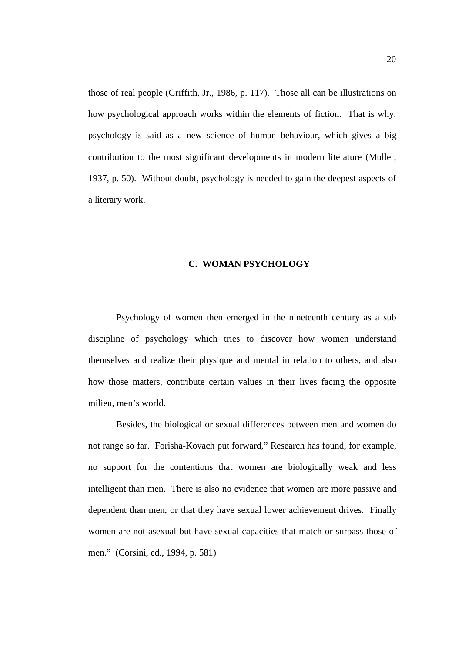those of real people (Griffith, Jr., 1986, p. 117). Those all can be illustrations on how psychological approach works within the elements of fiction. That is why; psychology is said as a new science of human behaviour, which gives a big contribution to the most significant developments in modern literature (Muller, 1937, p. 50). Without doubt, psychology is needed to gain the deepest aspects of a literary work.

# **C. WOMAN PSYCHOLOGY**

Psychology of women then emerged in the nineteenth century as a sub discipline of psychology which tries to discover how women understand themselves and realize their physique and mental in relation to others, and also how those matters, contribute certain values in their lives facing the opposite milieu, men's world.

Besides, the biological or sexual differences between men and women do not range so far. Forisha-Kovach put forward," Research has found, for example, no support for the contentions that women are biologically weak and less intelligent than men. There is also no evidence that women are more passive and dependent than men, or that they have sexual lower achievement drives. Finally women are not asexual but have sexual capacities that match or surpass those of men." (Corsini, ed., 1994, p. 581)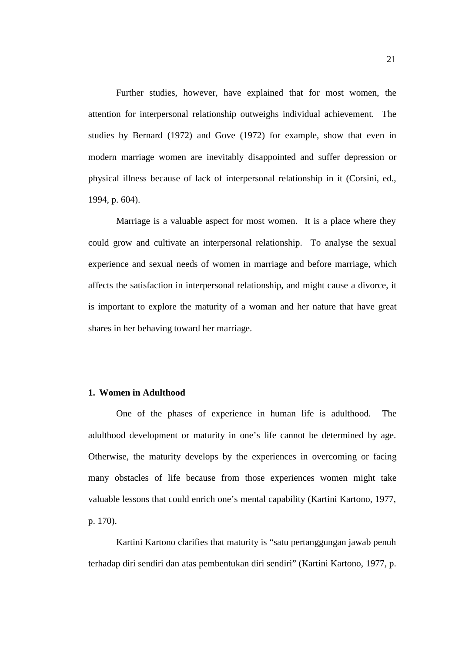Further studies, however, have explained that for most women, the attention for interpersonal relationship outweighs individual achievement. The studies by Bernard (1972) and Gove (1972) for example, show that even in modern marriage women are inevitably disappointed and suffer depression or physical illness because of lack of interpersonal relationship in it (Corsini, ed., 1994, p. 604).

Marriage is a valuable aspect for most women. It is a place where they could grow and cultivate an interpersonal relationship. To analyse the sexual experience and sexual needs of women in marriage and before marriage, which affects the satisfaction in interpersonal relationship, and might cause a divorce, it is important to explore the maturity of a woman and her nature that have great shares in her behaving toward her marriage.

# **1. Women in Adulthood**

One of the phases of experience in human life is adulthood. The adulthood development or maturity in one's life cannot be determined by age. Otherwise, the maturity develops by the experiences in overcoming or facing many obstacles of life because from those experiences women might take valuable lessons that could enrich one's mental capability (Kartini Kartono, 1977, p. 170).

Kartini Kartono clarifies that maturity is "satu pertanggungan jawab penuh terhadap diri sendiri dan atas pembentukan diri sendiri" (Kartini Kartono, 1977, p.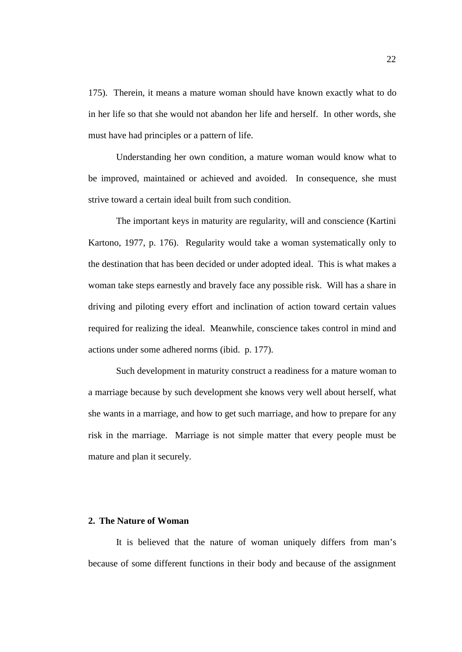175). Therein, it means a mature woman should have known exactly what to do in her life so that she would not abandon her life and herself. In other words, she must have had principles or a pattern of life.

Understanding her own condition, a mature woman would know what to be improved, maintained or achieved and avoided. In consequence, she must strive toward a certain ideal built from such condition.

The important keys in maturity are regularity, will and conscience (Kartini Kartono, 1977, p. 176). Regularity would take a woman systematically only to the destination that has been decided or under adopted ideal. This is what makes a woman take steps earnestly and bravely face any possible risk. Will has a share in driving and piloting every effort and inclination of action toward certain values required for realizing the ideal. Meanwhile, conscience takes control in mind and actions under some adhered norms (ibid. p. 177).

Such development in maturity construct a readiness for a mature woman to a marriage because by such development she knows very well about herself, what she wants in a marriage, and how to get such marriage, and how to prepare for any risk in the marriage. Marriage is not simple matter that every people must be mature and plan it securely.

# **2. The Nature of Woman**

It is believed that the nature of woman uniquely differs from man's because of some different functions in their body and because of the assignment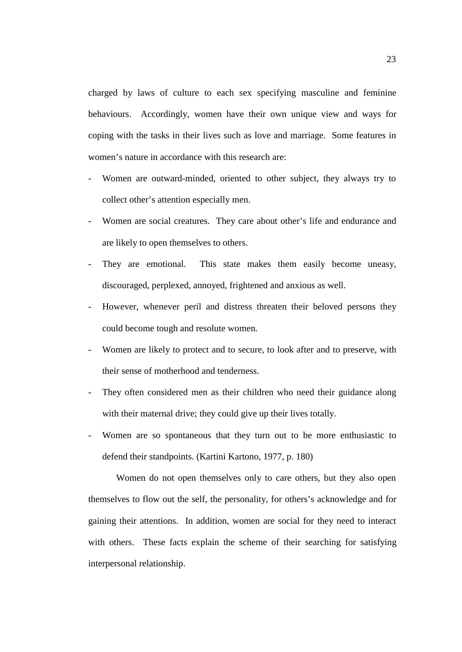charged by laws of culture to each sex specifying masculine and feminine behaviours. Accordingly, women have their own unique view and ways for coping with the tasks in their lives such as love and marriage. Some features in women's nature in accordance with this research are:

- Women are outward-minded, oriented to other subject, they always try to collect other's attention especially men.
- Women are social creatures. They care about other's life and endurance and are likely to open themselves to others.
- They are emotional. This state makes them easily become uneasy, discouraged, perplexed, annoyed, frightened and anxious as well.
- However, whenever peril and distress threaten their beloved persons they could become tough and resolute women.
- Women are likely to protect and to secure, to look after and to preserve, with their sense of motherhood and tenderness.
- They often considered men as their children who need their guidance along with their maternal drive; they could give up their lives totally.
- Women are so spontaneous that they turn out to be more enthusiastic to defend their standpoints. (Kartini Kartono, 1977, p. 180)

Women do not open themselves only to care others, but they also open themselves to flow out the self, the personality, for others's acknowledge and for gaining their attentions. In addition, women are social for they need to interact with others. These facts explain the scheme of their searching for satisfying interpersonal relationship.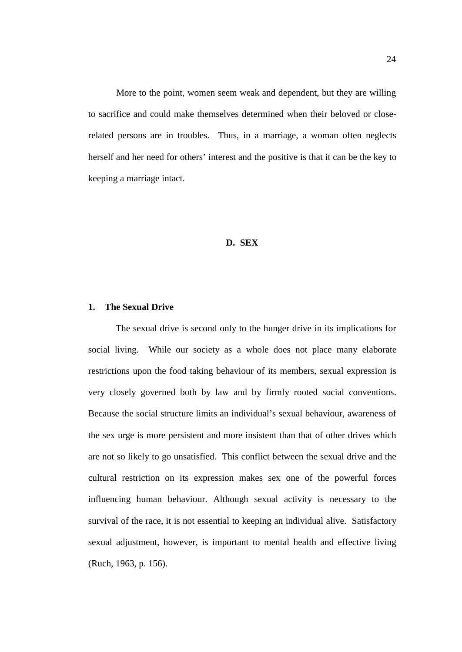More to the point, women seem weak and dependent, but they are willing to sacrifice and could make themselves determined when their beloved or closerelated persons are in troubles. Thus, in a marriage, a woman often neglects herself and her need for others' interest and the positive is that it can be the key to keeping a marriage intact.

# **D. SEX**

## **1. The Sexual Drive**

The sexual drive is second only to the hunger drive in its implications for social living. While our society as a whole does not place many elaborate restrictions upon the food taking behaviour of its members, sexual expression is very closely governed both by law and by firmly rooted social conventions. Because the social structure limits an individual's sexual behaviour, awareness of the sex urge is more persistent and more insistent than that of other drives which are not so likely to go unsatisfied. This conflict between the sexual drive and the cultural restriction on its expression makes sex one of the powerful forces influencing human behaviour. Although sexual activity is necessary to the survival of the race, it is not essential to keeping an individual alive. Satisfactory sexual adjustment, however, is important to mental health and effective living (Ruch, 1963, p. 156).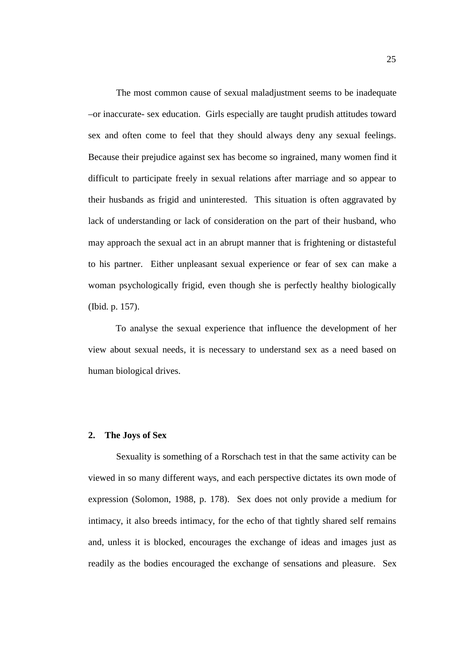The most common cause of sexual maladjustment seems to be inadequate –or inaccurate- sex education. Girls especially are taught prudish attitudes toward sex and often come to feel that they should always deny any sexual feelings. Because their prejudice against sex has become so ingrained, many women find it difficult to participate freely in sexual relations after marriage and so appear to their husbands as frigid and uninterested. This situation is often aggravated by lack of understanding or lack of consideration on the part of their husband, who may approach the sexual act in an abrupt manner that is frightening or distasteful to his partner. Either unpleasant sexual experience or fear of sex can make a woman psychologically frigid, even though she is perfectly healthy biologically (Ibid. p. 157).

To analyse the sexual experience that influence the development of her view about sexual needs, it is necessary to understand sex as a need based on human biological drives.

#### **2. The Joys of Sex**

Sexuality is something of a Rorschach test in that the same activity can be viewed in so many different ways, and each perspective dictates its own mode of expression (Solomon, 1988, p. 178). Sex does not only provide a medium for intimacy, it also breeds intimacy, for the echo of that tightly shared self remains and, unless it is blocked, encourages the exchange of ideas and images just as readily as the bodies encouraged the exchange of sensations and pleasure. Sex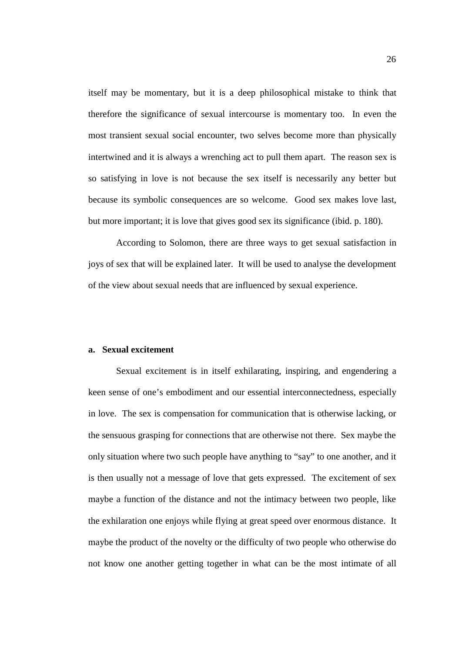itself may be momentary, but it is a deep philosophical mistake to think that therefore the significance of sexual intercourse is momentary too. In even the most transient sexual social encounter, two selves become more than physically intertwined and it is always a wrenching act to pull them apart. The reason sex is so satisfying in love is not because the sex itself is necessarily any better but because its symbolic consequences are so welcome. Good sex makes love last, but more important; it is love that gives good sex its significance (ibid. p. 180).

According to Solomon, there are three ways to get sexual satisfaction in joys of sex that will be explained later. It will be used to analyse the development of the view about sexual needs that are influenced by sexual experience.

#### **a. Sexual excitement**

Sexual excitement is in itself exhilarating, inspiring, and engendering a keen sense of one's embodiment and our essential interconnectedness, especially in love. The sex is compensation for communication that is otherwise lacking, or the sensuous grasping for connections that are otherwise not there. Sex maybe the only situation where two such people have anything to "say" to one another, and it is then usually not a message of love that gets expressed. The excitement of sex maybe a function of the distance and not the intimacy between two people, like the exhilaration one enjoys while flying at great speed over enormous distance. It maybe the product of the novelty or the difficulty of two people who otherwise do not know one another getting together in what can be the most intimate of all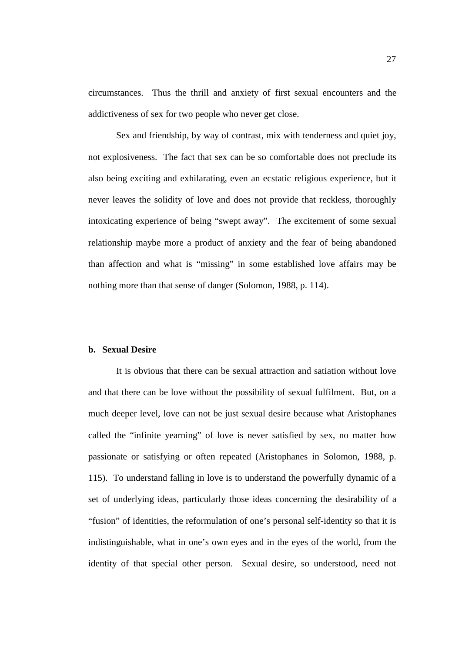circumstances. Thus the thrill and anxiety of first sexual encounters and the addictiveness of sex for two people who never get close.

Sex and friendship, by way of contrast, mix with tenderness and quiet joy, not explosiveness. The fact that sex can be so comfortable does not preclude its also being exciting and exhilarating, even an ecstatic religious experience, but it never leaves the solidity of love and does not provide that reckless, thoroughly intoxicating experience of being "swept away". The excitement of some sexual relationship maybe more a product of anxiety and the fear of being abandoned than affection and what is "missing" in some established love affairs may be nothing more than that sense of danger (Solomon, 1988, p. 114).

## **b. Sexual Desire**

It is obvious that there can be sexual attraction and satiation without love and that there can be love without the possibility of sexual fulfilment. But, on a much deeper level, love can not be just sexual desire because what Aristophanes called the "infinite yearning" of love is never satisfied by sex, no matter how passionate or satisfying or often repeated (Aristophanes in Solomon, 1988, p. 115). To understand falling in love is to understand the powerfully dynamic of a set of underlying ideas, particularly those ideas concerning the desirability of a "fusion" of identities, the reformulation of one's personal self-identity so that it is indistinguishable, what in one's own eyes and in the eyes of the world, from the identity of that special other person. Sexual desire, so understood, need not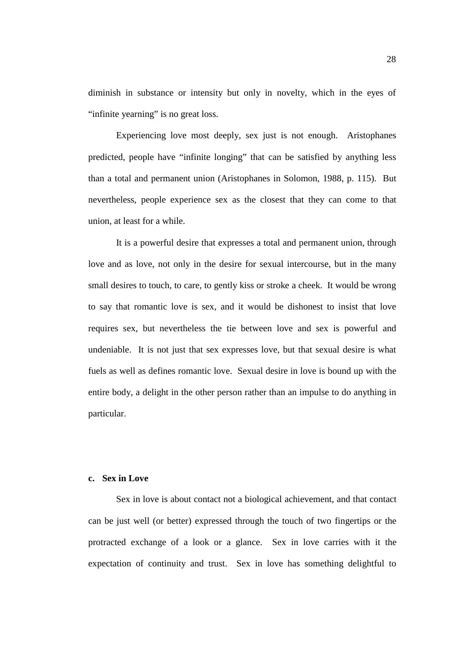diminish in substance or intensity but only in novelty, which in the eyes of "infinite yearning" is no great loss.

Experiencing love most deeply, sex just is not enough. Aristophanes predicted, people have "infinite longing" that can be satisfied by anything less than a total and permanent union (Aristophanes in Solomon, 1988, p. 115). But nevertheless, people experience sex as the closest that they can come to that union, at least for a while.

It is a powerful desire that expresses a total and permanent union, through love and as love, not only in the desire for sexual intercourse, but in the many small desires to touch, to care, to gently kiss or stroke a cheek. It would be wrong to say that romantic love is sex, and it would be dishonest to insist that love requires sex, but nevertheless the tie between love and sex is powerful and undeniable. It is not just that sex expresses love, but that sexual desire is what fuels as well as defines romantic love. Sexual desire in love is bound up with the entire body, a delight in the other person rather than an impulse to do anything in particular.

## **c. Sex in Love**

Sex in love is about contact not a biological achievement, and that contact can be just well (or better) expressed through the touch of two fingertips or the protracted exchange of a look or a glance. Sex in love carries with it the expectation of continuity and trust. Sex in love has something delightful to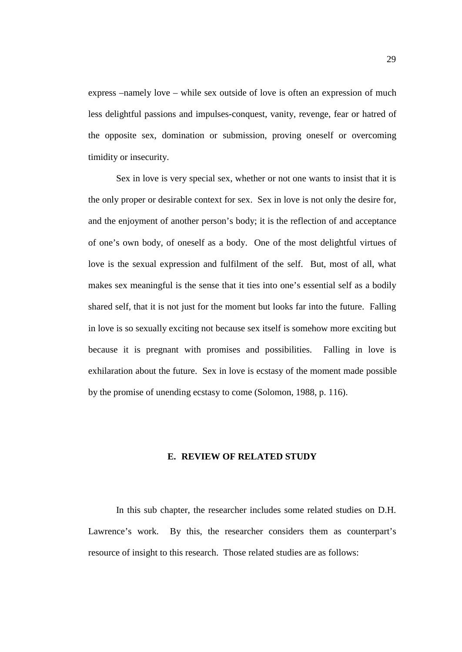express –namely love – while sex outside of love is often an expression of much less delightful passions and impulses-conquest, vanity, revenge, fear or hatred of the opposite sex, domination or submission, proving oneself or overcoming timidity or insecurity.

Sex in love is very special sex, whether or not one wants to insist that it is the only proper or desirable context for sex. Sex in love is not only the desire for, and the enjoyment of another person's body; it is the reflection of and acceptance of one's own body, of oneself as a body. One of the most delightful virtues of love is the sexual expression and fulfilment of the self. But, most of all, what makes sex meaningful is the sense that it ties into one's essential self as a bodily shared self, that it is not just for the moment but looks far into the future. Falling in love is so sexually exciting not because sex itself is somehow more exciting but because it is pregnant with promises and possibilities. Falling in love is exhilaration about the future. Sex in love is ecstasy of the moment made possible by the promise of unending ecstasy to come (Solomon, 1988, p. 116).

## **E. REVIEW OF RELATED STUDY**

In this sub chapter, the researcher includes some related studies on D.H. Lawrence's work. By this, the researcher considers them as counterpart's resource of insight to this research. Those related studies are as follows: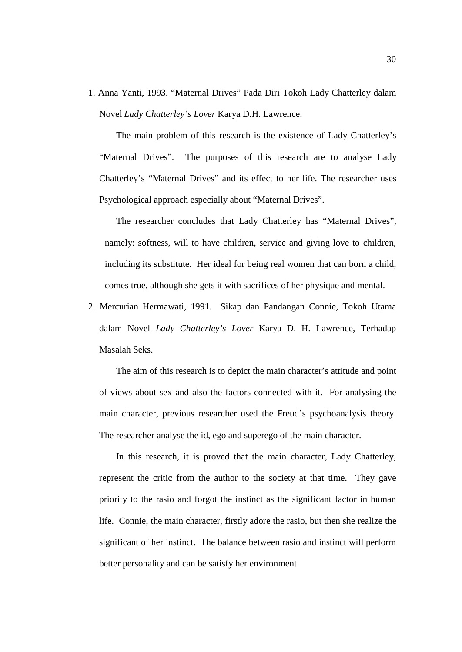1. Anna Yanti, 1993. "Maternal Drives" Pada Diri Tokoh Lady Chatterley dalam Novel *Lady Chatterley's Lover* Karya D.H. Lawrence.

The main problem of this research is the existence of Lady Chatterley's "Maternal Drives". The purposes of this research are to analyse Lady Chatterley's "Maternal Drives" and its effect to her life. The researcher uses Psychological approach especially about "Maternal Drives".

The researcher concludes that Lady Chatterley has "Maternal Drives", namely: softness, will to have children, service and giving love to children, including its substitute. Her ideal for being real women that can born a child, comes true, although she gets it with sacrifices of her physique and mental.

2. Mercurian Hermawati, 1991. Sikap dan Pandangan Connie, Tokoh Utama dalam Novel *Lady Chatterley's Lover* Karya D. H. Lawrence, Terhadap Masalah Seks.

The aim of this research is to depict the main character's attitude and point of views about sex and also the factors connected with it. For analysing the main character, previous researcher used the Freud's psychoanalysis theory. The researcher analyse the id, ego and superego of the main character.

In this research, it is proved that the main character, Lady Chatterley, represent the critic from the author to the society at that time. They gave priority to the rasio and forgot the instinct as the significant factor in human life. Connie, the main character, firstly adore the rasio, but then she realize the significant of her instinct. The balance between rasio and instinct will perform better personality and can be satisfy her environment.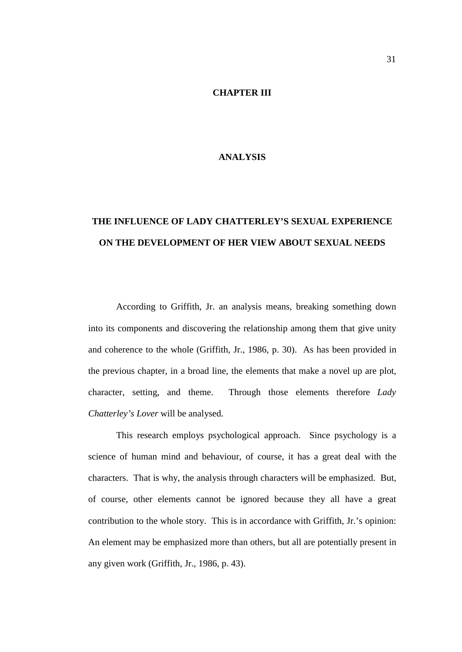## **CHAPTER III**

# **ANALYSIS**

# **THE INFLUENCE OF LADY CHATTERLEY'S SEXUAL EXPERIENCE ON THE DEVELOPMENT OF HER VIEW ABOUT SEXUAL NEEDS**

According to Griffith, Jr. an analysis means, breaking something down into its components and discovering the relationship among them that give unity and coherence to the whole (Griffith, Jr., 1986, p. 30). As has been provided in the previous chapter, in a broad line, the elements that make a novel up are plot, character, setting, and theme. Through those elements therefore *Lady Chatterley's Lover* will be analysed.

This research employs psychological approach. Since psychology is a science of human mind and behaviour, of course, it has a great deal with the characters. That is why, the analysis through characters will be emphasized. But, of course, other elements cannot be ignored because they all have a great contribution to the whole story. This is in accordance with Griffith, Jr.'s opinion: An element may be emphasized more than others, but all are potentially present in any given work (Griffith, Jr., 1986, p. 43).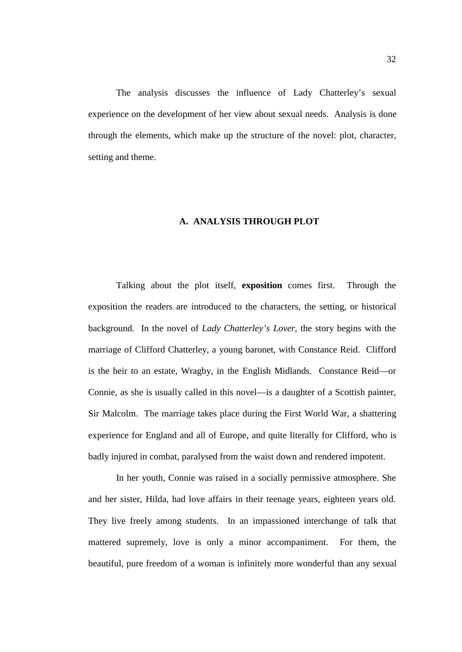The analysis discusses the influence of Lady Chatterley's sexual experience on the development of her view about sexual needs. Analysis is done through the elements, which make up the structure of the novel: plot, character, setting and theme.

#### **A. ANALYSIS THROUGH PLOT**

Talking about the plot itself, **exposition** comes first. Through the exposition the readers are introduced to the characters, the setting, or historical background. In the novel of *Lady Chatterley's Lover*, the story begins with the marriage of Clifford Chatterley, a young baronet, with Constance Reid. Clifford is the heir to an estate, Wragby, in the English Midlands. Constance Reid—or Connie, as she is usually called in this novel—is a daughter of a Scottish painter, Sir Malcolm. The marriage takes place during the First World War, a shattering experience for England and all of Europe, and quite literally for Clifford, who is badly injured in combat, paralysed from the waist down and rendered impotent.

In her youth, Connie was raised in a socially permissive atmosphere. She and her sister, Hilda, had love affairs in their teenage years, eighteen years old. They live freely among students. In an impassioned interchange of talk that mattered supremely, love is only a minor accompaniment. For them, the beautiful, pure freedom of a woman is infinitely more wonderful than any sexual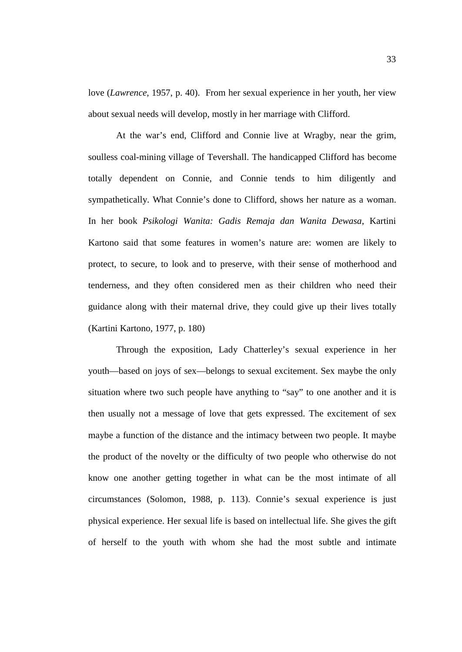love (*Lawrence*, 1957, p. 40). From her sexual experience in her youth, her view about sexual needs will develop, mostly in her marriage with Clifford.

At the war's end, Clifford and Connie live at Wragby, near the grim, soulless coal-mining village of Tevershall. The handicapped Clifford has become totally dependent on Connie, and Connie tends to him diligently and sympathetically. What Connie's done to Clifford, shows her nature as a woman. In her book *Psikologi Wanita: Gadis Remaja dan Wanita Dewasa*, Kartini Kartono said that some features in women's nature are: women are likely to protect, to secure, to look and to preserve, with their sense of motherhood and tenderness, and they often considered men as their children who need their guidance along with their maternal drive, they could give up their lives totally (Kartini Kartono, 1977, p. 180)

Through the exposition, Lady Chatterley's sexual experience in her youth—based on joys of sex—belongs to sexual excitement. Sex maybe the only situation where two such people have anything to "say" to one another and it is then usually not a message of love that gets expressed. The excitement of sex maybe a function of the distance and the intimacy between two people. It maybe the product of the novelty or the difficulty of two people who otherwise do not know one another getting together in what can be the most intimate of all circumstances (Solomon, 1988, p. 113). Connie's sexual experience is just physical experience. Her sexual life is based on intellectual life. She gives the gift of herself to the youth with whom she had the most subtle and intimate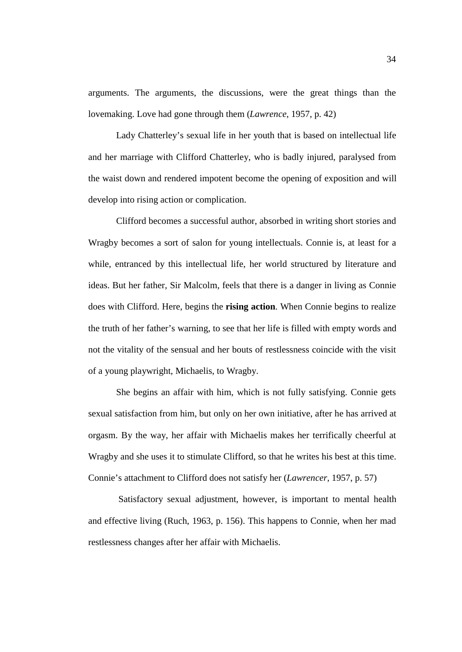arguments. The arguments, the discussions, were the great things than the lovemaking. Love had gone through them (*Lawrence*, 1957, p. 42)

Lady Chatterley's sexual life in her youth that is based on intellectual life and her marriage with Clifford Chatterley, who is badly injured, paralysed from the waist down and rendered impotent become the opening of exposition and will develop into rising action or complication.

Clifford becomes a successful author, absorbed in writing short stories and Wragby becomes a sort of salon for young intellectuals. Connie is, at least for a while, entranced by this intellectual life, her world structured by literature and ideas. But her father, Sir Malcolm, feels that there is a danger in living as Connie does with Clifford. Here, begins the **rising action**. When Connie begins to realize the truth of her father's warning, to see that her life is filled with empty words and not the vitality of the sensual and her bouts of restlessness coincide with the visit of a young playwright, Michaelis, to Wragby.

She begins an affair with him, which is not fully satisfying. Connie gets sexual satisfaction from him, but only on her own initiative, after he has arrived at orgasm. By the way, her affair with Michaelis makes her terrifically cheerful at Wragby and she uses it to stimulate Clifford, so that he writes his best at this time. Connie's attachment to Clifford does not satisfy her (*Lawrencer,* 1957, p. 57)

 Satisfactory sexual adjustment, however, is important to mental health and effective living (Ruch, 1963, p. 156). This happens to Connie, when her mad restlessness changes after her affair with Michaelis.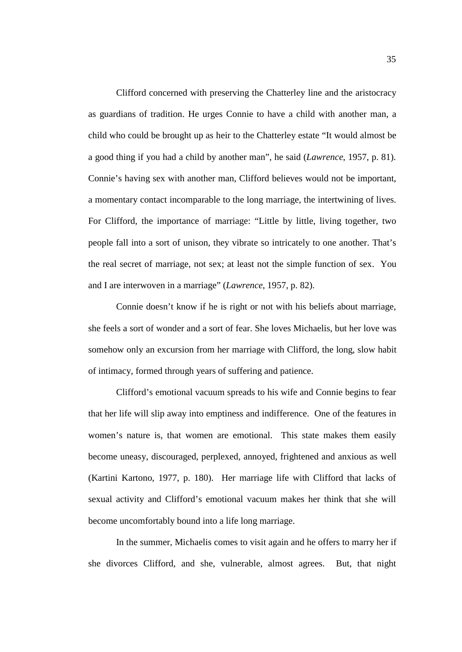Clifford concerned with preserving the Chatterley line and the aristocracy as guardians of tradition. He urges Connie to have a child with another man, a child who could be brought up as heir to the Chatterley estate "It would almost be a good thing if you had a child by another man", he said (*Lawrence*, 1957, p. 81). Connie's having sex with another man, Clifford believes would not be important, a momentary contact incomparable to the long marriage, the intertwining of lives. For Clifford, the importance of marriage: "Little by little, living together, two people fall into a sort of unison, they vibrate so intricately to one another. That's the real secret of marriage, not sex; at least not the simple function of sex. You and I are interwoven in a marriage" (*Lawrence*, 1957, p. 82).

Connie doesn't know if he is right or not with his beliefs about marriage, she feels a sort of wonder and a sort of fear. She loves Michaelis, but her love was somehow only an excursion from her marriage with Clifford, the long, slow habit of intimacy, formed through years of suffering and patience.

Clifford's emotional vacuum spreads to his wife and Connie begins to fear that her life will slip away into emptiness and indifference. One of the features in women's nature is, that women are emotional. This state makes them easily become uneasy, discouraged, perplexed, annoyed, frightened and anxious as well (Kartini Kartono, 1977, p. 180). Her marriage life with Clifford that lacks of sexual activity and Clifford's emotional vacuum makes her think that she will become uncomfortably bound into a life long marriage.

In the summer, Michaelis comes to visit again and he offers to marry her if she divorces Clifford, and she, vulnerable, almost agrees. But, that night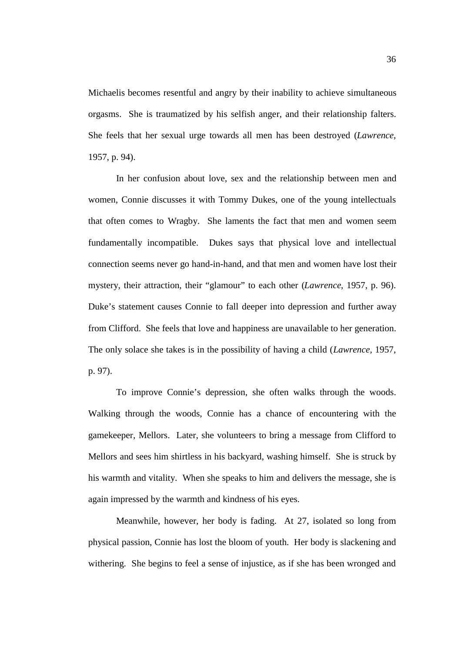Michaelis becomes resentful and angry by their inability to achieve simultaneous orgasms. She is traumatized by his selfish anger, and their relationship falters. She feels that her sexual urge towards all men has been destroyed (*Lawrence*, 1957, p. 94).

In her confusion about love, sex and the relationship between men and women, Connie discusses it with Tommy Dukes, one of the young intellectuals that often comes to Wragby. She laments the fact that men and women seem fundamentally incompatible. Dukes says that physical love and intellectual connection seems never go hand-in-hand, and that men and women have lost their mystery, their attraction, their "glamour" to each other (*Lawrence*, 1957, p. 96). Duke's statement causes Connie to fall deeper into depression and further away from Clifford. She feels that love and happiness are unavailable to her generation. The only solace she takes is in the possibility of having a child (*Lawrence,* 1957, p. 97).

To improve Connie's depression, she often walks through the woods. Walking through the woods, Connie has a chance of encountering with the gamekeeper, Mellors. Later, she volunteers to bring a message from Clifford to Mellors and sees him shirtless in his backyard, washing himself. She is struck by his warmth and vitality. When she speaks to him and delivers the message, she is again impressed by the warmth and kindness of his eyes.

Meanwhile, however, her body is fading. At 27, isolated so long from physical passion, Connie has lost the bloom of youth. Her body is slackening and withering. She begins to feel a sense of injustice, as if she has been wronged and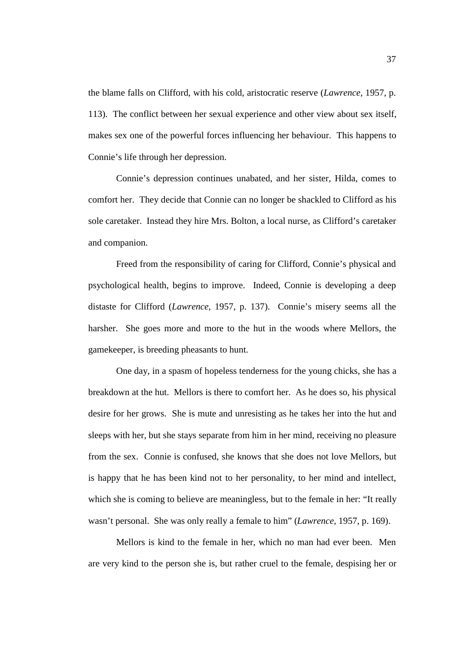the blame falls on Clifford, with his cold, aristocratic reserve (*Lawrence*, 1957, p. 113). The conflict between her sexual experience and other view about sex itself, makes sex one of the powerful forces influencing her behaviour. This happens to Connie's life through her depression.

Connie's depression continues unabated, and her sister, Hilda, comes to comfort her. They decide that Connie can no longer be shackled to Clifford as his sole caretaker. Instead they hire Mrs. Bolton, a local nurse, as Clifford's caretaker and companion.

Freed from the responsibility of caring for Clifford, Connie's physical and psychological health, begins to improve. Indeed, Connie is developing a deep distaste for Clifford (*Lawrence*, 1957, p. 137). Connie's misery seems all the harsher. She goes more and more to the hut in the woods where Mellors, the gamekeeper, is breeding pheasants to hunt.

One day, in a spasm of hopeless tenderness for the young chicks, she has a breakdown at the hut. Mellors is there to comfort her. As he does so, his physical desire for her grows. She is mute and unresisting as he takes her into the hut and sleeps with her, but she stays separate from him in her mind, receiving no pleasure from the sex. Connie is confused, she knows that she does not love Mellors, but is happy that he has been kind not to her personality, to her mind and intellect, which she is coming to believe are meaningless, but to the female in her: "It really wasn't personal. She was only really a female to him" (*Lawrence*, 1957, p. 169).

Mellors is kind to the female in her, which no man had ever been. Men are very kind to the person she is, but rather cruel to the female, despising her or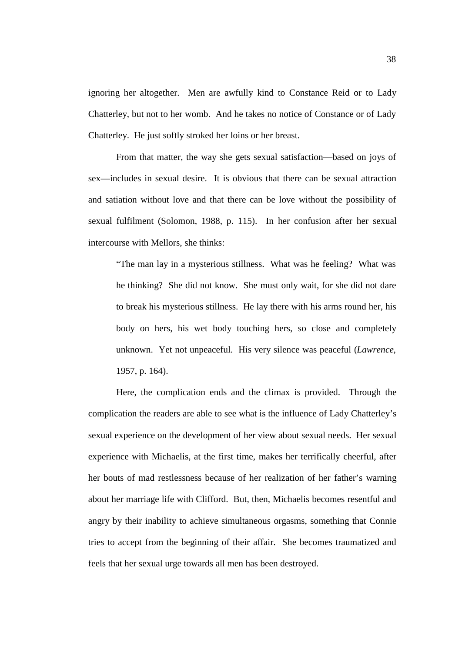ignoring her altogether. Men are awfully kind to Constance Reid or to Lady Chatterley, but not to her womb. And he takes no notice of Constance or of Lady Chatterley. He just softly stroked her loins or her breast.

From that matter, the way she gets sexual satisfaction—based on joys of sex—includes in sexual desire. It is obvious that there can be sexual attraction and satiation without love and that there can be love without the possibility of sexual fulfilment (Solomon, 1988, p. 115). In her confusion after her sexual intercourse with Mellors, she thinks:

"The man lay in a mysterious stillness. What was he feeling? What was he thinking? She did not know. She must only wait, for she did not dare to break his mysterious stillness. He lay there with his arms round her, his body on hers, his wet body touching hers, so close and completely unknown. Yet not unpeaceful. His very silence was peaceful (*Lawrence*, 1957, p. 164).

Here, the complication ends and the climax is provided. Through the complication the readers are able to see what is the influence of Lady Chatterley's sexual experience on the development of her view about sexual needs. Her sexual experience with Michaelis, at the first time, makes her terrifically cheerful, after her bouts of mad restlessness because of her realization of her father's warning about her marriage life with Clifford. But, then, Michaelis becomes resentful and angry by their inability to achieve simultaneous orgasms, something that Connie tries to accept from the beginning of their affair. She becomes traumatized and feels that her sexual urge towards all men has been destroyed.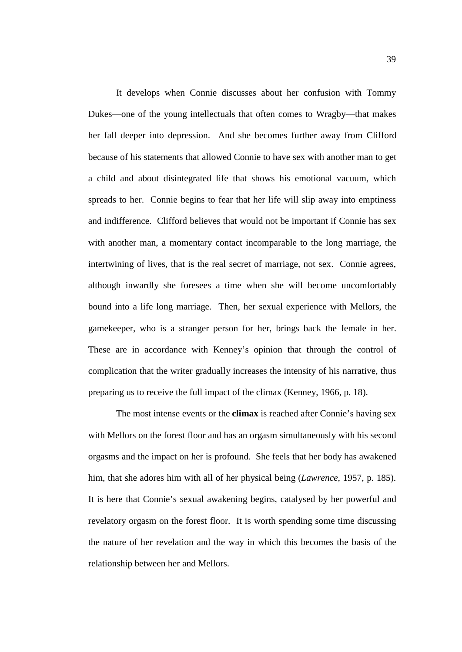It develops when Connie discusses about her confusion with Tommy Dukes—one of the young intellectuals that often comes to Wragby—that makes her fall deeper into depression. And she becomes further away from Clifford because of his statements that allowed Connie to have sex with another man to get a child and about disintegrated life that shows his emotional vacuum, which spreads to her. Connie begins to fear that her life will slip away into emptiness and indifference. Clifford believes that would not be important if Connie has sex with another man, a momentary contact incomparable to the long marriage, the intertwining of lives, that is the real secret of marriage, not sex. Connie agrees, although inwardly she foresees a time when she will become uncomfortably bound into a life long marriage. Then, her sexual experience with Mellors, the gamekeeper, who is a stranger person for her, brings back the female in her. These are in accordance with Kenney's opinion that through the control of complication that the writer gradually increases the intensity of his narrative, thus preparing us to receive the full impact of the climax (Kenney, 1966, p. 18).

The most intense events or the **climax** is reached after Connie's having sex with Mellors on the forest floor and has an orgasm simultaneously with his second orgasms and the impact on her is profound. She feels that her body has awakened him, that she adores him with all of her physical being (*Lawrence*, 1957, p. 185). It is here that Connie's sexual awakening begins, catalysed by her powerful and revelatory orgasm on the forest floor. It is worth spending some time discussing the nature of her revelation and the way in which this becomes the basis of the relationship between her and Mellors.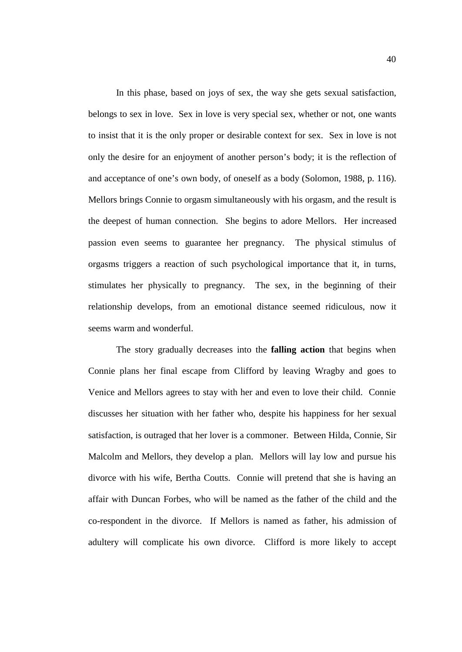In this phase, based on joys of sex, the way she gets sexual satisfaction, belongs to sex in love. Sex in love is very special sex, whether or not, one wants to insist that it is the only proper or desirable context for sex. Sex in love is not only the desire for an enjoyment of another person's body; it is the reflection of and acceptance of one's own body, of oneself as a body (Solomon, 1988, p. 116). Mellors brings Connie to orgasm simultaneously with his orgasm, and the result is the deepest of human connection. She begins to adore Mellors. Her increased passion even seems to guarantee her pregnancy. The physical stimulus of orgasms triggers a reaction of such psychological importance that it, in turns, stimulates her physically to pregnancy. The sex, in the beginning of their relationship develops, from an emotional distance seemed ridiculous, now it seems warm and wonderful.

The story gradually decreases into the **falling action** that begins when Connie plans her final escape from Clifford by leaving Wragby and goes to Venice and Mellors agrees to stay with her and even to love their child. Connie discusses her situation with her father who, despite his happiness for her sexual satisfaction, is outraged that her lover is a commoner. Between Hilda, Connie, Sir Malcolm and Mellors, they develop a plan. Mellors will lay low and pursue his divorce with his wife, Bertha Coutts. Connie will pretend that she is having an affair with Duncan Forbes, who will be named as the father of the child and the co-respondent in the divorce. If Mellors is named as father, his admission of adultery will complicate his own divorce. Clifford is more likely to accept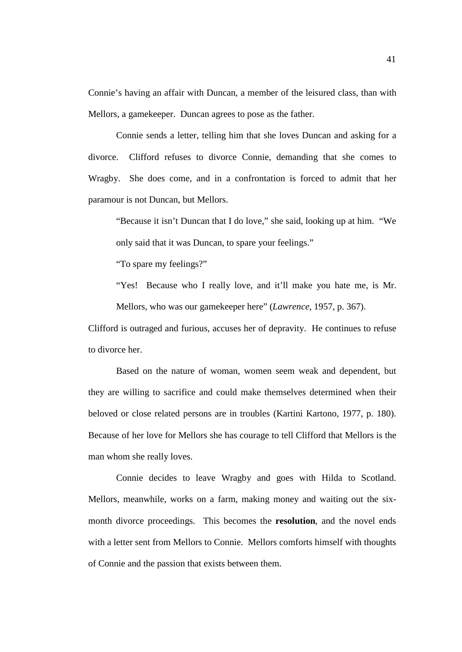Connie's having an affair with Duncan, a member of the leisured class, than with Mellors, a gamekeeper. Duncan agrees to pose as the father.

Connie sends a letter, telling him that she loves Duncan and asking for a divorce. Clifford refuses to divorce Connie, demanding that she comes to Wragby. She does come, and in a confrontation is forced to admit that her paramour is not Duncan, but Mellors.

"Because it isn't Duncan that I do love," she said, looking up at him. "We only said that it was Duncan, to spare your feelings."

"To spare my feelings?"

"Yes! Because who I really love, and it'll make you hate me, is Mr. Mellors, who was our gamekeeper here" (*Lawrence*, 1957, p. 367).

Clifford is outraged and furious, accuses her of depravity. He continues to refuse to divorce her.

Based on the nature of woman, women seem weak and dependent, but they are willing to sacrifice and could make themselves determined when their beloved or close related persons are in troubles (Kartini Kartono, 1977, p. 180). Because of her love for Mellors she has courage to tell Clifford that Mellors is the man whom she really loves.

Connie decides to leave Wragby and goes with Hilda to Scotland. Mellors, meanwhile, works on a farm, making money and waiting out the sixmonth divorce proceedings. This becomes the **resolution**, and the novel ends with a letter sent from Mellors to Connie. Mellors comforts himself with thoughts of Connie and the passion that exists between them.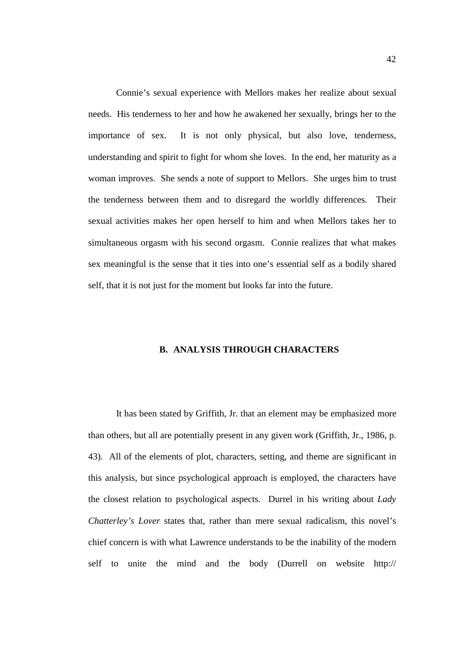Connie's sexual experience with Mellors makes her realize about sexual needs. His tenderness to her and how he awakened her sexually, brings her to the importance of sex. It is not only physical, but also love, tenderness, understanding and spirit to fight for whom she loves. In the end, her maturity as a woman improves. She sends a note of support to Mellors. She urges him to trust the tenderness between them and to disregard the worldly differences. Their sexual activities makes her open herself to him and when Mellors takes her to simultaneous orgasm with his second orgasm. Connie realizes that what makes sex meaningful is the sense that it ties into one's essential self as a bodily shared self, that it is not just for the moment but looks far into the future.

# **B. ANALYSIS THROUGH CHARACTERS**

It has been stated by Griffith, Jr. that an element may be emphasized more than others, but all are potentially present in any given work (Griffith, Jr., 1986, p. 43). All of the elements of plot, characters, setting, and theme are significant in this analysis, but since psychological approach is employed, the characters have the closest relation to psychological aspects. Durrel in his writing about *Lady Chatterley's Lover* states that, rather than mere sexual radicalism, this novel's chief concern is with what Lawrence understands to be the inability of the modern self to unite the mind and the body (Durrell on website http://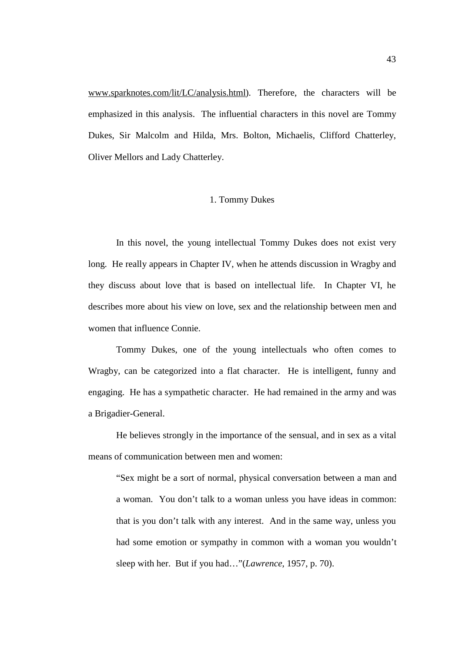[www.sparknotes.com/lit/LC/analysis.html\)](http://www.sparknotes.com/lit/LC/analysis.html). Therefore, the characters will be emphasized in this analysis. The influential characters in this novel are Tommy Dukes, Sir Malcolm and Hilda, Mrs. Bolton, Michaelis, Clifford Chatterley, Oliver Mellors and Lady Chatterley.

#### 1. Tommy Dukes

In this novel, the young intellectual Tommy Dukes does not exist very long. He really appears in Chapter IV, when he attends discussion in Wragby and they discuss about love that is based on intellectual life. In Chapter VI, he describes more about his view on love, sex and the relationship between men and women that influence Connie.

Tommy Dukes, one of the young intellectuals who often comes to Wragby, can be categorized into a flat character. He is intelligent, funny and engaging. He has a sympathetic character. He had remained in the army and was a Brigadier-General.

He believes strongly in the importance of the sensual, and in sex as a vital means of communication between men and women:

"Sex might be a sort of normal, physical conversation between a man and a woman. You don't talk to a woman unless you have ideas in common: that is you don't talk with any interest. And in the same way, unless you had some emotion or sympathy in common with a woman you wouldn't sleep with her. But if you had…"(*Lawrence*, 1957, p. 70).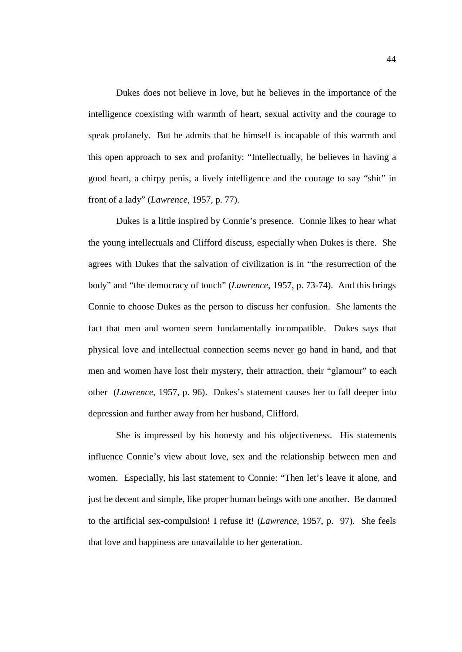Dukes does not believe in love, but he believes in the importance of the intelligence coexisting with warmth of heart, sexual activity and the courage to speak profanely. But he admits that he himself is incapable of this warmth and this open approach to sex and profanity: "Intellectually, he believes in having a good heart, a chirpy penis, a lively intelligence and the courage to say "shit" in front of a lady" (*Lawrence*, 1957, p. 77).

Dukes is a little inspired by Connie's presence. Connie likes to hear what the young intellectuals and Clifford discuss, especially when Dukes is there. She agrees with Dukes that the salvation of civilization is in "the resurrection of the body" and "the democracy of touch" (*Lawrence*, 1957, p. 73-74). And this brings Connie to choose Dukes as the person to discuss her confusion. She laments the fact that men and women seem fundamentally incompatible. Dukes says that physical love and intellectual connection seems never go hand in hand, and that men and women have lost their mystery, their attraction, their "glamour" to each other (*Lawrence*, 1957, p. 96). Dukes's statement causes her to fall deeper into depression and further away from her husband, Clifford.

She is impressed by his honesty and his objectiveness. His statements influence Connie's view about love, sex and the relationship between men and women. Especially, his last statement to Connie: "Then let's leave it alone, and just be decent and simple, like proper human beings with one another. Be damned to the artificial sex-compulsion! I refuse it! (*Lawrence*, 1957, p. 97). She feels that love and happiness are unavailable to her generation.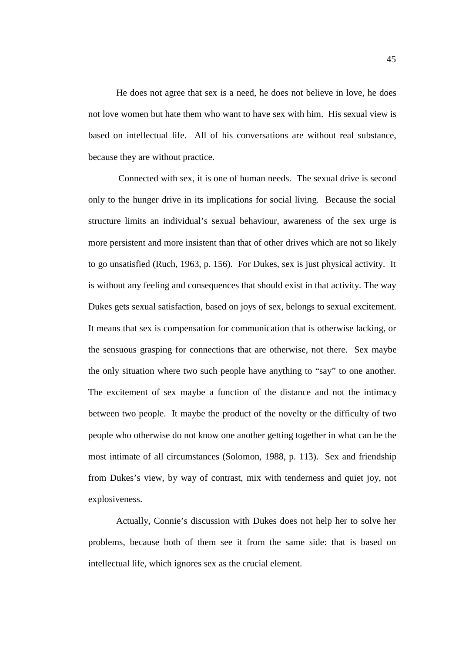He does not agree that sex is a need, he does not believe in love, he does not love women but hate them who want to have sex with him. His sexual view is based on intellectual life. All of his conversations are without real substance, because they are without practice.

 Connected with sex, it is one of human needs. The sexual drive is second only to the hunger drive in its implications for social living. Because the social structure limits an individual's sexual behaviour, awareness of the sex urge is more persistent and more insistent than that of other drives which are not so likely to go unsatisfied (Ruch, 1963, p. 156). For Dukes, sex is just physical activity. It is without any feeling and consequences that should exist in that activity. The way Dukes gets sexual satisfaction, based on joys of sex, belongs to sexual excitement. It means that sex is compensation for communication that is otherwise lacking, or the sensuous grasping for connections that are otherwise, not there. Sex maybe the only situation where two such people have anything to "say" to one another. The excitement of sex maybe a function of the distance and not the intimacy between two people. It maybe the product of the novelty or the difficulty of two people who otherwise do not know one another getting together in what can be the most intimate of all circumstances (Solomon, 1988, p. 113). Sex and friendship from Dukes's view, by way of contrast, mix with tenderness and quiet joy, not explosiveness.

Actually, Connie's discussion with Dukes does not help her to solve her problems, because both of them see it from the same side: that is based on intellectual life, which ignores sex as the crucial element.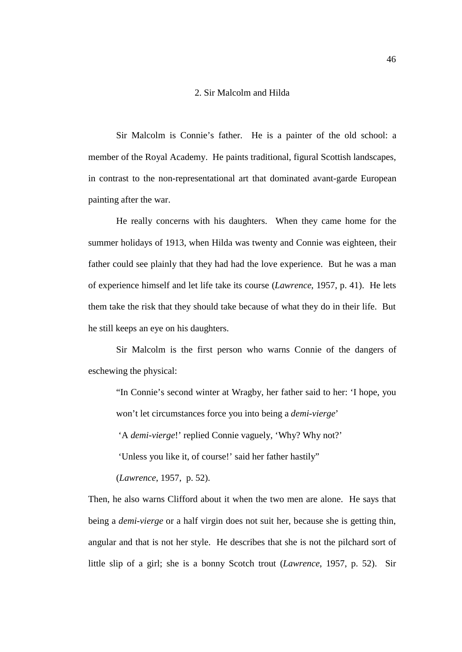#### 2. Sir Malcolm and Hilda

Sir Malcolm is Connie's father. He is a painter of the old school: a member of the Royal Academy. He paints traditional, figural Scottish landscapes, in contrast to the non-representational art that dominated avant-garde European painting after the war.

He really concerns with his daughters. When they came home for the summer holidays of 1913, when Hilda was twenty and Connie was eighteen, their father could see plainly that they had had the love experience. But he was a man of experience himself and let life take its course (*Lawrence*, 1957, p. 41). He lets them take the risk that they should take because of what they do in their life. But he still keeps an eye on his daughters.

Sir Malcolm is the first person who warns Connie of the dangers of eschewing the physical:

"In Connie's second winter at Wragby, her father said to her: 'I hope, you won't let circumstances force you into being a *demi-vierge*'

'A *demi-vierge*!' replied Connie vaguely, 'Why? Why not?'

'Unless you like it, of course!' said her father hastily"

(*Lawrence*, 1957, p. 52).

Then, he also warns Clifford about it when the two men are alone. He says that being a *demi-vierge* or a half virgin does not suit her, because she is getting thin, angular and that is not her style. He describes that she is not the pilchard sort of little slip of a girl; she is a bonny Scotch trout (*Lawrence*, 1957, p. 52). Sir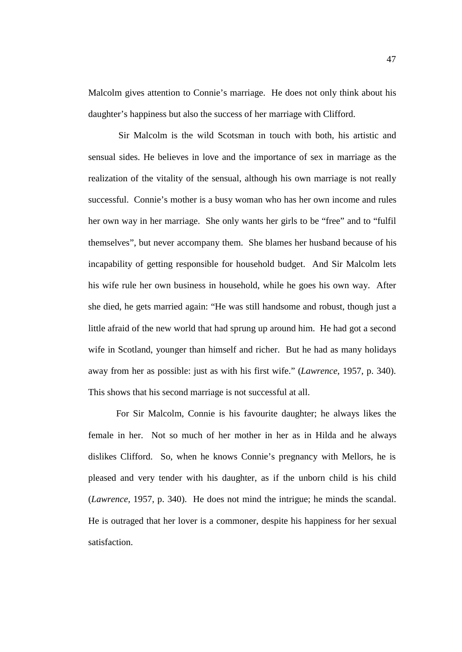Malcolm gives attention to Connie's marriage. He does not only think about his daughter's happiness but also the success of her marriage with Clifford.

 Sir Malcolm is the wild Scotsman in touch with both, his artistic and sensual sides. He believes in love and the importance of sex in marriage as the realization of the vitality of the sensual, although his own marriage is not really successful. Connie's mother is a busy woman who has her own income and rules her own way in her marriage. She only wants her girls to be "free" and to "fulfil themselves", but never accompany them. She blames her husband because of his incapability of getting responsible for household budget. And Sir Malcolm lets his wife rule her own business in household, while he goes his own way. After she died, he gets married again: "He was still handsome and robust, though just a little afraid of the new world that had sprung up around him. He had got a second wife in Scotland, younger than himself and richer. But he had as many holidays away from her as possible: just as with his first wife." (*Lawrence*, 1957, p. 340). This shows that his second marriage is not successful at all.

For Sir Malcolm, Connie is his favourite daughter; he always likes the female in her. Not so much of her mother in her as in Hilda and he always dislikes Clifford. So, when he knows Connie's pregnancy with Mellors, he is pleased and very tender with his daughter, as if the unborn child is his child (*Lawrence,* 1957, p. 340). He does not mind the intrigue; he minds the scandal. He is outraged that her lover is a commoner, despite his happiness for her sexual satisfaction.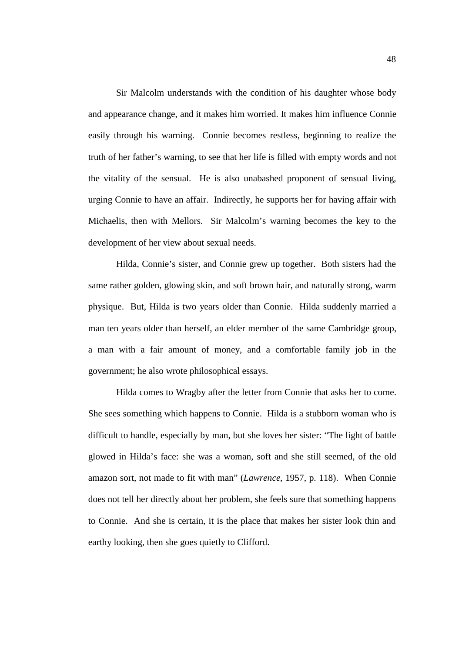Sir Malcolm understands with the condition of his daughter whose body and appearance change, and it makes him worried. It makes him influence Connie easily through his warning. Connie becomes restless, beginning to realize the truth of her father's warning, to see that her life is filled with empty words and not the vitality of the sensual. He is also unabashed proponent of sensual living, urging Connie to have an affair. Indirectly, he supports her for having affair with Michaelis, then with Mellors. Sir Malcolm's warning becomes the key to the development of her view about sexual needs.

Hilda, Connie's sister, and Connie grew up together. Both sisters had the same rather golden, glowing skin, and soft brown hair, and naturally strong, warm physique. But, Hilda is two years older than Connie. Hilda suddenly married a man ten years older than herself, an elder member of the same Cambridge group, a man with a fair amount of money, and a comfortable family job in the government; he also wrote philosophical essays.

Hilda comes to Wragby after the letter from Connie that asks her to come. She sees something which happens to Connie. Hilda is a stubborn woman who is difficult to handle, especially by man, but she loves her sister: "The light of battle glowed in Hilda's face: she was a woman, soft and she still seemed, of the old amazon sort, not made to fit with man" (*Lawrence*, 1957, p. 118). When Connie does not tell her directly about her problem, she feels sure that something happens to Connie. And she is certain, it is the place that makes her sister look thin and earthy looking, then she goes quietly to Clifford.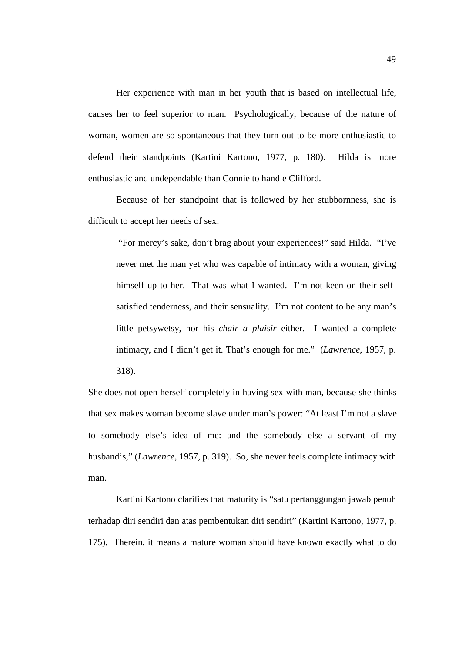Her experience with man in her youth that is based on intellectual life, causes her to feel superior to man. Psychologically, because of the nature of woman, women are so spontaneous that they turn out to be more enthusiastic to defend their standpoints (Kartini Kartono, 1977, p. 180). Hilda is more enthusiastic and undependable than Connie to handle Clifford.

Because of her standpoint that is followed by her stubbornness, she is difficult to accept her needs of sex:

 "For mercy's sake, don't brag about your experiences!" said Hilda. "I've never met the man yet who was capable of intimacy with a woman, giving himself up to her. That was what I wanted. I'm not keen on their selfsatisfied tenderness, and their sensuality. I'm not content to be any man's little petsywetsy, nor his *chair a plaisir* either. I wanted a complete intimacy, and I didn't get it. That's enough for me." (*Lawrence*, 1957, p. 318).

She does not open herself completely in having sex with man, because she thinks that sex makes woman become slave under man's power: "At least I'm not a slave to somebody else's idea of me: and the somebody else a servant of my husband's," (*Lawrence*, 1957, p. 319). So, she never feels complete intimacy with man.

Kartini Kartono clarifies that maturity is "satu pertanggungan jawab penuh terhadap diri sendiri dan atas pembentukan diri sendiri" (Kartini Kartono, 1977, p. 175). Therein, it means a mature woman should have known exactly what to do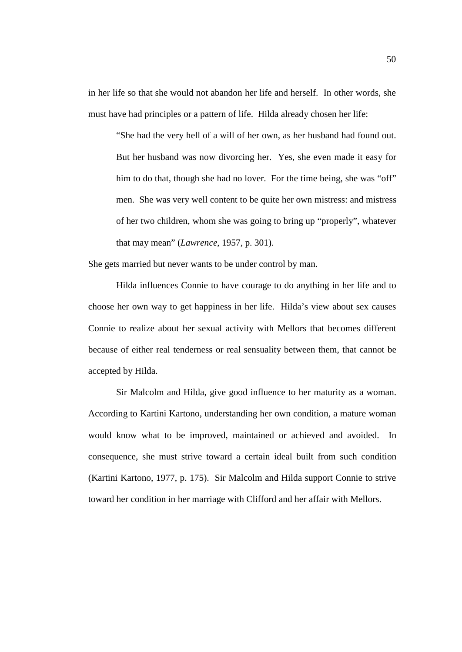in her life so that she would not abandon her life and herself. In other words, she must have had principles or a pattern of life. Hilda already chosen her life:

"She had the very hell of a will of her own, as her husband had found out. But her husband was now divorcing her. Yes, she even made it easy for him to do that, though she had no lover. For the time being, she was "off" men. She was very well content to be quite her own mistress: and mistress of her two children, whom she was going to bring up "properly", whatever that may mean" (*Lawrence*, 1957, p. 301).

She gets married but never wants to be under control by man.

Hilda influences Connie to have courage to do anything in her life and to choose her own way to get happiness in her life. Hilda's view about sex causes Connie to realize about her sexual activity with Mellors that becomes different because of either real tenderness or real sensuality between them, that cannot be accepted by Hilda.

Sir Malcolm and Hilda, give good influence to her maturity as a woman. According to Kartini Kartono, understanding her own condition, a mature woman would know what to be improved, maintained or achieved and avoided. In consequence, she must strive toward a certain ideal built from such condition (Kartini Kartono, 1977, p. 175). Sir Malcolm and Hilda support Connie to strive toward her condition in her marriage with Clifford and her affair with Mellors.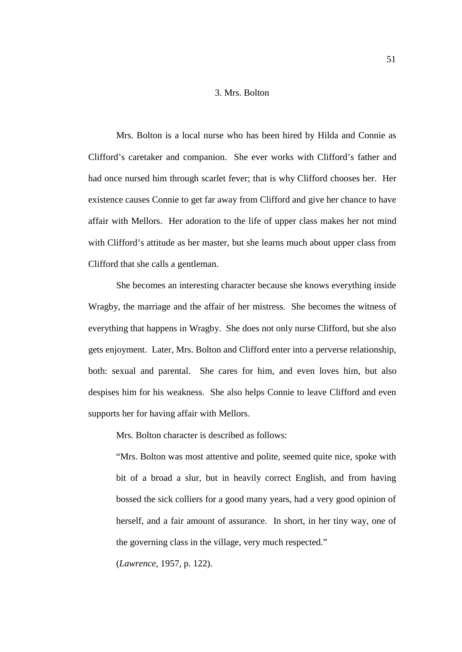#### 3. Mrs. Bolton

Mrs. Bolton is a local nurse who has been hired by Hilda and Connie as Clifford's caretaker and companion. She ever works with Clifford's father and had once nursed him through scarlet fever; that is why Clifford chooses her. Her existence causes Connie to get far away from Clifford and give her chance to have affair with Mellors. Her adoration to the life of upper class makes her not mind with Clifford's attitude as her master, but she learns much about upper class from Clifford that she calls a gentleman.

She becomes an interesting character because she knows everything inside Wragby, the marriage and the affair of her mistress. She becomes the witness of everything that happens in Wragby. She does not only nurse Clifford, but she also gets enjoyment. Later, Mrs. Bolton and Clifford enter into a perverse relationship, both: sexual and parental. She cares for him, and even loves him, but also despises him for his weakness. She also helps Connie to leave Clifford and even supports her for having affair with Mellors.

Mrs. Bolton character is described as follows:

"Mrs. Bolton was most attentive and polite, seemed quite nice, spoke with bit of a broad a slur, but in heavily correct English, and from having bossed the sick colliers for a good many years, had a very good opinion of herself, and a fair amount of assurance. In short, in her tiny way, one of the governing class in the village, very much respected."

(*Lawrence*, 1957, p. 122).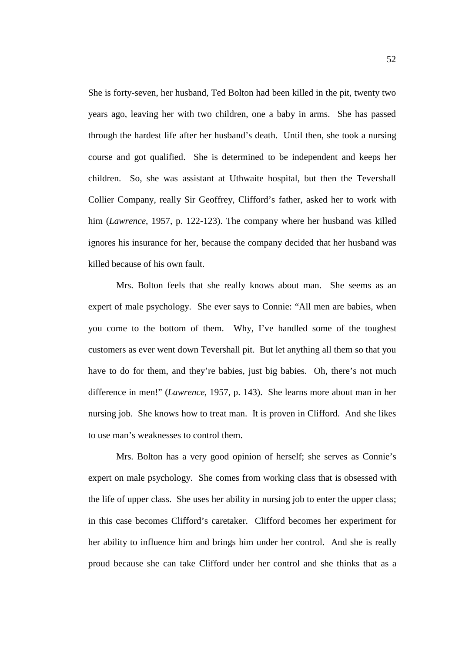She is forty-seven, her husband, Ted Bolton had been killed in the pit, twenty two years ago, leaving her with two children, one a baby in arms. She has passed through the hardest life after her husband's death. Until then, she took a nursing course and got qualified. She is determined to be independent and keeps her children. So, she was assistant at Uthwaite hospital, but then the Tevershall Collier Company, really Sir Geoffrey, Clifford's father, asked her to work with him (*Lawrence*, 1957, p. 122-123). The company where her husband was killed ignores his insurance for her, because the company decided that her husband was killed because of his own fault.

Mrs. Bolton feels that she really knows about man. She seems as an expert of male psychology. She ever says to Connie: "All men are babies, when you come to the bottom of them. Why, I've handled some of the toughest customers as ever went down Tevershall pit. But let anything all them so that you have to do for them, and they're babies, just big babies. Oh, there's not much difference in men!" (*Lawrence*, 1957, p. 143). She learns more about man in her nursing job. She knows how to treat man. It is proven in Clifford. And she likes to use man's weaknesses to control them.

Mrs. Bolton has a very good opinion of herself; she serves as Connie's expert on male psychology. She comes from working class that is obsessed with the life of upper class. She uses her ability in nursing job to enter the upper class; in this case becomes Clifford's caretaker. Clifford becomes her experiment for her ability to influence him and brings him under her control. And she is really proud because she can take Clifford under her control and she thinks that as a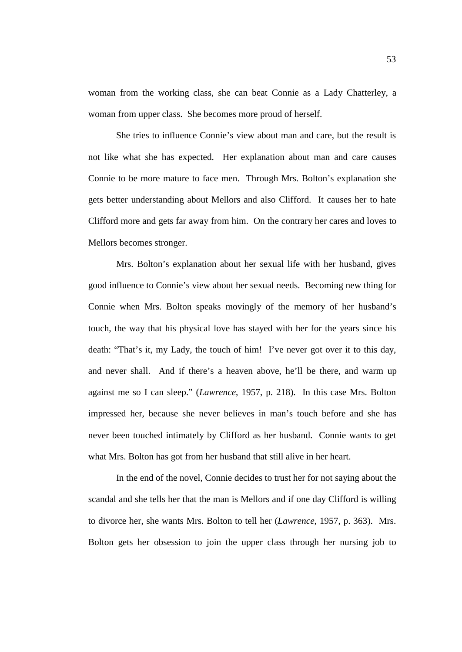woman from the working class, she can beat Connie as a Lady Chatterley, a woman from upper class. She becomes more proud of herself.

She tries to influence Connie's view about man and care, but the result is not like what she has expected. Her explanation about man and care causes Connie to be more mature to face men. Through Mrs. Bolton's explanation she gets better understanding about Mellors and also Clifford. It causes her to hate Clifford more and gets far away from him. On the contrary her cares and loves to Mellors becomes stronger.

Mrs. Bolton's explanation about her sexual life with her husband, gives good influence to Connie's view about her sexual needs. Becoming new thing for Connie when Mrs. Bolton speaks movingly of the memory of her husband's touch, the way that his physical love has stayed with her for the years since his death: "That's it, my Lady, the touch of him! I've never got over it to this day, and never shall. And if there's a heaven above, he'll be there, and warm up against me so I can sleep." (*Lawrence*, 1957, p. 218). In this case Mrs. Bolton impressed her, because she never believes in man's touch before and she has never been touched intimately by Clifford as her husband. Connie wants to get what Mrs. Bolton has got from her husband that still alive in her heart.

In the end of the novel, Connie decides to trust her for not saying about the scandal and she tells her that the man is Mellors and if one day Clifford is willing to divorce her, she wants Mrs. Bolton to tell her (*Lawrence*, 1957, p. 363). Mrs. Bolton gets her obsession to join the upper class through her nursing job to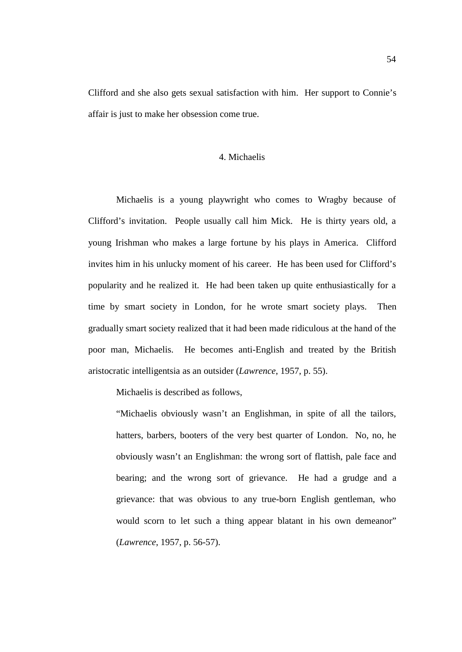Clifford and she also gets sexual satisfaction with him. Her support to Connie's affair is just to make her obsession come true.

# 4. Michaelis

Michaelis is a young playwright who comes to Wragby because of Clifford's invitation. People usually call him Mick. He is thirty years old, a young Irishman who makes a large fortune by his plays in America. Clifford invites him in his unlucky moment of his career. He has been used for Clifford's popularity and he realized it. He had been taken up quite enthusiastically for a time by smart society in London, for he wrote smart society plays. Then gradually smart society realized that it had been made ridiculous at the hand of the poor man, Michaelis. He becomes anti-English and treated by the British aristocratic intelligentsia as an outsider (*Lawrence*, 1957, p. 55).

Michaelis is described as follows,

"Michaelis obviously wasn't an Englishman, in spite of all the tailors, hatters, barbers, booters of the very best quarter of London. No, no, he obviously wasn't an Englishman: the wrong sort of flattish, pale face and bearing; and the wrong sort of grievance. He had a grudge and a grievance: that was obvious to any true-born English gentleman, who would scorn to let such a thing appear blatant in his own demeanor" (*Lawrence*, 1957, p. 56-57).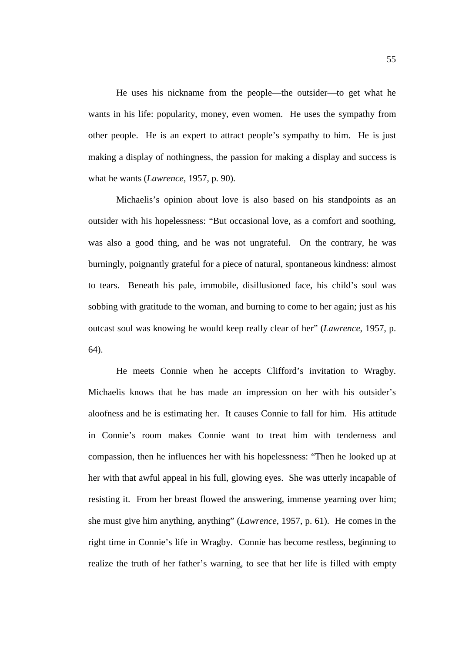He uses his nickname from the people—the outsider—to get what he wants in his life: popularity, money, even women. He uses the sympathy from other people. He is an expert to attract people's sympathy to him. He is just making a display of nothingness, the passion for making a display and success is what he wants (*Lawrence*, 1957, p. 90).

Michaelis's opinion about love is also based on his standpoints as an outsider with his hopelessness: "But occasional love, as a comfort and soothing, was also a good thing, and he was not ungrateful. On the contrary, he was burningly, poignantly grateful for a piece of natural, spontaneous kindness: almost to tears. Beneath his pale, immobile, disillusioned face, his child's soul was sobbing with gratitude to the woman, and burning to come to her again; just as his outcast soul was knowing he would keep really clear of her" (*Lawrence*, 1957, p. 64).

He meets Connie when he accepts Clifford's invitation to Wragby. Michaelis knows that he has made an impression on her with his outsider's aloofness and he is estimating her. It causes Connie to fall for him. His attitude in Connie's room makes Connie want to treat him with tenderness and compassion, then he influences her with his hopelessness: "Then he looked up at her with that awful appeal in his full, glowing eyes. She was utterly incapable of resisting it. From her breast flowed the answering, immense yearning over him; she must give him anything, anything" (*Lawrence*, 1957, p. 61). He comes in the right time in Connie's life in Wragby. Connie has become restless, beginning to realize the truth of her father's warning, to see that her life is filled with empty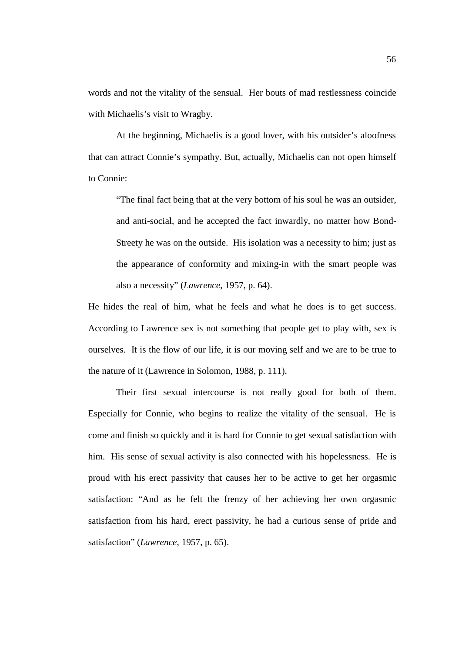words and not the vitality of the sensual. Her bouts of mad restlessness coincide with Michaelis's visit to Wragby.

At the beginning, Michaelis is a good lover, with his outsider's aloofness that can attract Connie's sympathy. But, actually, Michaelis can not open himself to Connie:

"The final fact being that at the very bottom of his soul he was an outsider, and anti-social, and he accepted the fact inwardly, no matter how Bond-Streety he was on the outside. His isolation was a necessity to him; just as the appearance of conformity and mixing-in with the smart people was also a necessity" (*Lawrence*, 1957, p. 64).

He hides the real of him, what he feels and what he does is to get success. According to Lawrence sex is not something that people get to play with, sex is ourselves. It is the flow of our life, it is our moving self and we are to be true to the nature of it (Lawrence in Solomon, 1988, p. 111).

Their first sexual intercourse is not really good for both of them. Especially for Connie, who begins to realize the vitality of the sensual. He is come and finish so quickly and it is hard for Connie to get sexual satisfaction with him. His sense of sexual activity is also connected with his hopelessness. He is proud with his erect passivity that causes her to be active to get her orgasmic satisfaction: "And as he felt the frenzy of her achieving her own orgasmic satisfaction from his hard, erect passivity, he had a curious sense of pride and satisfaction" (*Lawrence*, 1957, p. 65).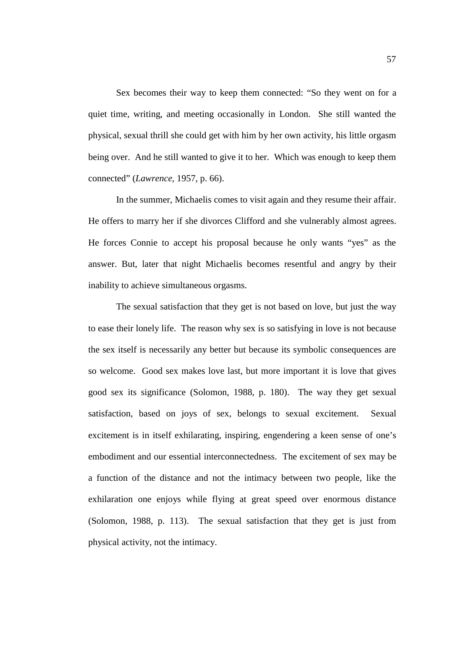Sex becomes their way to keep them connected: "So they went on for a quiet time, writing, and meeting occasionally in London. She still wanted the physical, sexual thrill she could get with him by her own activity, his little orgasm being over. And he still wanted to give it to her. Which was enough to keep them connected" (*Lawrence*, 1957, p. 66).

In the summer, Michaelis comes to visit again and they resume their affair. He offers to marry her if she divorces Clifford and she vulnerably almost agrees. He forces Connie to accept his proposal because he only wants "yes" as the answer. But, later that night Michaelis becomes resentful and angry by their inability to achieve simultaneous orgasms.

The sexual satisfaction that they get is not based on love, but just the way to ease their lonely life. The reason why sex is so satisfying in love is not because the sex itself is necessarily any better but because its symbolic consequences are so welcome. Good sex makes love last, but more important it is love that gives good sex its significance (Solomon, 1988, p. 180). The way they get sexual satisfaction, based on joys of sex, belongs to sexual excitement. Sexual excitement is in itself exhilarating, inspiring, engendering a keen sense of one's embodiment and our essential interconnectedness. The excitement of sex may be a function of the distance and not the intimacy between two people, like the exhilaration one enjoys while flying at great speed over enormous distance (Solomon, 1988, p. 113). The sexual satisfaction that they get is just from physical activity, not the intimacy.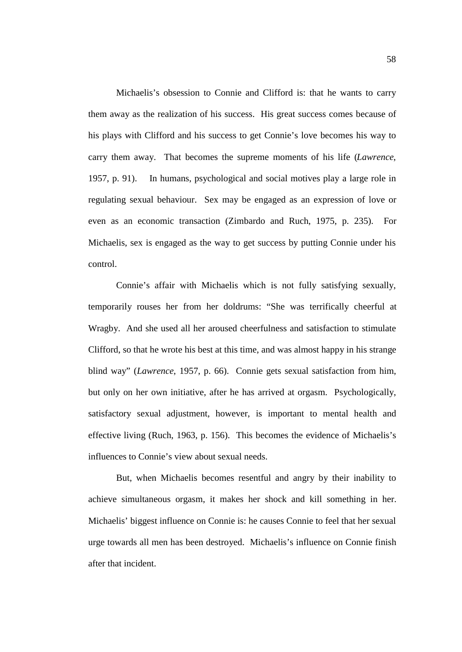Michaelis's obsession to Connie and Clifford is: that he wants to carry them away as the realization of his success. His great success comes because of his plays with Clifford and his success to get Connie's love becomes his way to carry them away. That becomes the supreme moments of his life (*Lawrence*, 1957, p. 91). In humans, psychological and social motives play a large role in regulating sexual behaviour. Sex may be engaged as an expression of love or even as an economic transaction (Zimbardo and Ruch, 1975, p. 235). For Michaelis, sex is engaged as the way to get success by putting Connie under his control.

Connie's affair with Michaelis which is not fully satisfying sexually, temporarily rouses her from her doldrums: "She was terrifically cheerful at Wragby. And she used all her aroused cheerfulness and satisfaction to stimulate Clifford, so that he wrote his best at this time, and was almost happy in his strange blind way" (*Lawrence*, 1957, p. 66). Connie gets sexual satisfaction from him, but only on her own initiative, after he has arrived at orgasm. Psychologically, satisfactory sexual adjustment, however, is important to mental health and effective living (Ruch, 1963, p. 156). This becomes the evidence of Michaelis's influences to Connie's view about sexual needs.

But, when Michaelis becomes resentful and angry by their inability to achieve simultaneous orgasm, it makes her shock and kill something in her. Michaelis' biggest influence on Connie is: he causes Connie to feel that her sexual urge towards all men has been destroyed. Michaelis's influence on Connie finish after that incident.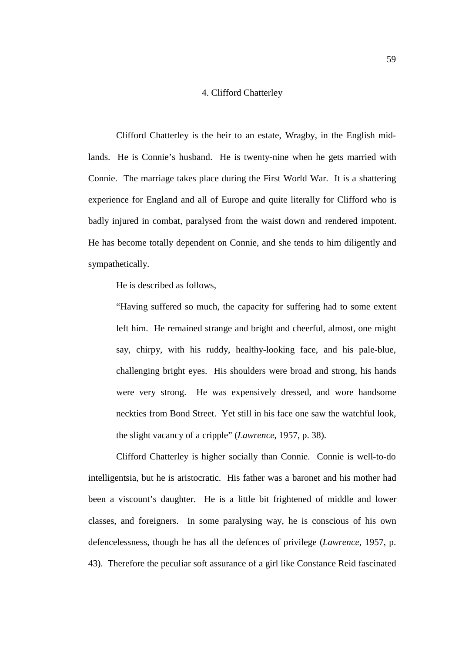## 4. Clifford Chatterley

Clifford Chatterley is the heir to an estate, Wragby, in the English midlands. He is Connie's husband. He is twenty-nine when he gets married with Connie. The marriage takes place during the First World War. It is a shattering experience for England and all of Europe and quite literally for Clifford who is badly injured in combat, paralysed from the waist down and rendered impotent. He has become totally dependent on Connie, and she tends to him diligently and sympathetically.

He is described as follows,

"Having suffered so much, the capacity for suffering had to some extent left him. He remained strange and bright and cheerful, almost, one might say, chirpy, with his ruddy, healthy-looking face, and his pale-blue, challenging bright eyes. His shoulders were broad and strong, his hands were very strong. He was expensively dressed, and wore handsome neckties from Bond Street. Yet still in his face one saw the watchful look, the slight vacancy of a cripple" (*Lawrence*, 1957, p. 38).

Clifford Chatterley is higher socially than Connie. Connie is well-to-do intelligentsia, but he is aristocratic. His father was a baronet and his mother had been a viscount's daughter. He is a little bit frightened of middle and lower classes, and foreigners. In some paralysing way, he is conscious of his own defencelessness, though he has all the defences of privilege (*Lawrence*, 1957, p. 43). Therefore the peculiar soft assurance of a girl like Constance Reid fascinated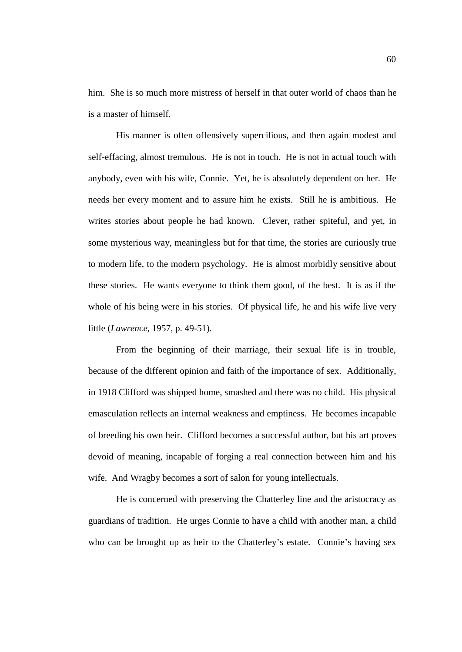him. She is so much more mistress of herself in that outer world of chaos than he is a master of himself.

His manner is often offensively supercilious, and then again modest and self-effacing, almost tremulous. He is not in touch. He is not in actual touch with anybody, even with his wife, Connie. Yet, he is absolutely dependent on her. He needs her every moment and to assure him he exists. Still he is ambitious. He writes stories about people he had known. Clever, rather spiteful, and yet, in some mysterious way, meaningless but for that time, the stories are curiously true to modern life, to the modern psychology. He is almost morbidly sensitive about these stories. He wants everyone to think them good, of the best. It is as if the whole of his being were in his stories. Of physical life, he and his wife live very little (*Lawrence*, 1957, p. 49-51).

From the beginning of their marriage, their sexual life is in trouble, because of the different opinion and faith of the importance of sex. Additionally, in 1918 Clifford was shipped home, smashed and there was no child. His physical emasculation reflects an internal weakness and emptiness. He becomes incapable of breeding his own heir. Clifford becomes a successful author, but his art proves devoid of meaning, incapable of forging a real connection between him and his wife. And Wragby becomes a sort of salon for young intellectuals.

He is concerned with preserving the Chatterley line and the aristocracy as guardians of tradition. He urges Connie to have a child with another man, a child who can be brought up as heir to the Chatterley's estate. Connie's having sex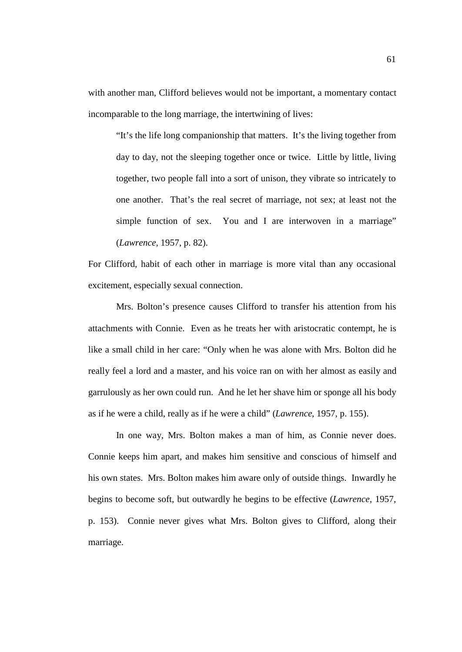with another man, Clifford believes would not be important, a momentary contact incomparable to the long marriage, the intertwining of lives:

"It's the life long companionship that matters. It's the living together from day to day, not the sleeping together once or twice. Little by little, living together, two people fall into a sort of unison, they vibrate so intricately to one another. That's the real secret of marriage, not sex; at least not the simple function of sex. You and I are interwoven in a marriage" (*Lawrence*, 1957, p. 82).

For Clifford, habit of each other in marriage is more vital than any occasional excitement, especially sexual connection.

Mrs. Bolton's presence causes Clifford to transfer his attention from his attachments with Connie. Even as he treats her with aristocratic contempt, he is like a small child in her care: "Only when he was alone with Mrs. Bolton did he really feel a lord and a master, and his voice ran on with her almost as easily and garrulously as her own could run. And he let her shave him or sponge all his body as if he were a child, really as if he were a child" (*Lawrence*, 1957, p. 155).

In one way, Mrs. Bolton makes a man of him, as Connie never does. Connie keeps him apart, and makes him sensitive and conscious of himself and his own states. Mrs. Bolton makes him aware only of outside things. Inwardly he begins to become soft, but outwardly he begins to be effective (*Lawrence*, 1957, p. 153). Connie never gives what Mrs. Bolton gives to Clifford, along their marriage.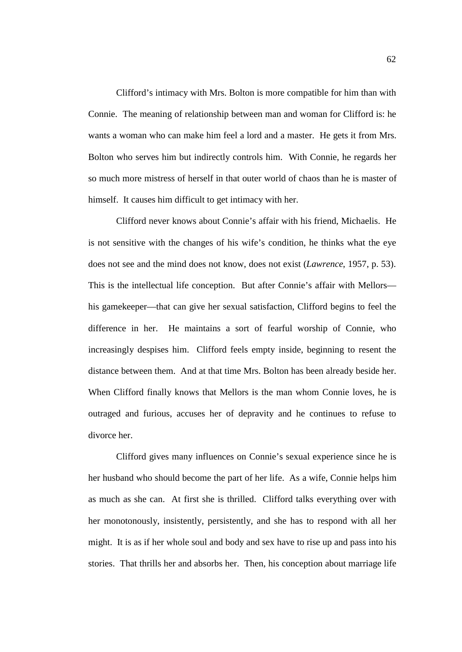Clifford's intimacy with Mrs. Bolton is more compatible for him than with Connie. The meaning of relationship between man and woman for Clifford is: he wants a woman who can make him feel a lord and a master. He gets it from Mrs. Bolton who serves him but indirectly controls him. With Connie, he regards her so much more mistress of herself in that outer world of chaos than he is master of himself. It causes him difficult to get intimacy with her.

Clifford never knows about Connie's affair with his friend, Michaelis. He is not sensitive with the changes of his wife's condition, he thinks what the eye does not see and the mind does not know, does not exist (*Lawrence*, 1957, p. 53). This is the intellectual life conception. But after Connie's affair with Mellors his gamekeeper—that can give her sexual satisfaction, Clifford begins to feel the difference in her. He maintains a sort of fearful worship of Connie, who increasingly despises him. Clifford feels empty inside, beginning to resent the distance between them. And at that time Mrs. Bolton has been already beside her. When Clifford finally knows that Mellors is the man whom Connie loves, he is outraged and furious, accuses her of depravity and he continues to refuse to divorce her.

Clifford gives many influences on Connie's sexual experience since he is her husband who should become the part of her life. As a wife, Connie helps him as much as she can. At first she is thrilled. Clifford talks everything over with her monotonously, insistently, persistently, and she has to respond with all her might. It is as if her whole soul and body and sex have to rise up and pass into his stories. That thrills her and absorbs her. Then, his conception about marriage life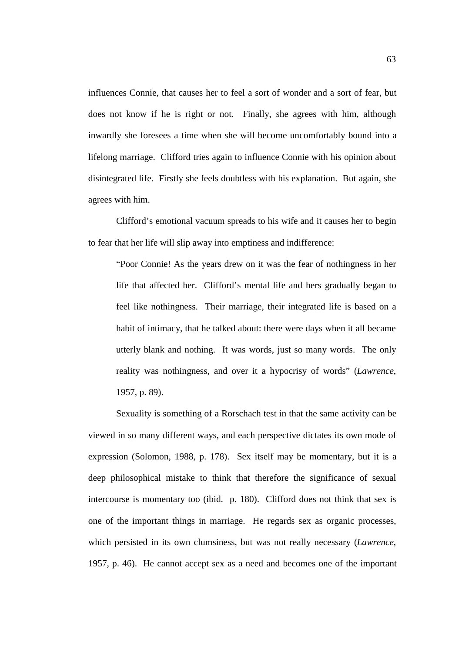influences Connie, that causes her to feel a sort of wonder and a sort of fear, but does not know if he is right or not. Finally, she agrees with him, although inwardly she foresees a time when she will become uncomfortably bound into a lifelong marriage. Clifford tries again to influence Connie with his opinion about disintegrated life. Firstly she feels doubtless with his explanation. But again, she agrees with him.

Clifford's emotional vacuum spreads to his wife and it causes her to begin to fear that her life will slip away into emptiness and indifference:

"Poor Connie! As the years drew on it was the fear of nothingness in her life that affected her. Clifford's mental life and hers gradually began to feel like nothingness. Their marriage, their integrated life is based on a habit of intimacy, that he talked about: there were days when it all became utterly blank and nothing. It was words, just so many words. The only reality was nothingness, and over it a hypocrisy of words" (*Lawrence*, 1957, p. 89).

Sexuality is something of a Rorschach test in that the same activity can be viewed in so many different ways, and each perspective dictates its own mode of expression (Solomon, 1988, p. 178). Sex itself may be momentary, but it is a deep philosophical mistake to think that therefore the significance of sexual intercourse is momentary too (ibid. p. 180). Clifford does not think that sex is one of the important things in marriage. He regards sex as organic processes, which persisted in its own clumsiness, but was not really necessary (*Lawrence*, 1957, p. 46). He cannot accept sex as a need and becomes one of the important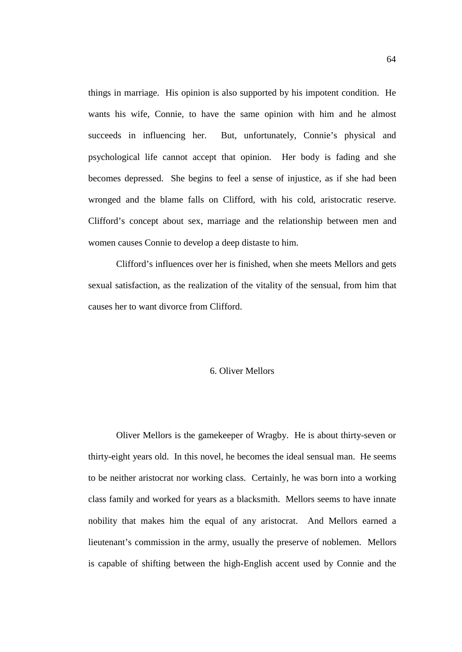things in marriage. His opinion is also supported by his impotent condition. He wants his wife, Connie, to have the same opinion with him and he almost succeeds in influencing her. But, unfortunately, Connie's physical and psychological life cannot accept that opinion. Her body is fading and she becomes depressed. She begins to feel a sense of injustice, as if she had been wronged and the blame falls on Clifford, with his cold, aristocratic reserve. Clifford's concept about sex, marriage and the relationship between men and women causes Connie to develop a deep distaste to him.

Clifford's influences over her is finished, when she meets Mellors and gets sexual satisfaction, as the realization of the vitality of the sensual, from him that causes her to want divorce from Clifford.

## 6. Oliver Mellors

Oliver Mellors is the gamekeeper of Wragby. He is about thirty-seven or thirty-eight years old. In this novel, he becomes the ideal sensual man. He seems to be neither aristocrat nor working class. Certainly, he was born into a working class family and worked for years as a blacksmith. Mellors seems to have innate nobility that makes him the equal of any aristocrat. And Mellors earned a lieutenant's commission in the army, usually the preserve of noblemen. Mellors is capable of shifting between the high-English accent used by Connie and the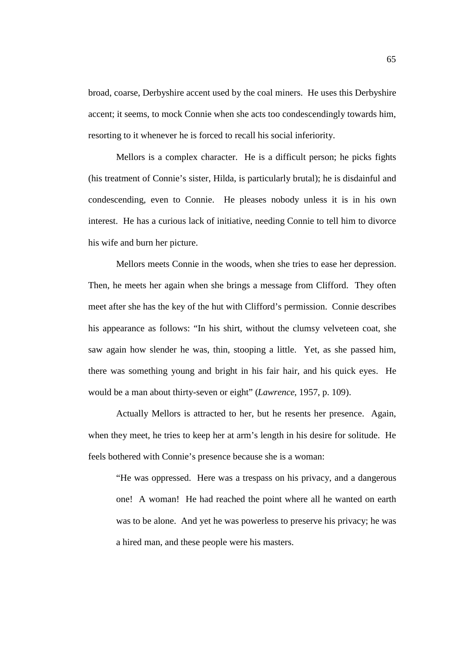broad, coarse, Derbyshire accent used by the coal miners. He uses this Derbyshire accent; it seems, to mock Connie when she acts too condescendingly towards him, resorting to it whenever he is forced to recall his social inferiority.

Mellors is a complex character. He is a difficult person; he picks fights (his treatment of Connie's sister, Hilda, is particularly brutal); he is disdainful and condescending, even to Connie. He pleases nobody unless it is in his own interest. He has a curious lack of initiative, needing Connie to tell him to divorce his wife and burn her picture.

Mellors meets Connie in the woods, when she tries to ease her depression. Then, he meets her again when she brings a message from Clifford. They often meet after she has the key of the hut with Clifford's permission. Connie describes his appearance as follows: "In his shirt, without the clumsy velveteen coat, she saw again how slender he was, thin, stooping a little. Yet, as she passed him, there was something young and bright in his fair hair, and his quick eyes. He would be a man about thirty-seven or eight" (*Lawrence*, 1957, p. 109).

Actually Mellors is attracted to her, but he resents her presence. Again, when they meet, he tries to keep her at arm's length in his desire for solitude. He feels bothered with Connie's presence because she is a woman:

"He was oppressed. Here was a trespass on his privacy, and a dangerous one! A woman! He had reached the point where all he wanted on earth was to be alone. And yet he was powerless to preserve his privacy; he was a hired man, and these people were his masters.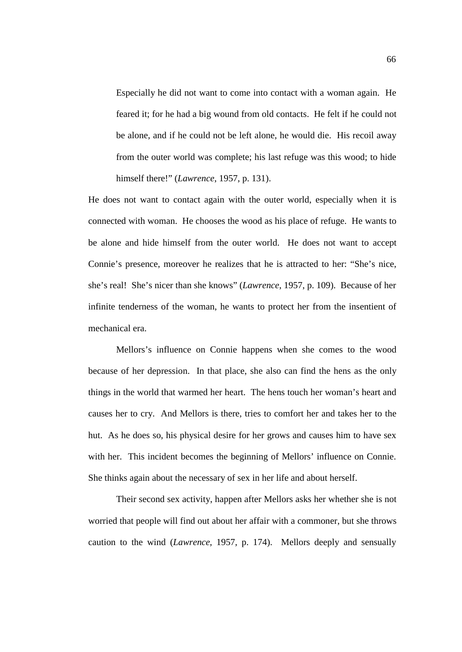Especially he did not want to come into contact with a woman again. He feared it; for he had a big wound from old contacts. He felt if he could not be alone, and if he could not be left alone, he would die. His recoil away from the outer world was complete; his last refuge was this wood; to hide himself there!" (*Lawrence*, 1957, p. 131).

He does not want to contact again with the outer world, especially when it is connected with woman. He chooses the wood as his place of refuge. He wants to be alone and hide himself from the outer world. He does not want to accept Connie's presence, moreover he realizes that he is attracted to her: "She's nice, she's real! She's nicer than she knows" (*Lawrence*, 1957, p. 109). Because of her infinite tenderness of the woman, he wants to protect her from the insentient of mechanical era.

Mellors's influence on Connie happens when she comes to the wood because of her depression. In that place, she also can find the hens as the only things in the world that warmed her heart. The hens touch her woman's heart and causes her to cry. And Mellors is there, tries to comfort her and takes her to the hut. As he does so, his physical desire for her grows and causes him to have sex with her. This incident becomes the beginning of Mellors' influence on Connie. She thinks again about the necessary of sex in her life and about herself.

Their second sex activity, happen after Mellors asks her whether she is not worried that people will find out about her affair with a commoner, but she throws caution to the wind (*Lawrence*, 1957, p. 174). Mellors deeply and sensually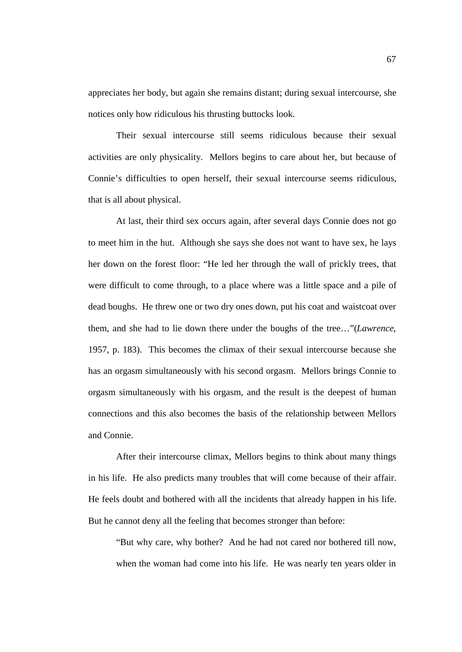appreciates her body, but again she remains distant; during sexual intercourse, she notices only how ridiculous his thrusting buttocks look.

Their sexual intercourse still seems ridiculous because their sexual activities are only physicality. Mellors begins to care about her, but because of Connie's difficulties to open herself, their sexual intercourse seems ridiculous, that is all about physical.

At last, their third sex occurs again, after several days Connie does not go to meet him in the hut. Although she says she does not want to have sex, he lays her down on the forest floor: "He led her through the wall of prickly trees, that were difficult to come through, to a place where was a little space and a pile of dead boughs. He threw one or two dry ones down, put his coat and waistcoat over them, and she had to lie down there under the boughs of the tree…"(*Lawrence*, 1957, p. 183). This becomes the climax of their sexual intercourse because she has an orgasm simultaneously with his second orgasm. Mellors brings Connie to orgasm simultaneously with his orgasm, and the result is the deepest of human connections and this also becomes the basis of the relationship between Mellors and Connie.

After their intercourse climax, Mellors begins to think about many things in his life. He also predicts many troubles that will come because of their affair. He feels doubt and bothered with all the incidents that already happen in his life. But he cannot deny all the feeling that becomes stronger than before:

"But why care, why bother? And he had not cared nor bothered till now, when the woman had come into his life. He was nearly ten years older in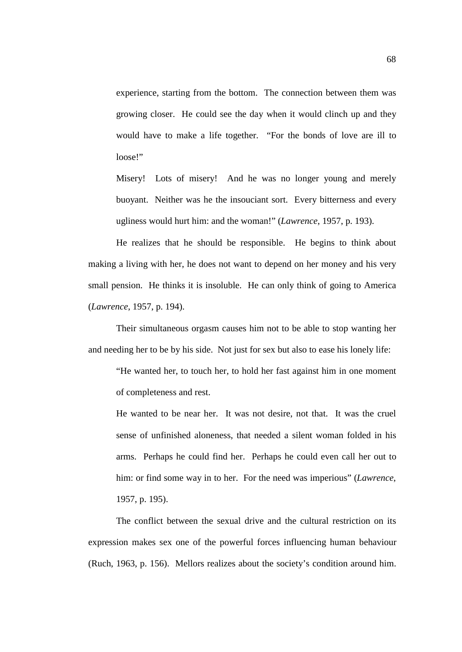experience, starting from the bottom. The connection between them was growing closer. He could see the day when it would clinch up and they would have to make a life together. "For the bonds of love are ill to loose!"

Misery! Lots of misery! And he was no longer young and merely buoyant. Neither was he the insouciant sort. Every bitterness and every ugliness would hurt him: and the woman!" (*Lawrence*, 1957, p. 193).

He realizes that he should be responsible. He begins to think about making a living with her, he does not want to depend on her money and his very small pension. He thinks it is insoluble. He can only think of going to America (*Lawrence*, 1957, p. 194).

Their simultaneous orgasm causes him not to be able to stop wanting her and needing her to be by his side. Not just for sex but also to ease his lonely life:

"He wanted her, to touch her, to hold her fast against him in one moment of completeness and rest.

He wanted to be near her. It was not desire, not that. It was the cruel sense of unfinished aloneness, that needed a silent woman folded in his arms. Perhaps he could find her. Perhaps he could even call her out to him: or find some way in to her. For the need was imperious" (*Lawrence*, 1957, p. 195).

The conflict between the sexual drive and the cultural restriction on its expression makes sex one of the powerful forces influencing human behaviour (Ruch, 1963, p. 156). Mellors realizes about the society's condition around him.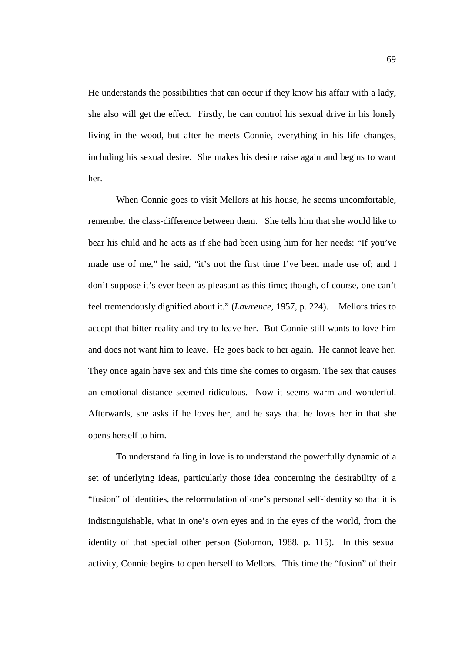He understands the possibilities that can occur if they know his affair with a lady, she also will get the effect. Firstly, he can control his sexual drive in his lonely living in the wood, but after he meets Connie, everything in his life changes, including his sexual desire. She makes his desire raise again and begins to want her.

When Connie goes to visit Mellors at his house, he seems uncomfortable, remember the class-difference between them. She tells him that she would like to bear his child and he acts as if she had been using him for her needs: "If you've made use of me," he said, "it's not the first time I've been made use of; and I don't suppose it's ever been as pleasant as this time; though, of course, one can't feel tremendously dignified about it." (*Lawrence*, 1957, p. 224). Mellors tries to accept that bitter reality and try to leave her. But Connie still wants to love him and does not want him to leave. He goes back to her again. He cannot leave her. They once again have sex and this time she comes to orgasm. The sex that causes an emotional distance seemed ridiculous. Now it seems warm and wonderful. Afterwards, she asks if he loves her, and he says that he loves her in that she opens herself to him.

To understand falling in love is to understand the powerfully dynamic of a set of underlying ideas, particularly those idea concerning the desirability of a "fusion" of identities, the reformulation of one's personal self-identity so that it is indistinguishable, what in one's own eyes and in the eyes of the world, from the identity of that special other person (Solomon, 1988, p. 115). In this sexual activity, Connie begins to open herself to Mellors. This time the "fusion" of their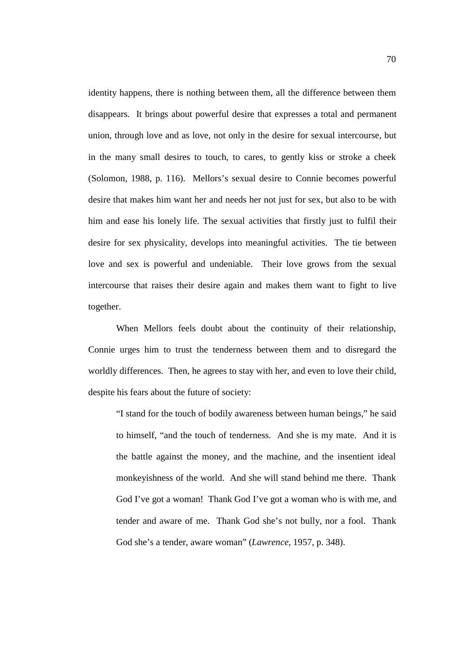identity happens, there is nothing between them, all the difference between them disappears. It brings about powerful desire that expresses a total and permanent union, through love and as love, not only in the desire for sexual intercourse, but in the many small desires to touch, to cares, to gently kiss or stroke a cheek (Solomon, 1988, p. 116). Mellors's sexual desire to Connie becomes powerful desire that makes him want her and needs her not just for sex, but also to be with him and ease his lonely life. The sexual activities that firstly just to fulfil their desire for sex physicality, develops into meaningful activities. The tie between love and sex is powerful and undeniable. Their love grows from the sexual intercourse that raises their desire again and makes them want to fight to live together.

When Mellors feels doubt about the continuity of their relationship, Connie urges him to trust the tenderness between them and to disregard the worldly differences. Then, he agrees to stay with her, and even to love their child, despite his fears about the future of society:

"I stand for the touch of bodily awareness between human beings," he said to himself, "and the touch of tenderness. And she is my mate. And it is the battle against the money, and the machine, and the insentient ideal monkeyishness of the world. And she will stand behind me there. Thank God I've got a woman! Thank God I've got a woman who is with me, and tender and aware of me. Thank God she's not bully, nor a fool. Thank God she's a tender, aware woman" (*Lawrence*, 1957, p. 348).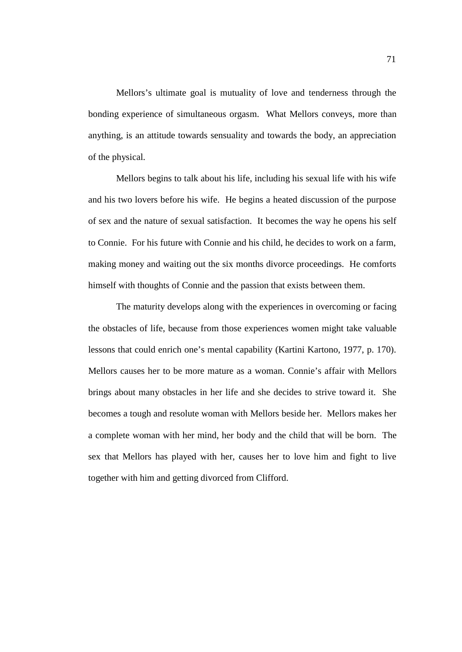Mellors's ultimate goal is mutuality of love and tenderness through the bonding experience of simultaneous orgasm. What Mellors conveys, more than anything, is an attitude towards sensuality and towards the body, an appreciation of the physical.

Mellors begins to talk about his life, including his sexual life with his wife and his two lovers before his wife. He begins a heated discussion of the purpose of sex and the nature of sexual satisfaction. It becomes the way he opens his self to Connie. For his future with Connie and his child, he decides to work on a farm, making money and waiting out the six months divorce proceedings. He comforts himself with thoughts of Connie and the passion that exists between them.

The maturity develops along with the experiences in overcoming or facing the obstacles of life, because from those experiences women might take valuable lessons that could enrich one's mental capability (Kartini Kartono, 1977, p. 170). Mellors causes her to be more mature as a woman. Connie's affair with Mellors brings about many obstacles in her life and she decides to strive toward it. She becomes a tough and resolute woman with Mellors beside her. Mellors makes her a complete woman with her mind, her body and the child that will be born. The sex that Mellors has played with her, causes her to love him and fight to live together with him and getting divorced from Clifford.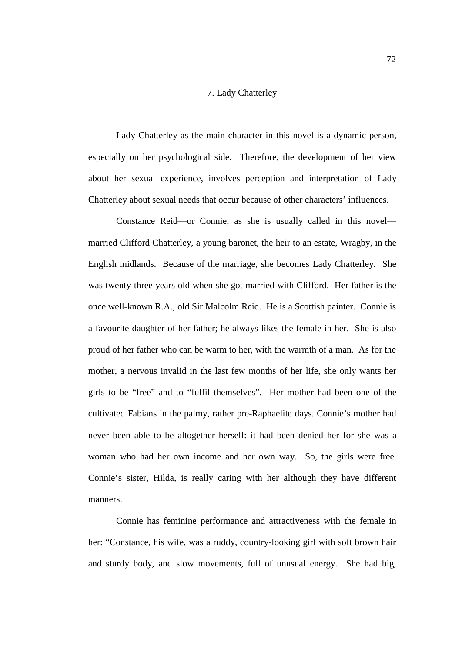## 7. Lady Chatterley

Lady Chatterley as the main character in this novel is a dynamic person, especially on her psychological side. Therefore, the development of her view about her sexual experience, involves perception and interpretation of Lady Chatterley about sexual needs that occur because of other characters' influences.

Constance Reid—or Connie, as she is usually called in this novel married Clifford Chatterley, a young baronet, the heir to an estate, Wragby, in the English midlands. Because of the marriage, she becomes Lady Chatterley. She was twenty-three years old when she got married with Clifford. Her father is the once well-known R.A., old Sir Malcolm Reid. He is a Scottish painter. Connie is a favourite daughter of her father; he always likes the female in her. She is also proud of her father who can be warm to her, with the warmth of a man. As for the mother, a nervous invalid in the last few months of her life, she only wants her girls to be "free" and to "fulfil themselves". Her mother had been one of the cultivated Fabians in the palmy, rather pre-Raphaelite days. Connie's mother had never been able to be altogether herself: it had been denied her for she was a woman who had her own income and her own way. So, the girls were free. Connie's sister, Hilda, is really caring with her although they have different manners.

Connie has feminine performance and attractiveness with the female in her: "Constance, his wife, was a ruddy, country-looking girl with soft brown hair and sturdy body, and slow movements, full of unusual energy. She had big,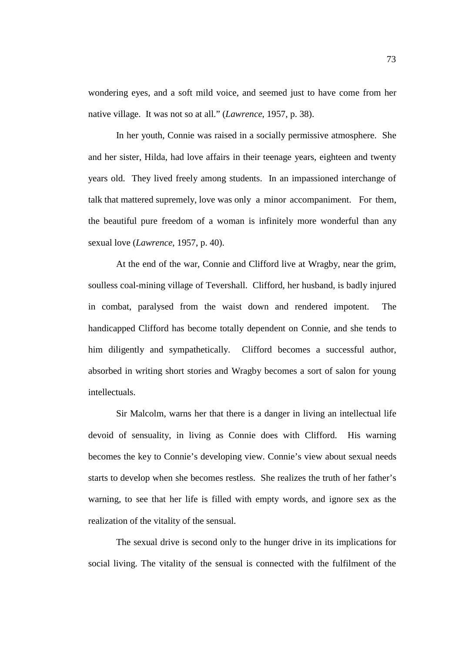wondering eyes, and a soft mild voice, and seemed just to have come from her native village. It was not so at all." (*Lawrence*, 1957, p. 38).

In her youth, Connie was raised in a socially permissive atmosphere. She and her sister, Hilda, had love affairs in their teenage years, eighteen and twenty years old. They lived freely among students. In an impassioned interchange of talk that mattered supremely, love was only a minor accompaniment. For them, the beautiful pure freedom of a woman is infinitely more wonderful than any sexual love (*Lawrence*, 1957, p. 40).

At the end of the war, Connie and Clifford live at Wragby, near the grim, soulless coal-mining village of Tevershall. Clifford, her husband, is badly injured in combat, paralysed from the waist down and rendered impotent. The handicapped Clifford has become totally dependent on Connie, and she tends to him diligently and sympathetically. Clifford becomes a successful author, absorbed in writing short stories and Wragby becomes a sort of salon for young intellectuals.

Sir Malcolm, warns her that there is a danger in living an intellectual life devoid of sensuality, in living as Connie does with Clifford. His warning becomes the key to Connie's developing view. Connie's view about sexual needs starts to develop when she becomes restless. She realizes the truth of her father's warning, to see that her life is filled with empty words, and ignore sex as the realization of the vitality of the sensual.

The sexual drive is second only to the hunger drive in its implications for social living. The vitality of the sensual is connected with the fulfilment of the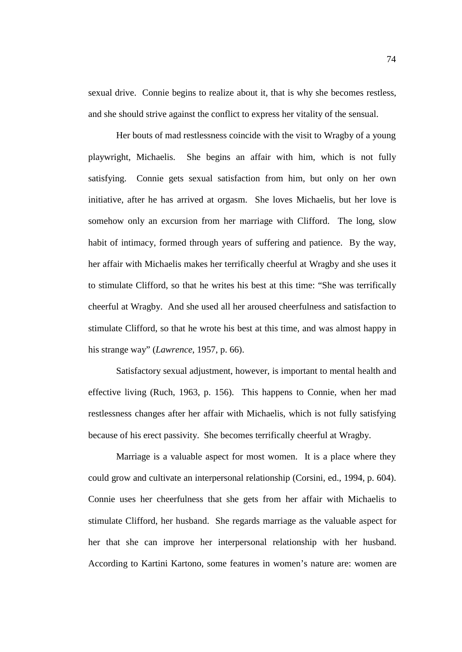sexual drive. Connie begins to realize about it, that is why she becomes restless, and she should strive against the conflict to express her vitality of the sensual.

Her bouts of mad restlessness coincide with the visit to Wragby of a young playwright, Michaelis. She begins an affair with him, which is not fully satisfying. Connie gets sexual satisfaction from him, but only on her own initiative, after he has arrived at orgasm. She loves Michaelis, but her love is somehow only an excursion from her marriage with Clifford. The long, slow habit of intimacy, formed through years of suffering and patience. By the way, her affair with Michaelis makes her terrifically cheerful at Wragby and she uses it to stimulate Clifford, so that he writes his best at this time: "She was terrifically cheerful at Wragby. And she used all her aroused cheerfulness and satisfaction to stimulate Clifford, so that he wrote his best at this time, and was almost happy in his strange way" (*Lawrence*, 1957, p. 66).

Satisfactory sexual adjustment, however, is important to mental health and effective living (Ruch, 1963, p. 156). This happens to Connie, when her mad restlessness changes after her affair with Michaelis, which is not fully satisfying because of his erect passivity. She becomes terrifically cheerful at Wragby.

Marriage is a valuable aspect for most women. It is a place where they could grow and cultivate an interpersonal relationship (Corsini, ed., 1994, p. 604). Connie uses her cheerfulness that she gets from her affair with Michaelis to stimulate Clifford, her husband. She regards marriage as the valuable aspect for her that she can improve her interpersonal relationship with her husband. According to Kartini Kartono, some features in women's nature are: women are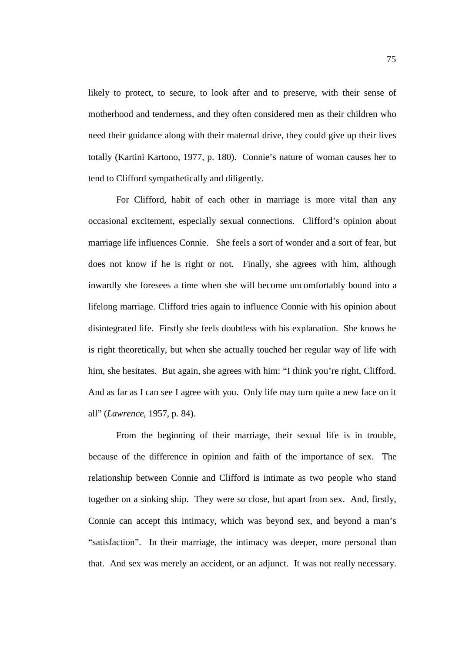likely to protect, to secure, to look after and to preserve, with their sense of motherhood and tenderness, and they often considered men as their children who need their guidance along with their maternal drive, they could give up their lives totally (Kartini Kartono, 1977, p. 180). Connie's nature of woman causes her to tend to Clifford sympathetically and diligently.

For Clifford, habit of each other in marriage is more vital than any occasional excitement, especially sexual connections. Clifford's opinion about marriage life influences Connie. She feels a sort of wonder and a sort of fear, but does not know if he is right or not. Finally, she agrees with him, although inwardly she foresees a time when she will become uncomfortably bound into a lifelong marriage. Clifford tries again to influence Connie with his opinion about disintegrated life. Firstly she feels doubtless with his explanation. She knows he is right theoretically, but when she actually touched her regular way of life with him, she hesitates. But again, she agrees with him: "I think you're right, Clifford. And as far as I can see I agree with you. Only life may turn quite a new face on it all" (*Lawrence*, 1957, p. 84).

From the beginning of their marriage, their sexual life is in trouble, because of the difference in opinion and faith of the importance of sex. The relationship between Connie and Clifford is intimate as two people who stand together on a sinking ship. They were so close, but apart from sex. And, firstly, Connie can accept this intimacy, which was beyond sex, and beyond a man's "satisfaction". In their marriage, the intimacy was deeper, more personal than that. And sex was merely an accident, or an adjunct. It was not really necessary.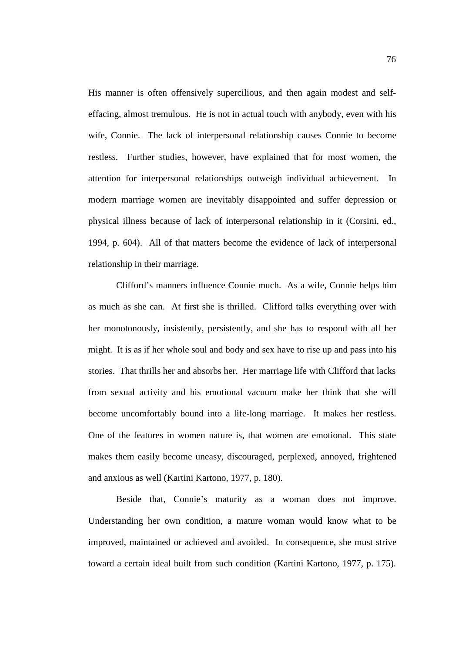His manner is often offensively supercilious, and then again modest and selfeffacing, almost tremulous. He is not in actual touch with anybody, even with his wife, Connie. The lack of interpersonal relationship causes Connie to become restless. Further studies, however, have explained that for most women, the attention for interpersonal relationships outweigh individual achievement. In modern marriage women are inevitably disappointed and suffer depression or physical illness because of lack of interpersonal relationship in it (Corsini, ed., 1994, p. 604). All of that matters become the evidence of lack of interpersonal relationship in their marriage.

Clifford's manners influence Connie much. As a wife, Connie helps him as much as she can. At first she is thrilled. Clifford talks everything over with her monotonously, insistently, persistently, and she has to respond with all her might. It is as if her whole soul and body and sex have to rise up and pass into his stories. That thrills her and absorbs her. Her marriage life with Clifford that lacks from sexual activity and his emotional vacuum make her think that she will become uncomfortably bound into a life-long marriage. It makes her restless. One of the features in women nature is, that women are emotional. This state makes them easily become uneasy, discouraged, perplexed, annoyed, frightened and anxious as well (Kartini Kartono, 1977, p. 180).

Beside that, Connie's maturity as a woman does not improve. Understanding her own condition, a mature woman would know what to be improved, maintained or achieved and avoided. In consequence, she must strive toward a certain ideal built from such condition (Kartini Kartono, 1977, p. 175).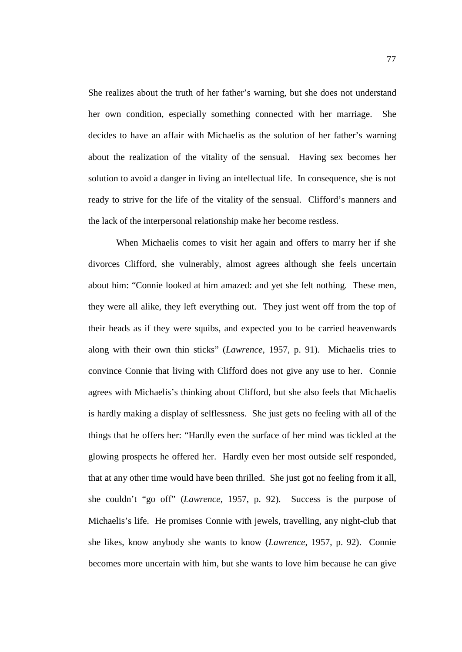She realizes about the truth of her father's warning, but she does not understand her own condition, especially something connected with her marriage. She decides to have an affair with Michaelis as the solution of her father's warning about the realization of the vitality of the sensual. Having sex becomes her solution to avoid a danger in living an intellectual life. In consequence, she is not ready to strive for the life of the vitality of the sensual. Clifford's manners and the lack of the interpersonal relationship make her become restless.

When Michaelis comes to visit her again and offers to marry her if she divorces Clifford, she vulnerably, almost agrees although she feels uncertain about him: "Connie looked at him amazed: and yet she felt nothing. These men, they were all alike, they left everything out. They just went off from the top of their heads as if they were squibs, and expected you to be carried heavenwards along with their own thin sticks" (*Lawrence*, 1957, p. 91). Michaelis tries to convince Connie that living with Clifford does not give any use to her. Connie agrees with Michaelis's thinking about Clifford, but she also feels that Michaelis is hardly making a display of selflessness. She just gets no feeling with all of the things that he offers her: "Hardly even the surface of her mind was tickled at the glowing prospects he offered her. Hardly even her most outside self responded, that at any other time would have been thrilled. She just got no feeling from it all, she couldn't "go off" (*Lawrence*, 1957, p. 92). Success is the purpose of Michaelis's life. He promises Connie with jewels, travelling, any night-club that she likes, know anybody she wants to know (*Lawrence*, 1957, p. 92). Connie becomes more uncertain with him, but she wants to love him because he can give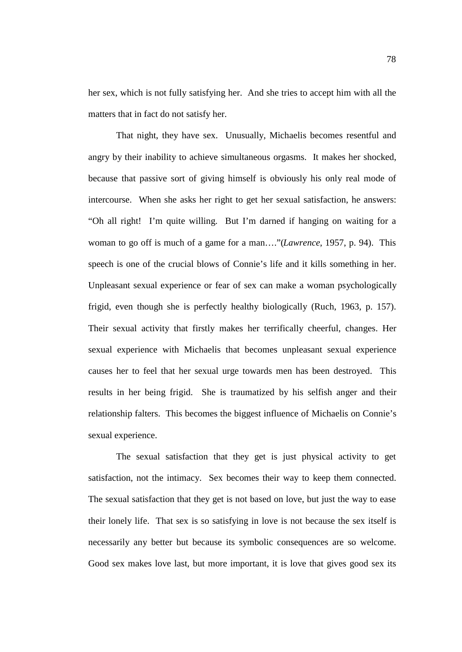her sex, which is not fully satisfying her. And she tries to accept him with all the matters that in fact do not satisfy her.

That night, they have sex. Unusually, Michaelis becomes resentful and angry by their inability to achieve simultaneous orgasms. It makes her shocked, because that passive sort of giving himself is obviously his only real mode of intercourse. When she asks her right to get her sexual satisfaction, he answers: "Oh all right! I'm quite willing. But I'm darned if hanging on waiting for a woman to go off is much of a game for a man…."(*Lawrence*, 1957, p. 94). This speech is one of the crucial blows of Connie's life and it kills something in her. Unpleasant sexual experience or fear of sex can make a woman psychologically frigid, even though she is perfectly healthy biologically (Ruch, 1963, p. 157). Their sexual activity that firstly makes her terrifically cheerful, changes. Her sexual experience with Michaelis that becomes unpleasant sexual experience causes her to feel that her sexual urge towards men has been destroyed. This results in her being frigid. She is traumatized by his selfish anger and their relationship falters. This becomes the biggest influence of Michaelis on Connie's sexual experience.

The sexual satisfaction that they get is just physical activity to get satisfaction, not the intimacy. Sex becomes their way to keep them connected. The sexual satisfaction that they get is not based on love, but just the way to ease their lonely life. That sex is so satisfying in love is not because the sex itself is necessarily any better but because its symbolic consequences are so welcome. Good sex makes love last, but more important, it is love that gives good sex its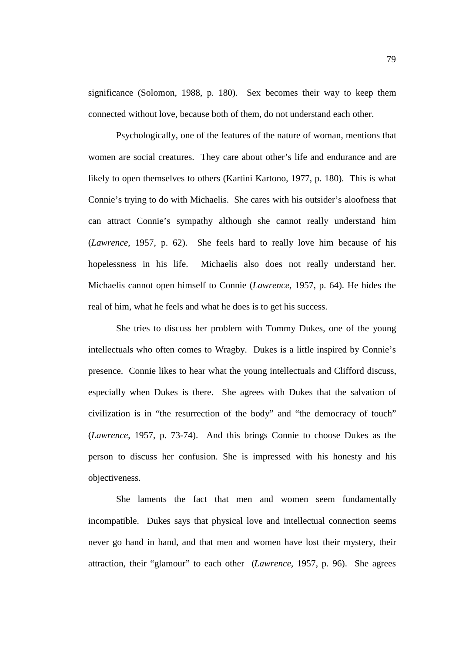significance (Solomon, 1988, p. 180). Sex becomes their way to keep them connected without love, because both of them, do not understand each other.

Psychologically, one of the features of the nature of woman, mentions that women are social creatures. They care about other's life and endurance and are likely to open themselves to others (Kartini Kartono, 1977, p. 180). This is what Connie's trying to do with Michaelis. She cares with his outsider's aloofness that can attract Connie's sympathy although she cannot really understand him (*Lawrence*, 1957, p. 62). She feels hard to really love him because of his hopelessness in his life. Michaelis also does not really understand her. Michaelis cannot open himself to Connie (*Lawrence*, 1957, p. 64). He hides the real of him, what he feels and what he does is to get his success.

She tries to discuss her problem with Tommy Dukes, one of the young intellectuals who often comes to Wragby. Dukes is a little inspired by Connie's presence. Connie likes to hear what the young intellectuals and Clifford discuss, especially when Dukes is there. She agrees with Dukes that the salvation of civilization is in "the resurrection of the body" and "the democracy of touch" (*Lawrence*, 1957, p. 73-74). And this brings Connie to choose Dukes as the person to discuss her confusion. She is impressed with his honesty and his objectiveness.

She laments the fact that men and women seem fundamentally incompatible. Dukes says that physical love and intellectual connection seems never go hand in hand, and that men and women have lost their mystery, their attraction, their "glamour" to each other (*Lawrence*, 1957, p. 96). She agrees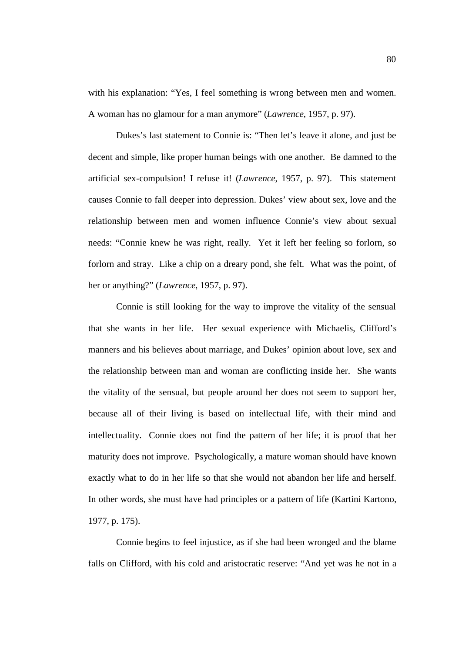with his explanation: "Yes, I feel something is wrong between men and women. A woman has no glamour for a man anymore" (*Lawrence*, 1957, p. 97).

Dukes's last statement to Connie is: "Then let's leave it alone, and just be decent and simple, like proper human beings with one another. Be damned to the artificial sex-compulsion! I refuse it! (*Lawrence*, 1957, p. 97). This statement causes Connie to fall deeper into depression. Dukes' view about sex, love and the relationship between men and women influence Connie's view about sexual needs: "Connie knew he was right, really. Yet it left her feeling so forlorn, so forlorn and stray. Like a chip on a dreary pond, she felt. What was the point, of her or anything?" (*Lawrence*, 1957, p. 97).

Connie is still looking for the way to improve the vitality of the sensual that she wants in her life. Her sexual experience with Michaelis, Clifford's manners and his believes about marriage, and Dukes' opinion about love, sex and the relationship between man and woman are conflicting inside her. She wants the vitality of the sensual, but people around her does not seem to support her, because all of their living is based on intellectual life, with their mind and intellectuality. Connie does not find the pattern of her life; it is proof that her maturity does not improve. Psychologically, a mature woman should have known exactly what to do in her life so that she would not abandon her life and herself. In other words, she must have had principles or a pattern of life (Kartini Kartono, 1977, p. 175).

Connie begins to feel injustice, as if she had been wronged and the blame falls on Clifford, with his cold and aristocratic reserve: "And yet was he not in a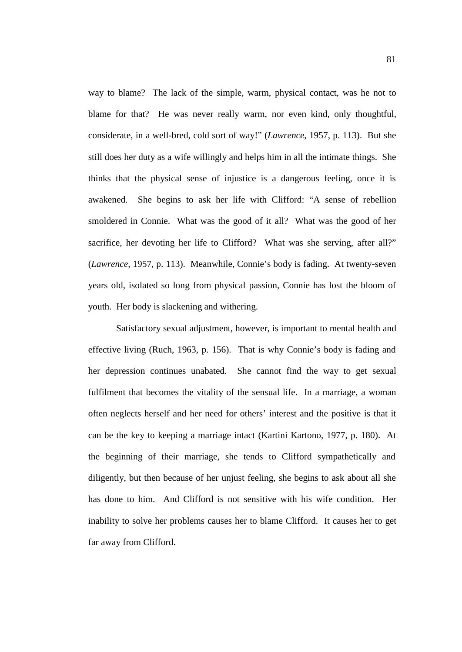way to blame? The lack of the simple, warm, physical contact, was he not to blame for that? He was never really warm, nor even kind, only thoughtful, considerate, in a well-bred, cold sort of way!" (*Lawrence*, 1957, p. 113). But she still does her duty as a wife willingly and helps him in all the intimate things. She thinks that the physical sense of injustice is a dangerous feeling, once it is awakened. She begins to ask her life with Clifford: "A sense of rebellion smoldered in Connie. What was the good of it all? What was the good of her sacrifice, her devoting her life to Clifford? What was she serving, after all?" (*Lawrence*, 1957, p. 113). Meanwhile, Connie's body is fading. At twenty-seven years old, isolated so long from physical passion, Connie has lost the bloom of youth. Her body is slackening and withering.

Satisfactory sexual adjustment, however, is important to mental health and effective living (Ruch, 1963, p. 156). That is why Connie's body is fading and her depression continues unabated. She cannot find the way to get sexual fulfilment that becomes the vitality of the sensual life. In a marriage, a woman often neglects herself and her need for others' interest and the positive is that it can be the key to keeping a marriage intact (Kartini Kartono, 1977, p. 180). At the beginning of their marriage, she tends to Clifford sympathetically and diligently, but then because of her unjust feeling, she begins to ask about all she has done to him. And Clifford is not sensitive with his wife condition. Her inability to solve her problems causes her to blame Clifford. It causes her to get far away from Clifford.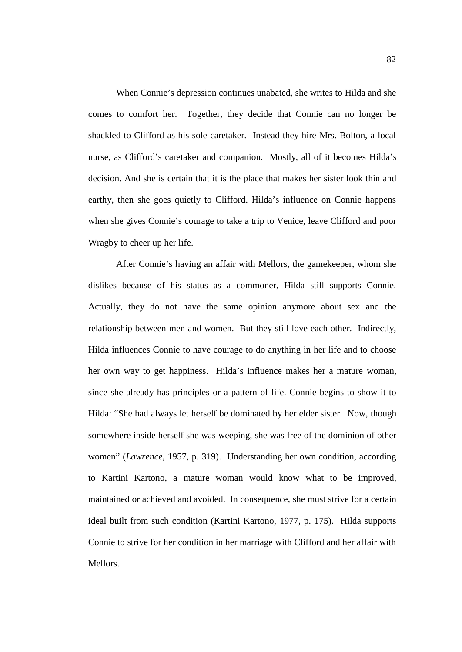When Connie's depression continues unabated, she writes to Hilda and she comes to comfort her. Together, they decide that Connie can no longer be shackled to Clifford as his sole caretaker. Instead they hire Mrs. Bolton, a local nurse, as Clifford's caretaker and companion. Mostly, all of it becomes Hilda's decision. And she is certain that it is the place that makes her sister look thin and earthy, then she goes quietly to Clifford. Hilda's influence on Connie happens when she gives Connie's courage to take a trip to Venice, leave Clifford and poor Wragby to cheer up her life.

After Connie's having an affair with Mellors, the gamekeeper, whom she dislikes because of his status as a commoner, Hilda still supports Connie. Actually, they do not have the same opinion anymore about sex and the relationship between men and women. But they still love each other. Indirectly, Hilda influences Connie to have courage to do anything in her life and to choose her own way to get happiness. Hilda's influence makes her a mature woman, since she already has principles or a pattern of life. Connie begins to show it to Hilda: "She had always let herself be dominated by her elder sister. Now, though somewhere inside herself she was weeping, she was free of the dominion of other women" (*Lawrence*, 1957, p. 319). Understanding her own condition, according to Kartini Kartono, a mature woman would know what to be improved, maintained or achieved and avoided. In consequence, she must strive for a certain ideal built from such condition (Kartini Kartono, 1977, p. 175). Hilda supports Connie to strive for her condition in her marriage with Clifford and her affair with Mellors.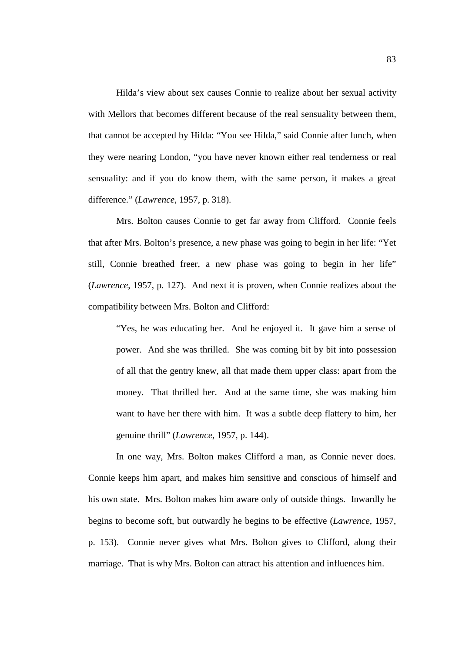Hilda's view about sex causes Connie to realize about her sexual activity with Mellors that becomes different because of the real sensuality between them, that cannot be accepted by Hilda: "You see Hilda," said Connie after lunch, when they were nearing London, "you have never known either real tenderness or real sensuality: and if you do know them, with the same person, it makes a great difference." (*Lawrence*, 1957, p. 318).

Mrs. Bolton causes Connie to get far away from Clifford. Connie feels that after Mrs. Bolton's presence, a new phase was going to begin in her life: "Yet still, Connie breathed freer, a new phase was going to begin in her life" (*Lawrence*, 1957, p. 127). And next it is proven, when Connie realizes about the compatibility between Mrs. Bolton and Clifford:

"Yes, he was educating her. And he enjoyed it. It gave him a sense of power. And she was thrilled. She was coming bit by bit into possession of all that the gentry knew, all that made them upper class: apart from the money. That thrilled her. And at the same time, she was making him want to have her there with him. It was a subtle deep flattery to him, her genuine thrill" (*Lawrence*, 1957, p. 144).

In one way, Mrs. Bolton makes Clifford a man, as Connie never does. Connie keeps him apart, and makes him sensitive and conscious of himself and his own state. Mrs. Bolton makes him aware only of outside things. Inwardly he begins to become soft, but outwardly he begins to be effective (*Lawrence*, 1957, p. 153). Connie never gives what Mrs. Bolton gives to Clifford, along their marriage. That is why Mrs. Bolton can attract his attention and influences him.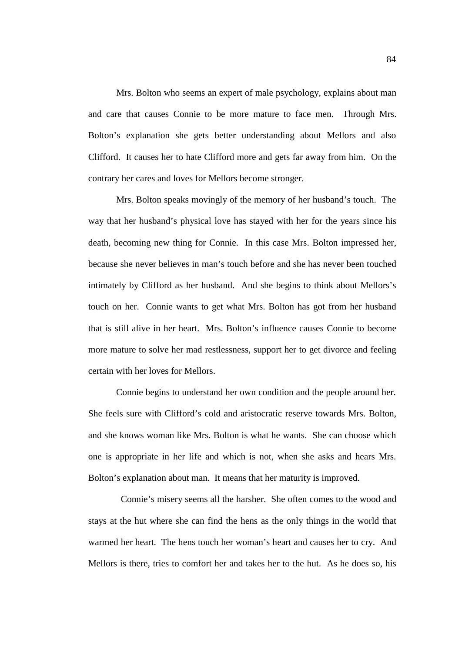Mrs. Bolton who seems an expert of male psychology, explains about man and care that causes Connie to be more mature to face men. Through Mrs. Bolton's explanation she gets better understanding about Mellors and also Clifford. It causes her to hate Clifford more and gets far away from him. On the contrary her cares and loves for Mellors become stronger.

Mrs. Bolton speaks movingly of the memory of her husband's touch. The way that her husband's physical love has stayed with her for the years since his death, becoming new thing for Connie. In this case Mrs. Bolton impressed her, because she never believes in man's touch before and she has never been touched intimately by Clifford as her husband. And she begins to think about Mellors's touch on her. Connie wants to get what Mrs. Bolton has got from her husband that is still alive in her heart. Mrs. Bolton's influence causes Connie to become more mature to solve her mad restlessness, support her to get divorce and feeling certain with her loves for Mellors.

Connie begins to understand her own condition and the people around her. She feels sure with Clifford's cold and aristocratic reserve towards Mrs. Bolton, and she knows woman like Mrs. Bolton is what he wants. She can choose which one is appropriate in her life and which is not, when she asks and hears Mrs. Bolton's explanation about man. It means that her maturity is improved.

 Connie's misery seems all the harsher. She often comes to the wood and stays at the hut where she can find the hens as the only things in the world that warmed her heart. The hens touch her woman's heart and causes her to cry. And Mellors is there, tries to comfort her and takes her to the hut. As he does so, his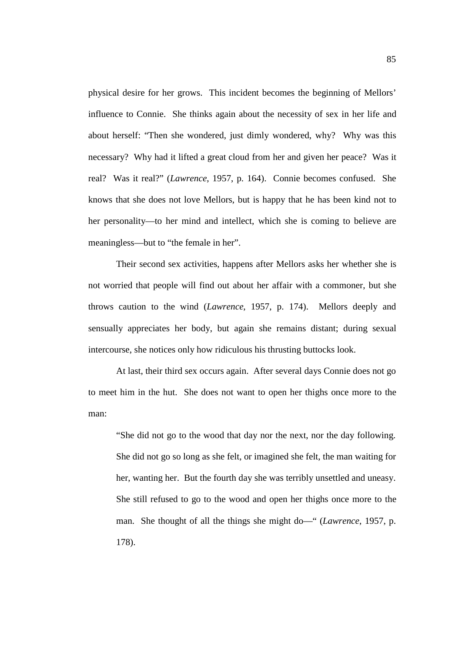physical desire for her grows. This incident becomes the beginning of Mellors' influence to Connie. She thinks again about the necessity of sex in her life and about herself: "Then she wondered, just dimly wondered, why? Why was this necessary? Why had it lifted a great cloud from her and given her peace? Was it real? Was it real?" (*Lawrence*, 1957, p. 164). Connie becomes confused. She knows that she does not love Mellors, but is happy that he has been kind not to her personality—to her mind and intellect, which she is coming to believe are meaningless—but to "the female in her".

Their second sex activities, happens after Mellors asks her whether she is not worried that people will find out about her affair with a commoner, but she throws caution to the wind (*Lawrence*, 1957, p. 174). Mellors deeply and sensually appreciates her body, but again she remains distant; during sexual intercourse, she notices only how ridiculous his thrusting buttocks look.

At last, their third sex occurs again. After several days Connie does not go to meet him in the hut. She does not want to open her thighs once more to the man:

"She did not go to the wood that day nor the next, nor the day following. She did not go so long as she felt, or imagined she felt, the man waiting for her, wanting her. But the fourth day she was terribly unsettled and uneasy. She still refused to go to the wood and open her thighs once more to the man. She thought of all the things she might do—" (*Lawrence*, 1957, p. 178).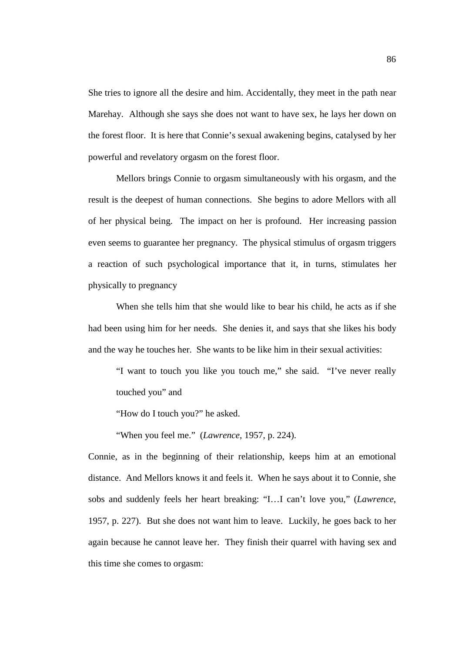She tries to ignore all the desire and him. Accidentally, they meet in the path near Marehay. Although she says she does not want to have sex, he lays her down on the forest floor. It is here that Connie's sexual awakening begins, catalysed by her powerful and revelatory orgasm on the forest floor.

Mellors brings Connie to orgasm simultaneously with his orgasm, and the result is the deepest of human connections. She begins to adore Mellors with all of her physical being. The impact on her is profound. Her increasing passion even seems to guarantee her pregnancy. The physical stimulus of orgasm triggers a reaction of such psychological importance that it, in turns, stimulates her physically to pregnancy

When she tells him that she would like to bear his child, he acts as if she had been using him for her needs. She denies it, and says that she likes his body and the way he touches her. She wants to be like him in their sexual activities:

"I want to touch you like you touch me," she said. "I've never really touched you" and

"How do I touch you?" he asked.

"When you feel me." (*Lawrence*, 1957, p. 224).

Connie, as in the beginning of their relationship, keeps him at an emotional distance. And Mellors knows it and feels it. When he says about it to Connie, she sobs and suddenly feels her heart breaking: "I…I can't love you," (*Lawrence*, 1957, p. 227). But she does not want him to leave. Luckily, he goes back to her again because he cannot leave her. They finish their quarrel with having sex and this time she comes to orgasm: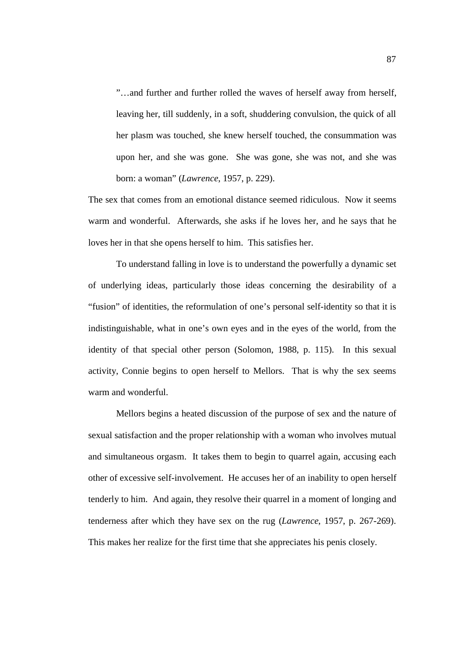"…and further and further rolled the waves of herself away from herself, leaving her, till suddenly, in a soft, shuddering convulsion, the quick of all her plasm was touched, she knew herself touched, the consummation was upon her, and she was gone. She was gone, she was not, and she was born: a woman" (*Lawrence*, 1957, p. 229).

The sex that comes from an emotional distance seemed ridiculous. Now it seems warm and wonderful. Afterwards, she asks if he loves her, and he says that he loves her in that she opens herself to him. This satisfies her.

To understand falling in love is to understand the powerfully a dynamic set of underlying ideas, particularly those ideas concerning the desirability of a "fusion" of identities, the reformulation of one's personal self-identity so that it is indistinguishable, what in one's own eyes and in the eyes of the world, from the identity of that special other person (Solomon, 1988, p. 115). In this sexual activity, Connie begins to open herself to Mellors. That is why the sex seems warm and wonderful.

Mellors begins a heated discussion of the purpose of sex and the nature of sexual satisfaction and the proper relationship with a woman who involves mutual and simultaneous orgasm. It takes them to begin to quarrel again, accusing each other of excessive self-involvement. He accuses her of an inability to open herself tenderly to him. And again, they resolve their quarrel in a moment of longing and tenderness after which they have sex on the rug (*Lawrence*, 1957, p. 267-269). This makes her realize for the first time that she appreciates his penis closely.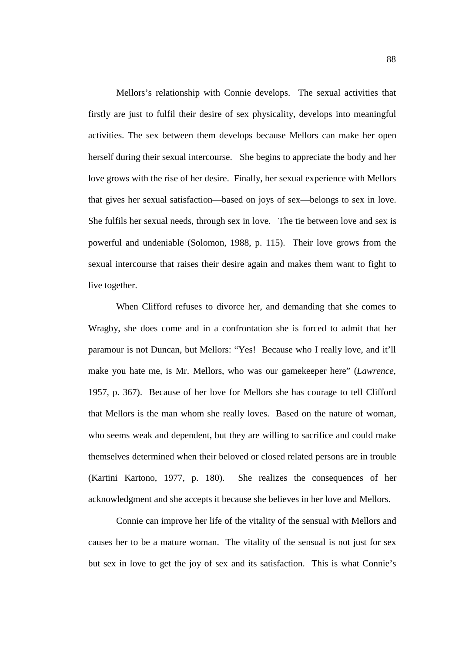Mellors's relationship with Connie develops. The sexual activities that firstly are just to fulfil their desire of sex physicality, develops into meaningful activities. The sex between them develops because Mellors can make her open herself during their sexual intercourse. She begins to appreciate the body and her love grows with the rise of her desire. Finally, her sexual experience with Mellors that gives her sexual satisfaction—based on joys of sex—belongs to sex in love. She fulfils her sexual needs, through sex in love. The tie between love and sex is powerful and undeniable (Solomon, 1988, p. 115). Their love grows from the sexual intercourse that raises their desire again and makes them want to fight to live together.

When Clifford refuses to divorce her, and demanding that she comes to Wragby, she does come and in a confrontation she is forced to admit that her paramour is not Duncan, but Mellors: "Yes! Because who I really love, and it'll make you hate me, is Mr. Mellors, who was our gamekeeper here" (*Lawrence*, 1957, p. 367). Because of her love for Mellors she has courage to tell Clifford that Mellors is the man whom she really loves. Based on the nature of woman, who seems weak and dependent, but they are willing to sacrifice and could make themselves determined when their beloved or closed related persons are in trouble (Kartini Kartono, 1977, p. 180). She realizes the consequences of her acknowledgment and she accepts it because she believes in her love and Mellors.

Connie can improve her life of the vitality of the sensual with Mellors and causes her to be a mature woman. The vitality of the sensual is not just for sex but sex in love to get the joy of sex and its satisfaction. This is what Connie's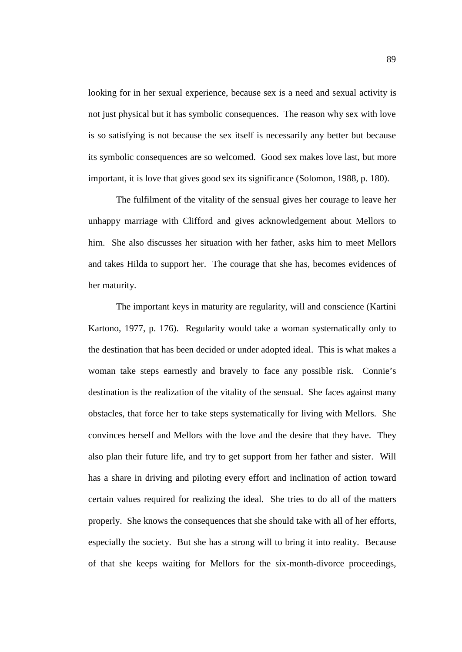looking for in her sexual experience, because sex is a need and sexual activity is not just physical but it has symbolic consequences. The reason why sex with love is so satisfying is not because the sex itself is necessarily any better but because its symbolic consequences are so welcomed. Good sex makes love last, but more important, it is love that gives good sex its significance (Solomon, 1988, p. 180).

The fulfilment of the vitality of the sensual gives her courage to leave her unhappy marriage with Clifford and gives acknowledgement about Mellors to him. She also discusses her situation with her father, asks him to meet Mellors and takes Hilda to support her. The courage that she has, becomes evidences of her maturity.

The important keys in maturity are regularity, will and conscience (Kartini Kartono, 1977, p. 176). Regularity would take a woman systematically only to the destination that has been decided or under adopted ideal. This is what makes a woman take steps earnestly and bravely to face any possible risk. Connie's destination is the realization of the vitality of the sensual. She faces against many obstacles, that force her to take steps systematically for living with Mellors. She convinces herself and Mellors with the love and the desire that they have. They also plan their future life, and try to get support from her father and sister. Will has a share in driving and piloting every effort and inclination of action toward certain values required for realizing the ideal. She tries to do all of the matters properly. She knows the consequences that she should take with all of her efforts, especially the society. But she has a strong will to bring it into reality. Because of that she keeps waiting for Mellors for the six-month-divorce proceedings,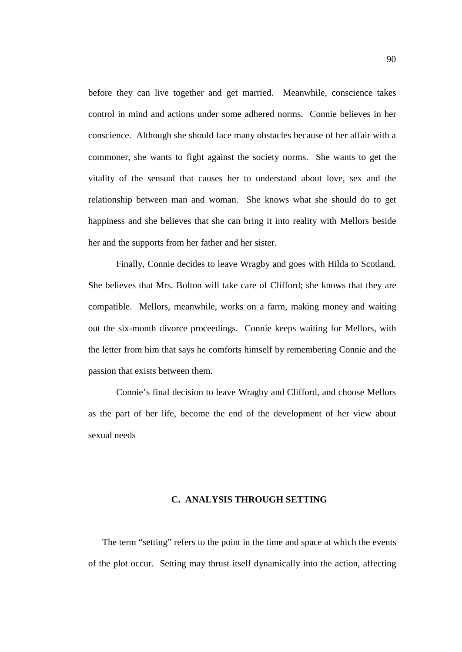before they can live together and get married. Meanwhile, conscience takes control in mind and actions under some adhered norms. Connie believes in her conscience. Although she should face many obstacles because of her affair with a commoner, she wants to fight against the society norms. She wants to get the vitality of the sensual that causes her to understand about love, sex and the relationship between man and woman. She knows what she should do to get happiness and she believes that she can bring it into reality with Mellors beside her and the supports from her father and her sister.

Finally, Connie decides to leave Wragby and goes with Hilda to Scotland. She believes that Mrs. Bolton will take care of Clifford; she knows that they are compatible. Mellors, meanwhile, works on a farm, making money and waiting out the six-month divorce proceedings. Connie keeps waiting for Mellors, with the letter from him that says he comforts himself by remembering Connie and the passion that exists between them.

Connie's final decision to leave Wragby and Clifford, and choose Mellors as the part of her life, become the end of the development of her view about sexual needs

## **C. ANALYSIS THROUGH SETTING**

The term "setting" refers to the point in the time and space at which the events of the plot occur. Setting may thrust itself dynamically into the action, affecting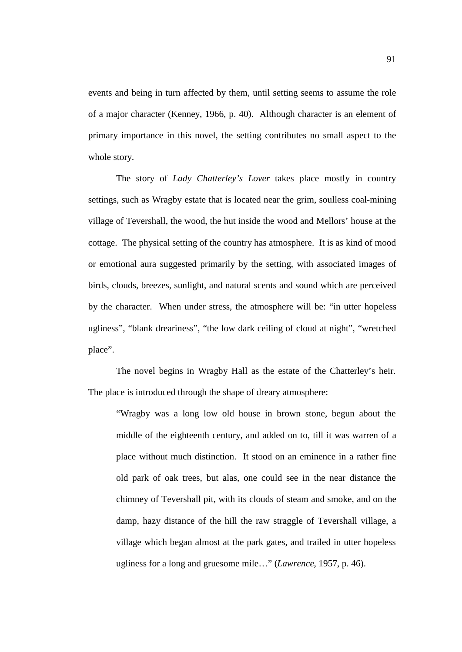events and being in turn affected by them, until setting seems to assume the role of a major character (Kenney, 1966, p. 40). Although character is an element of primary importance in this novel, the setting contributes no small aspect to the whole story.

The story of *Lady Chatterley's Lover* takes place mostly in country settings, such as Wragby estate that is located near the grim, soulless coal-mining village of Tevershall, the wood, the hut inside the wood and Mellors' house at the cottage. The physical setting of the country has atmosphere. It is as kind of mood or emotional aura suggested primarily by the setting, with associated images of birds, clouds, breezes, sunlight, and natural scents and sound which are perceived by the character. When under stress, the atmosphere will be: "in utter hopeless ugliness", "blank dreariness", "the low dark ceiling of cloud at night", "wretched place".

The novel begins in Wragby Hall as the estate of the Chatterley's heir. The place is introduced through the shape of dreary atmosphere:

"Wragby was a long low old house in brown stone, begun about the middle of the eighteenth century, and added on to, till it was warren of a place without much distinction. It stood on an eminence in a rather fine old park of oak trees, but alas, one could see in the near distance the chimney of Tevershall pit, with its clouds of steam and smoke, and on the damp, hazy distance of the hill the raw straggle of Tevershall village, a village which began almost at the park gates, and trailed in utter hopeless ugliness for a long and gruesome mile…" (*Lawrence*, 1957, p. 46).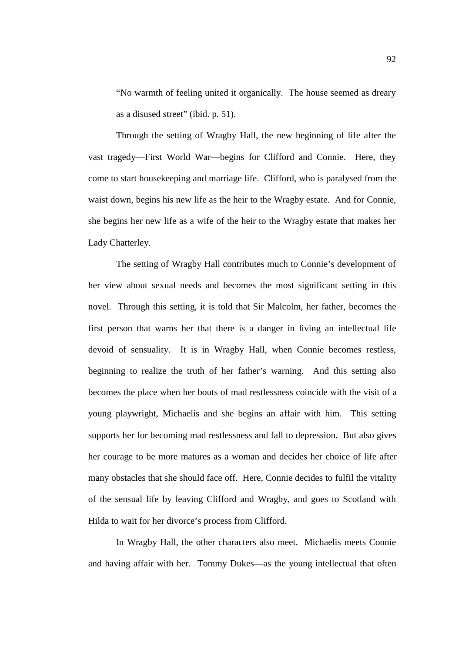"No warmth of feeling united it organically. The house seemed as dreary as a disused street" (ibid. p. 51).

Through the setting of Wragby Hall, the new beginning of life after the vast tragedy—First World War—begins for Clifford and Connie. Here, they come to start housekeeping and marriage life. Clifford, who is paralysed from the waist down, begins his new life as the heir to the Wragby estate. And for Connie, she begins her new life as a wife of the heir to the Wragby estate that makes her Lady Chatterley.

The setting of Wragby Hall contributes much to Connie's development of her view about sexual needs and becomes the most significant setting in this novel. Through this setting, it is told that Sir Malcolm, her father, becomes the first person that warns her that there is a danger in living an intellectual life devoid of sensuality. It is in Wragby Hall, when Connie becomes restless, beginning to realize the truth of her father's warning. And this setting also becomes the place when her bouts of mad restlessness coincide with the visit of a young playwright, Michaelis and she begins an affair with him. This setting supports her for becoming mad restlessness and fall to depression. But also gives her courage to be more matures as a woman and decides her choice of life after many obstacles that she should face off. Here, Connie decides to fulfil the vitality of the sensual life by leaving Clifford and Wragby, and goes to Scotland with Hilda to wait for her divorce's process from Clifford.

In Wragby Hall, the other characters also meet. Michaelis meets Connie and having affair with her. Tommy Dukes—as the young intellectual that often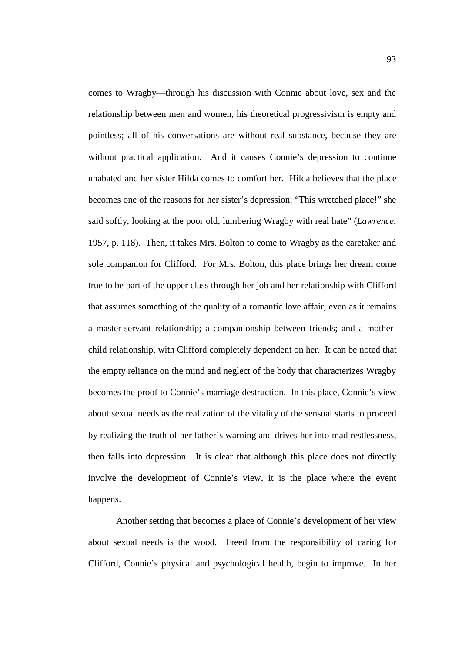comes to Wragby—through his discussion with Connie about love, sex and the relationship between men and women, his theoretical progressivism is empty and pointless; all of his conversations are without real substance, because they are without practical application. And it causes Connie's depression to continue unabated and her sister Hilda comes to comfort her. Hilda believes that the place becomes one of the reasons for her sister's depression: "This wretched place!" she said softly, looking at the poor old, lumbering Wragby with real hate" (*Lawrence*, 1957, p. 118). Then, it takes Mrs. Bolton to come to Wragby as the caretaker and sole companion for Clifford. For Mrs. Bolton, this place brings her dream come true to be part of the upper class through her job and her relationship with Clifford that assumes something of the quality of a romantic love affair, even as it remains a master-servant relationship; a companionship between friends; and a motherchild relationship, with Clifford completely dependent on her. It can be noted that the empty reliance on the mind and neglect of the body that characterizes Wragby becomes the proof to Connie's marriage destruction. In this place, Connie's view about sexual needs as the realization of the vitality of the sensual starts to proceed by realizing the truth of her father's warning and drives her into mad restlessness, then falls into depression. It is clear that although this place does not directly involve the development of Connie's view, it is the place where the event happens.

Another setting that becomes a place of Connie's development of her view about sexual needs is the wood. Freed from the responsibility of caring for Clifford, Connie's physical and psychological health, begin to improve. In her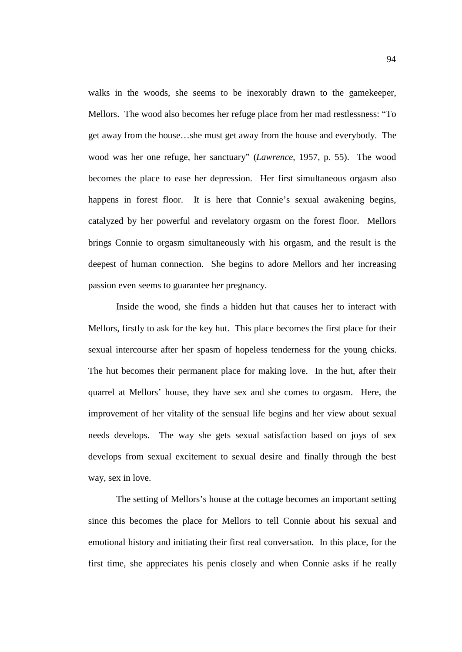walks in the woods, she seems to be inexorably drawn to the gamekeeper, Mellors. The wood also becomes her refuge place from her mad restlessness: "To get away from the house…she must get away from the house and everybody. The wood was her one refuge, her sanctuary" (*Lawrence*, 1957, p. 55). The wood becomes the place to ease her depression. Her first simultaneous orgasm also happens in forest floor. It is here that Connie's sexual awakening begins, catalyzed by her powerful and revelatory orgasm on the forest floor. Mellors brings Connie to orgasm simultaneously with his orgasm, and the result is the deepest of human connection. She begins to adore Mellors and her increasing passion even seems to guarantee her pregnancy.

Inside the wood, she finds a hidden hut that causes her to interact with Mellors, firstly to ask for the key hut. This place becomes the first place for their sexual intercourse after her spasm of hopeless tenderness for the young chicks. The hut becomes their permanent place for making love. In the hut, after their quarrel at Mellors' house, they have sex and she comes to orgasm. Here, the improvement of her vitality of the sensual life begins and her view about sexual needs develops. The way she gets sexual satisfaction based on joys of sex develops from sexual excitement to sexual desire and finally through the best way, sex in love.

The setting of Mellors's house at the cottage becomes an important setting since this becomes the place for Mellors to tell Connie about his sexual and emotional history and initiating their first real conversation. In this place, for the first time, she appreciates his penis closely and when Connie asks if he really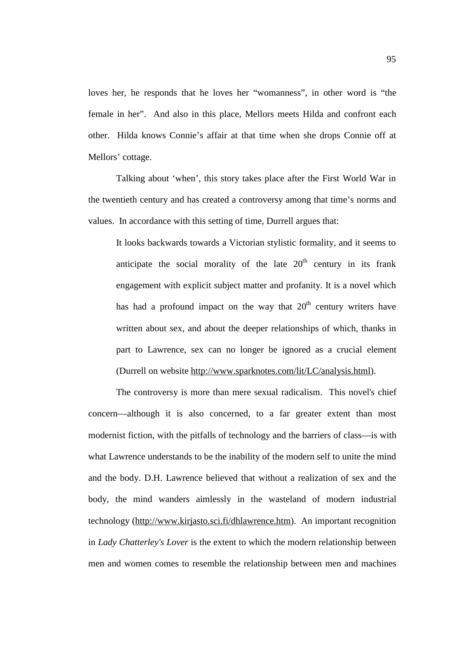loves her, he responds that he loves her "womanness", in other word is "the female in her". And also in this place, Mellors meets Hilda and confront each other. Hilda knows Connie's affair at that time when she drops Connie off at Mellors' cottage.

Talking about 'when', this story takes place after the First World War in the twentieth century and has created a controversy among that time's norms and values. In accordance with this setting of time, Durrell argues that:

It looks backwards towards a Victorian stylistic formality, and it seems to anticipate the social morality of the late  $20<sup>th</sup>$  century in its frank engagement with explicit subject matter and profanity. It is a novel which has had a profound impact on the way that  $20<sup>th</sup>$  century writers have written about sex, and about the deeper relationships of which, thanks in part to Lawrence, sex can no longer be ignored as a crucial element (Durrell on website [http://www.sparknotes.com/lit/LC/analysis.html\)](http://www.sparknotes.com/lit/LC/analysis.html).

The controversy is more than mere sexual radicalism. This novel's chief concern—although it is also concerned, to a far greater extent than most modernist fiction, with the pitfalls of technology and the barriers of class—is with what Lawrence understands to be the inability of the modern self to unite the mind and the body. D.H. Lawrence believed that without a realization of sex and the body, the mind wanders aimlessly in the wasteland of modern industrial technology [\(http://www.kirjasto.sci.fi/dhlawrence.htm\)](http://www.kirjasto.sci.fi/dhlawrence.htm). An important recognition in *Lady Chatterley's Lover* is the extent to which the modern relationship between men and women comes to resemble the relationship between men and machines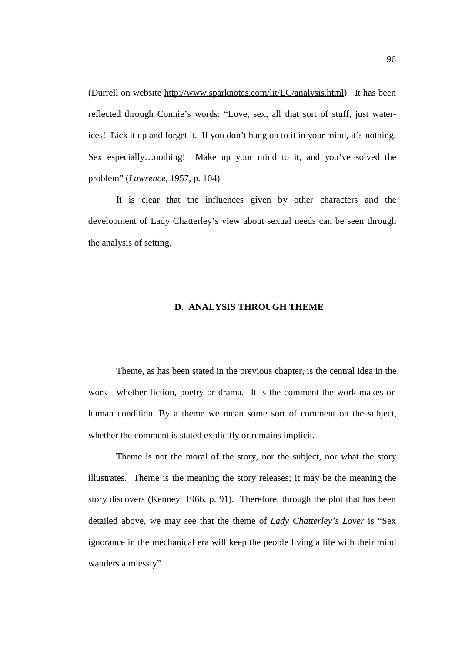(Durrell on website <http://www.sparknotes.com/lit/LC/analysis.html>). It has been reflected through Connie's words: "Love, sex, all that sort of stuff, just waterices! Lick it up and forget it. If you don't hang on to it in your mind, it's nothing. Sex especially…nothing! Make up your mind to it, and you've solved the problem" (*Lawrence*, 1957, p. 104).

It is clear that the influences given by other characters and the development of Lady Chatterley's view about sexual needs can be seen through the analysis of setting.

# **D. ANALYSIS THROUGH THEME**

Theme, as has been stated in the previous chapter, is the central idea in the work—whether fiction, poetry or drama. It is the comment the work makes on human condition. By a theme we mean some sort of comment on the subject, whether the comment is stated explicitly or remains implicit.

Theme is not the moral of the story, nor the subject, nor what the story illustrates. Theme is the meaning the story releases; it may be the meaning the story discovers (Kenney, 1966, p. 91). Therefore, through the plot that has been detailed above, we may see that the theme of *Lady Chatterley's Lover* is "Sex ignorance in the mechanical era will keep the people living a life with their mind wanders aimlessly".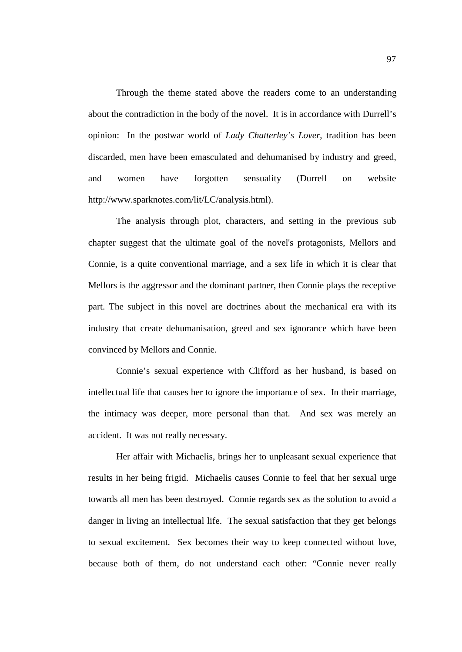Through the theme stated above the readers come to an understanding about the contradiction in the body of the novel. It is in accordance with Durrell's opinion: In the postwar world of *Lady Chatterley's Lover*, tradition has been discarded, men have been emasculated and dehumanised by industry and greed, and women have forgotten sensuality (Durrell on website <http://www.sparknotes.com/lit/LC/analysis.html>).

The analysis through plot, characters, and setting in the previous sub chapter suggest that the ultimate goal of the novel's protagonists, Mellors and Connie, is a quite conventional marriage, and a sex life in which it is clear that Mellors is the aggressor and the dominant partner, then Connie plays the receptive part. The subject in this novel are doctrines about the mechanical era with its industry that create dehumanisation, greed and sex ignorance which have been convinced by Mellors and Connie.

Connie's sexual experience with Clifford as her husband, is based on intellectual life that causes her to ignore the importance of sex. In their marriage, the intimacy was deeper, more personal than that. And sex was merely an accident. It was not really necessary.

Her affair with Michaelis, brings her to unpleasant sexual experience that results in her being frigid. Michaelis causes Connie to feel that her sexual urge towards all men has been destroyed. Connie regards sex as the solution to avoid a danger in living an intellectual life. The sexual satisfaction that they get belongs to sexual excitement. Sex becomes their way to keep connected without love, because both of them, do not understand each other: "Connie never really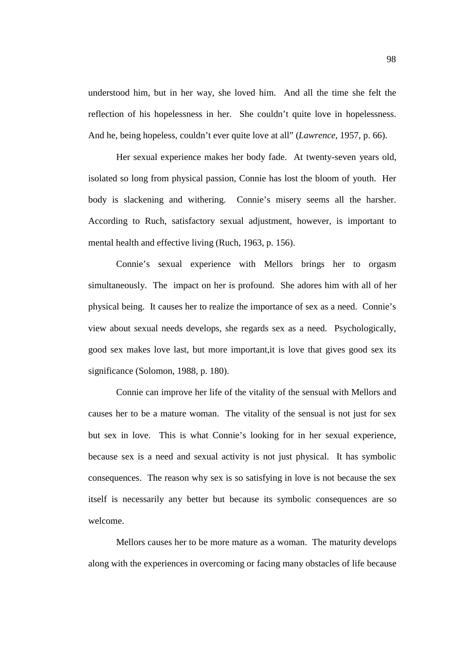understood him, but in her way, she loved him. And all the time she felt the reflection of his hopelessness in her. She couldn't quite love in hopelessness. And he, being hopeless, couldn't ever quite love at all" (*Lawrence*, 1957, p. 66).

Her sexual experience makes her body fade. At twenty-seven years old, isolated so long from physical passion, Connie has lost the bloom of youth. Her body is slackening and withering. Connie's misery seems all the harsher. According to Ruch, satisfactory sexual adjustment, however, is important to mental health and effective living (Ruch, 1963, p. 156).

Connie's sexual experience with Mellors brings her to orgasm simultaneously. The impact on her is profound. She adores him with all of her physical being. It causes her to realize the importance of sex as a need. Connie's view about sexual needs develops, she regards sex as a need. Psychologically, good sex makes love last, but more important,it is love that gives good sex its significance (Solomon, 1988, p. 180).

Connie can improve her life of the vitality of the sensual with Mellors and causes her to be a mature woman. The vitality of the sensual is not just for sex but sex in love. This is what Connie's looking for in her sexual experience, because sex is a need and sexual activity is not just physical. It has symbolic consequences. The reason why sex is so satisfying in love is not because the sex itself is necessarily any better but because its symbolic consequences are so welcome.

Mellors causes her to be more mature as a woman. The maturity develops along with the experiences in overcoming or facing many obstacles of life because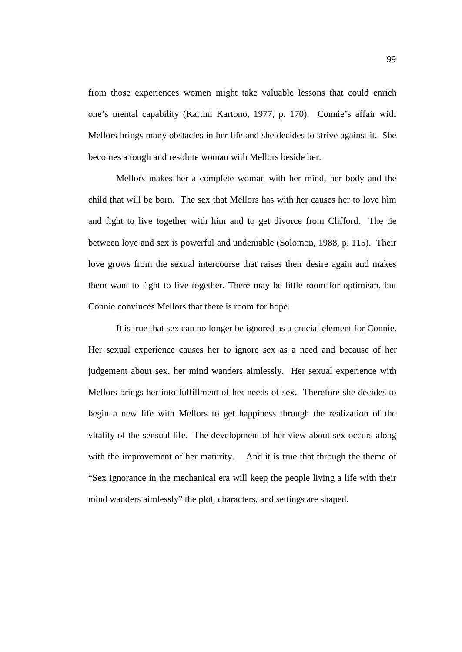from those experiences women might take valuable lessons that could enrich one's mental capability (Kartini Kartono, 1977, p. 170). Connie's affair with Mellors brings many obstacles in her life and she decides to strive against it. She becomes a tough and resolute woman with Mellors beside her.

Mellors makes her a complete woman with her mind, her body and the child that will be born. The sex that Mellors has with her causes her to love him and fight to live together with him and to get divorce from Clifford. The tie between love and sex is powerful and undeniable (Solomon, 1988, p. 115). Their love grows from the sexual intercourse that raises their desire again and makes them want to fight to live together. There may be little room for optimism, but Connie convinces Mellors that there is room for hope.

It is true that sex can no longer be ignored as a crucial element for Connie. Her sexual experience causes her to ignore sex as a need and because of her judgement about sex, her mind wanders aimlessly. Her sexual experience with Mellors brings her into fulfillment of her needs of sex. Therefore she decides to begin a new life with Mellors to get happiness through the realization of the vitality of the sensual life. The development of her view about sex occurs along with the improvement of her maturity. And it is true that through the theme of "Sex ignorance in the mechanical era will keep the people living a life with their mind wanders aimlessly" the plot, characters, and settings are shaped.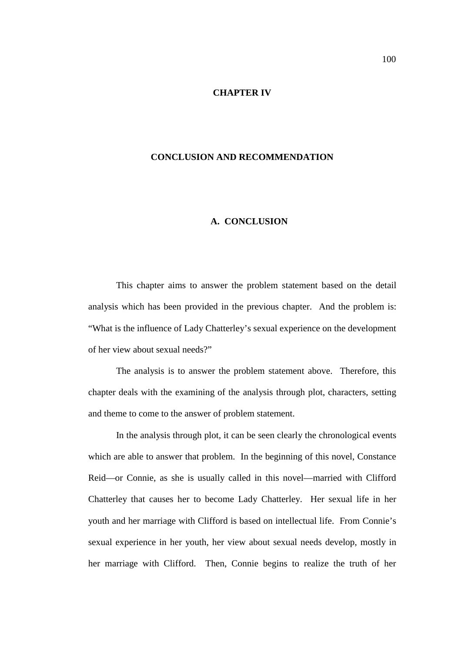#### **CHAPTER IV**

# **CONCLUSION AND RECOMMENDATION**

## **A. CONCLUSION**

This chapter aims to answer the problem statement based on the detail analysis which has been provided in the previous chapter. And the problem is: "What is the influence of Lady Chatterley's sexual experience on the development of her view about sexual needs?"

The analysis is to answer the problem statement above. Therefore, this chapter deals with the examining of the analysis through plot, characters, setting and theme to come to the answer of problem statement.

In the analysis through plot, it can be seen clearly the chronological events which are able to answer that problem. In the beginning of this novel, Constance Reid—or Connie, as she is usually called in this novel—married with Clifford Chatterley that causes her to become Lady Chatterley. Her sexual life in her youth and her marriage with Clifford is based on intellectual life. From Connie's sexual experience in her youth, her view about sexual needs develop, mostly in her marriage with Clifford. Then, Connie begins to realize the truth of her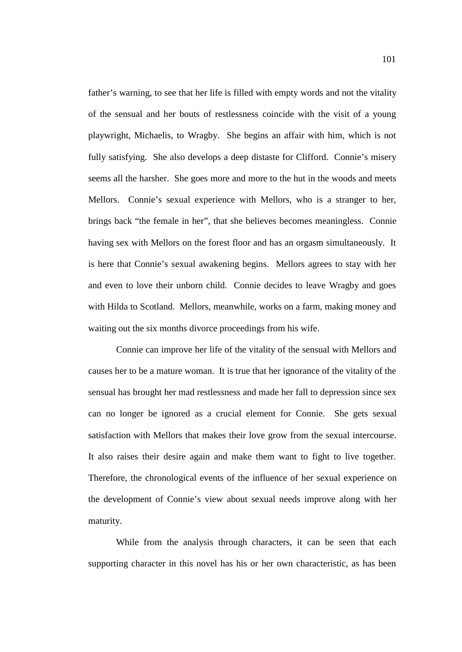father's warning, to see that her life is filled with empty words and not the vitality of the sensual and her bouts of restlessness coincide with the visit of a young playwright, Michaelis, to Wragby. She begins an affair with him, which is not fully satisfying. She also develops a deep distaste for Clifford. Connie's misery seems all the harsher. She goes more and more to the hut in the woods and meets Mellors. Connie's sexual experience with Mellors, who is a stranger to her, brings back "the female in her", that she believes becomes meaningless. Connie having sex with Mellors on the forest floor and has an orgasm simultaneously. It is here that Connie's sexual awakening begins. Mellors agrees to stay with her and even to love their unborn child. Connie decides to leave Wragby and goes with Hilda to Scotland. Mellors, meanwhile, works on a farm, making money and waiting out the six months divorce proceedings from his wife.

Connie can improve her life of the vitality of the sensual with Mellors and causes her to be a mature woman. It is true that her ignorance of the vitality of the sensual has brought her mad restlessness and made her fall to depression since sex can no longer be ignored as a crucial element for Connie. She gets sexual satisfaction with Mellors that makes their love grow from the sexual intercourse. It also raises their desire again and make them want to fight to live together. Therefore, the chronological events of the influence of her sexual experience on the development of Connie's view about sexual needs improve along with her maturity.

While from the analysis through characters, it can be seen that each supporting character in this novel has his or her own characteristic, as has been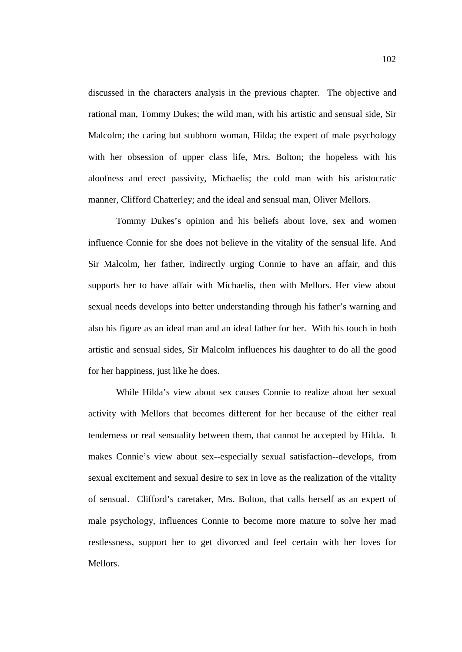discussed in the characters analysis in the previous chapter. The objective and rational man, Tommy Dukes; the wild man, with his artistic and sensual side, Sir Malcolm; the caring but stubborn woman, Hilda; the expert of male psychology with her obsession of upper class life, Mrs. Bolton; the hopeless with his aloofness and erect passivity, Michaelis; the cold man with his aristocratic manner, Clifford Chatterley; and the ideal and sensual man, Oliver Mellors.

Tommy Dukes's opinion and his beliefs about love, sex and women influence Connie for she does not believe in the vitality of the sensual life. And Sir Malcolm, her father, indirectly urging Connie to have an affair, and this supports her to have affair with Michaelis, then with Mellors. Her view about sexual needs develops into better understanding through his father's warning and also his figure as an ideal man and an ideal father for her. With his touch in both artistic and sensual sides, Sir Malcolm influences his daughter to do all the good for her happiness, just like he does.

While Hilda's view about sex causes Connie to realize about her sexual activity with Mellors that becomes different for her because of the either real tenderness or real sensuality between them, that cannot be accepted by Hilda. It makes Connie's view about sex--especially sexual satisfaction--develops, from sexual excitement and sexual desire to sex in love as the realization of the vitality of sensual. Clifford's caretaker, Mrs. Bolton, that calls herself as an expert of male psychology, influences Connie to become more mature to solve her mad restlessness, support her to get divorced and feel certain with her loves for Mellors.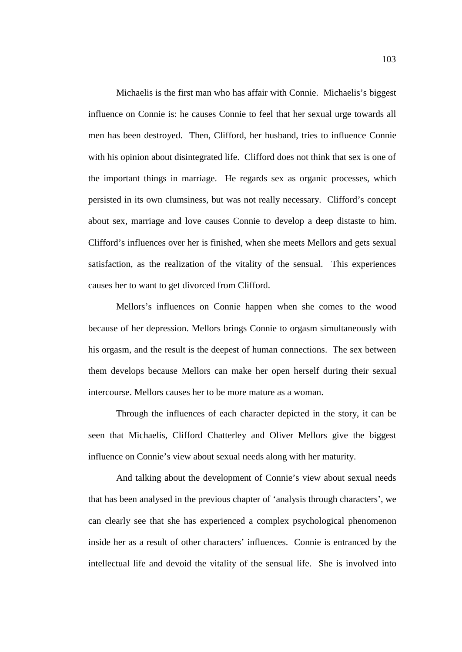Michaelis is the first man who has affair with Connie. Michaelis's biggest influence on Connie is: he causes Connie to feel that her sexual urge towards all men has been destroyed. Then, Clifford, her husband, tries to influence Connie with his opinion about disintegrated life. Clifford does not think that sex is one of the important things in marriage. He regards sex as organic processes, which persisted in its own clumsiness, but was not really necessary. Clifford's concept about sex, marriage and love causes Connie to develop a deep distaste to him. Clifford's influences over her is finished, when she meets Mellors and gets sexual satisfaction, as the realization of the vitality of the sensual. This experiences causes her to want to get divorced from Clifford.

Mellors's influences on Connie happen when she comes to the wood because of her depression. Mellors brings Connie to orgasm simultaneously with his orgasm, and the result is the deepest of human connections. The sex between them develops because Mellors can make her open herself during their sexual intercourse. Mellors causes her to be more mature as a woman.

Through the influences of each character depicted in the story, it can be seen that Michaelis, Clifford Chatterley and Oliver Mellors give the biggest influence on Connie's view about sexual needs along with her maturity.

And talking about the development of Connie's view about sexual needs that has been analysed in the previous chapter of 'analysis through characters', we can clearly see that she has experienced a complex psychological phenomenon inside her as a result of other characters' influences. Connie is entranced by the intellectual life and devoid the vitality of the sensual life. She is involved into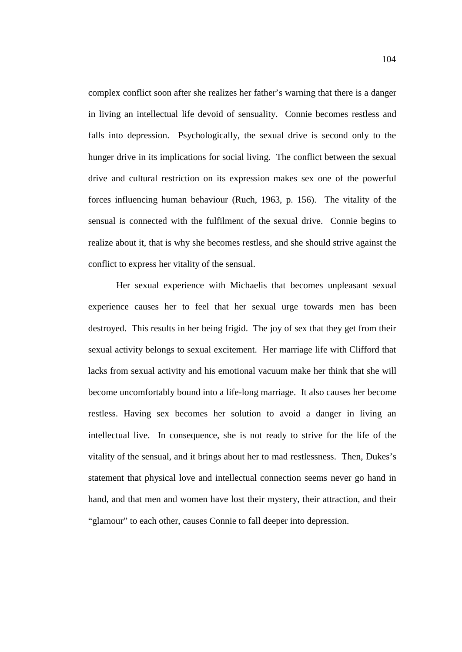complex conflict soon after she realizes her father's warning that there is a danger in living an intellectual life devoid of sensuality. Connie becomes restless and falls into depression. Psychologically, the sexual drive is second only to the hunger drive in its implications for social living. The conflict between the sexual drive and cultural restriction on its expression makes sex one of the powerful forces influencing human behaviour (Ruch, 1963, p. 156). The vitality of the sensual is connected with the fulfilment of the sexual drive. Connie begins to realize about it, that is why she becomes restless, and she should strive against the conflict to express her vitality of the sensual.

Her sexual experience with Michaelis that becomes unpleasant sexual experience causes her to feel that her sexual urge towards men has been destroyed. This results in her being frigid. The joy of sex that they get from their sexual activity belongs to sexual excitement. Her marriage life with Clifford that lacks from sexual activity and his emotional vacuum make her think that she will become uncomfortably bound into a life-long marriage. It also causes her become restless. Having sex becomes her solution to avoid a danger in living an intellectual live. In consequence, she is not ready to strive for the life of the vitality of the sensual, and it brings about her to mad restlessness. Then, Dukes's statement that physical love and intellectual connection seems never go hand in hand, and that men and women have lost their mystery, their attraction, and their "glamour" to each other, causes Connie to fall deeper into depression.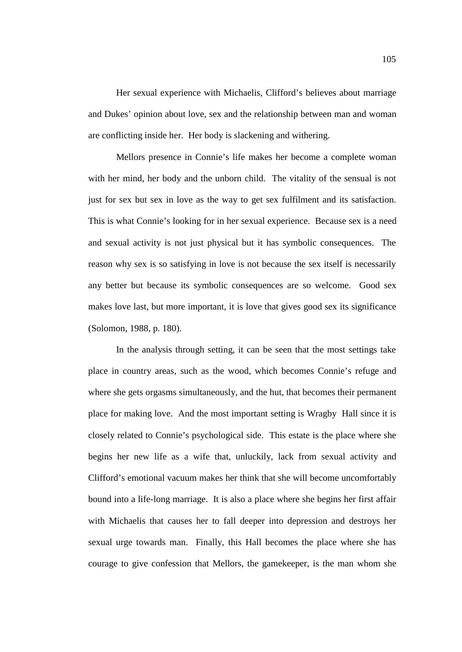Her sexual experience with Michaelis, Clifford's believes about marriage and Dukes' opinion about love, sex and the relationship between man and woman are conflicting inside her. Her body is slackening and withering.

Mellors presence in Connie's life makes her become a complete woman with her mind, her body and the unborn child. The vitality of the sensual is not just for sex but sex in love as the way to get sex fulfilment and its satisfaction. This is what Connie's looking for in her sexual experience. Because sex is a need and sexual activity is not just physical but it has symbolic consequences. The reason why sex is so satisfying in love is not because the sex itself is necessarily any better but because its symbolic consequences are so welcome. Good sex makes love last, but more important, it is love that gives good sex its significance (Solomon, 1988, p. 180).

In the analysis through setting, it can be seen that the most settings take place in country areas, such as the wood, which becomes Connie's refuge and where she gets orgasms simultaneously, and the hut, that becomes their permanent place for making love. And the most important setting is Wragby Hall since it is closely related to Connie's psychological side. This estate is the place where she begins her new life as a wife that, unluckily, lack from sexual activity and Clifford's emotional vacuum makes her think that she will become uncomfortably bound into a life-long marriage. It is also a place where she begins her first affair with Michaelis that causes her to fall deeper into depression and destroys her sexual urge towards man. Finally, this Hall becomes the place where she has courage to give confession that Mellors, the gamekeeper, is the man whom she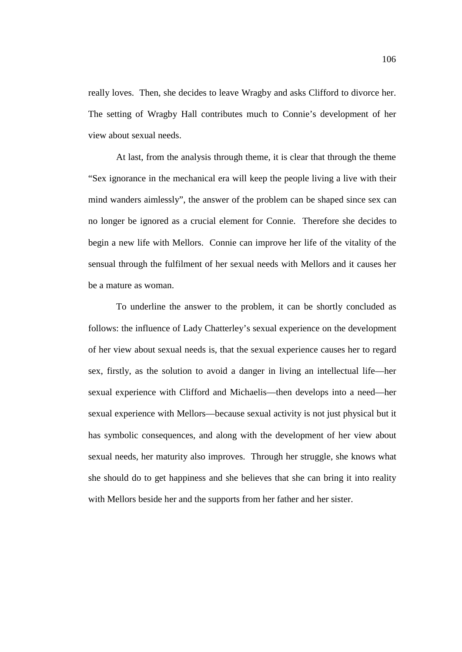really loves. Then, she decides to leave Wragby and asks Clifford to divorce her. The setting of Wragby Hall contributes much to Connie's development of her view about sexual needs.

At last, from the analysis through theme, it is clear that through the theme "Sex ignorance in the mechanical era will keep the people living a live with their mind wanders aimlessly", the answer of the problem can be shaped since sex can no longer be ignored as a crucial element for Connie. Therefore she decides to begin a new life with Mellors. Connie can improve her life of the vitality of the sensual through the fulfilment of her sexual needs with Mellors and it causes her be a mature as woman.

To underline the answer to the problem, it can be shortly concluded as follows: the influence of Lady Chatterley's sexual experience on the development of her view about sexual needs is, that the sexual experience causes her to regard sex, firstly, as the solution to avoid a danger in living an intellectual life—her sexual experience with Clifford and Michaelis—then develops into a need—her sexual experience with Mellors—because sexual activity is not just physical but it has symbolic consequences, and along with the development of her view about sexual needs, her maturity also improves. Through her struggle, she knows what she should do to get happiness and she believes that she can bring it into reality with Mellors beside her and the supports from her father and her sister.